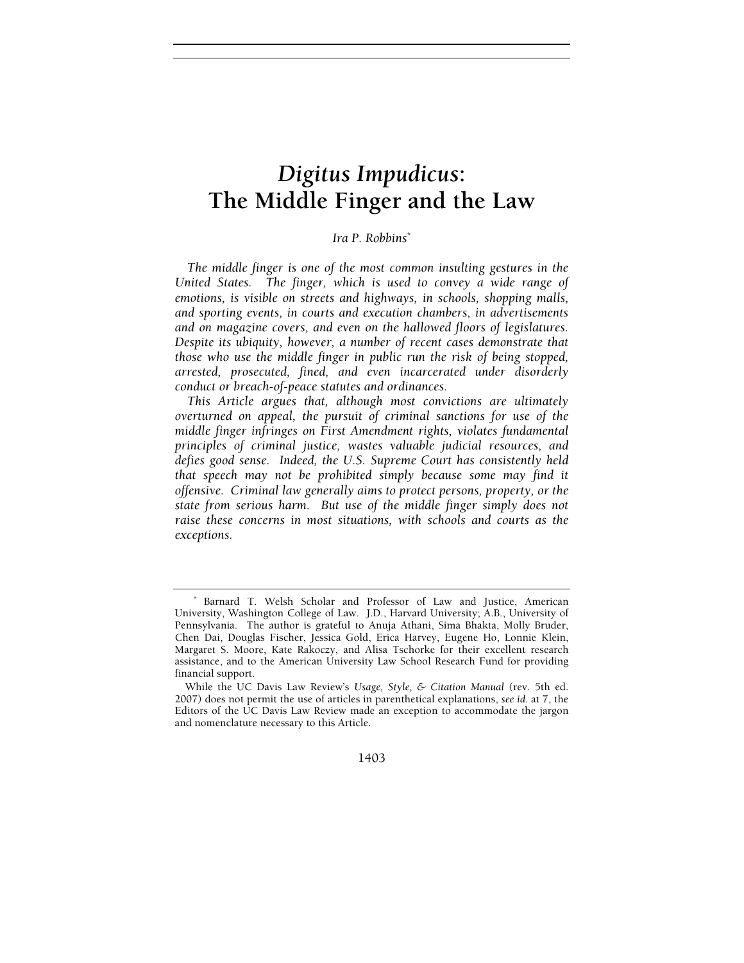# *Digitus Impudicus***: The Middle Finger and the Law**

## *Ira P. Robbins*\*

*The middle finger is one of the most common insulting gestures in the United States. The finger, which is used to convey a wide range of emotions, is visible on streets and highways, in schools, shopping malls, and sporting events, in courts and execution chambers, in advertisements and on magazine covers, and even on the hallowed floors of legislatures. Despite its ubiquity, however, a number of recent cases demonstrate that those who use the middle finger in public run the risk of being stopped, arrested, prosecuted, fined, and even incarcerated under disorderly conduct or breach-of-peace statutes and ordinances.* 

*This Article argues that, although most convictions are ultimately overturned on appeal, the pursuit of criminal sanctions for use of the middle finger infringes on First Amendment rights, violates fundamental principles of criminal justice, wastes valuable judicial resources, and defies good sense. Indeed, the U.S. Supreme Court has consistently held that speech may not be prohibited simply because some may find it offensive. Criminal law generally aims to protect persons, property, or the state from serious harm. But use of the middle finger simply does not raise these concerns in most situations, with schools and courts as the exceptions.* 

1403

<sup>\*</sup> Barnard T. Welsh Scholar and Professor of Law and Justice, American University, Washington College of Law. J.D., Harvard University; A.B., University of Pennsylvania. The author is grateful to Anuja Athani, Sima Bhakta, Molly Bruder, Chen Dai, Douglas Fischer, Jessica Gold, Erica Harvey, Eugene Ho, Lonnie Klein, Margaret S. Moore, Kate Rakoczy, and Alisa Tschorke for their excellent research assistance, and to the American University Law School Research Fund for providing financial support.

While the UC Davis Law Review's *Usage, Style, & Citation Manual* (rev. 5th ed. 2007) does not permit the use of articles in parenthetical explanations, *see id.* at 7, the Editors of the UC Davis Law Review made an exception to accommodate the jargon and nomenclature necessary to this Article.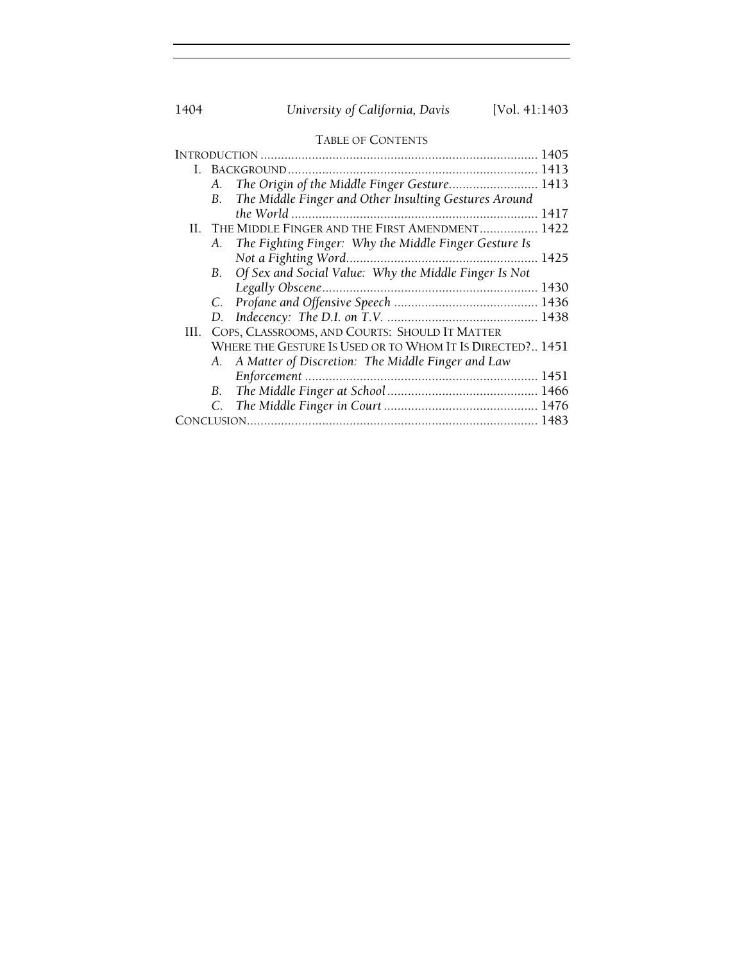## 1404 *University of California, Davis* [Vol. 41:1403

| w |  | $\sqrt{11}$ |  |
|---|--|-------------|--|
|   |  |             |  |

## TABLE OF CONTENTS

|     |    |                                                           | 1405 |
|-----|----|-----------------------------------------------------------|------|
|     |    |                                                           |      |
|     | А. | The Origin of the Middle Finger Gesture 1413              |      |
|     | B. | The Middle Finger and Other Insulting Gestures Around     |      |
|     |    |                                                           |      |
|     |    | II. THE MIDDLE FINGER AND THE FIRST AMENDMENT 1422        |      |
|     | A. | The Fighting Finger: Why the Middle Finger Gesture Is     |      |
|     |    |                                                           |      |
|     | В. | Of Sex and Social Value: Why the Middle Finger Is Not     |      |
|     |    |                                                           |      |
|     |    |                                                           |      |
|     |    |                                                           |      |
| HL. |    | COPS, CLASSROOMS, AND COURTS: SHOULD IT MATTER            |      |
|     |    | WHERE THE GESTURE IS USED OR TO WHOM IT IS DIRECTED? 1451 |      |
|     |    | A. A Matter of Discretion: The Middle Finger and Law      |      |
|     |    |                                                           |      |
|     |    |                                                           |      |
|     |    |                                                           |      |
|     |    |                                                           |      |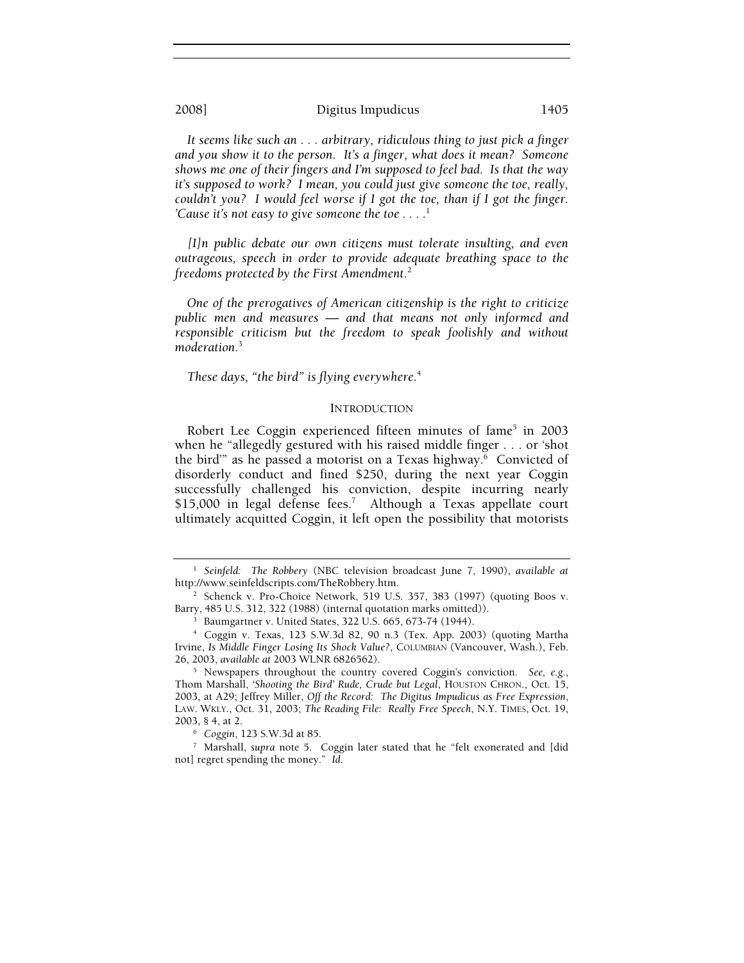*It seems like such an . . . arbitrary, ridiculous thing to just pick a finger and you show it to the person. It's a finger, what does it mean? Someone shows me one of their fingers and I'm supposed to feel bad. Is that the way it's supposed to work? I mean, you could just give someone the toe, really, couldn't you? I would feel worse if I got the toe, than if I got the finger. 'Cause it's not easy to give someone the toe*  $\dots$ <sup>1</sup>

*[I]n public debate our own citizens must tolerate insulting, and even outrageous, speech in order to provide adequate breathing space to the freedoms protected by the First Amendment*. 2

*One of the prerogatives of American citizenship is the right to criticize public men and measures — and that means not only informed and responsible criticism but the freedom to speak foolishly and without moderation.*<sup>3</sup>

*These days, "the bird" is flying everywhere*. 4

## **INTRODUCTION**

Robert Lee Coggin experienced fifteen minutes of fame<sup>5</sup> in 2003 when he "allegedly gestured with his raised middle finger . . . or 'shot the bird" as he passed a motorist on a Texas highway.<sup>6</sup> Convicted of disorderly conduct and fined \$250, during the next year Coggin successfully challenged his conviction, despite incurring nearly \$15,000 in legal defense fees.<sup>7</sup> Although a Texas appellate court ultimately acquitted Coggin, it left open the possibility that motorists

<sup>1</sup> *Seinfeld: The Robbery* (NBC television broadcast June 7, 1990), *available at* http://www.seinfeldscripts.com/TheRobbery.htm. 2

<sup>&</sup>lt;sup>2</sup> Schenck v. Pro-Choice Network, 519 U.S. 357, 383 (1997) (quoting Boos v. Barry, 485 U.S. 312, 322 (1988) (internal quotation marks omitted)). 3

<sup>&</sup>lt;sup>3</sup> Baumgartner v. United States, 322 U.S. 665, 673-74 (1944).

<sup>4</sup> Coggin v. Texas, 123 S.W.3d 82, 90 n.3 (Tex. App. 2003) (quoting Martha Irvine, *Is Middle Finger Losing Its Shock Value?*, COLUMBIAN (Vancouver, Wash.), Feb. 26, 2003, *available at* 2003 WLNR 6826562). 5

Newspapers throughout the country covered Coggin's conviction. *See, e.g.*, Thom Marshall, *'Shooting the Bird' Rude, Crude but Legal*, HOUSTON CHRON., Oct. 15, 2003, at A29; Jeffrey Miller, *Off the Record: The Digitus Impudicus as Free Expression*, LAW. WKLY., Oct. 31, 2003; *The Reading File: Really Free Speech*, N.Y. TIMES, Oct. 19, 2003, § 4, at 2. 6

*Coggin*, 123 S.W.3d at 85. 7

Marshall, *supra* note 5. Coggin later stated that he "felt exonerated and [did not] regret spending the money." *Id*.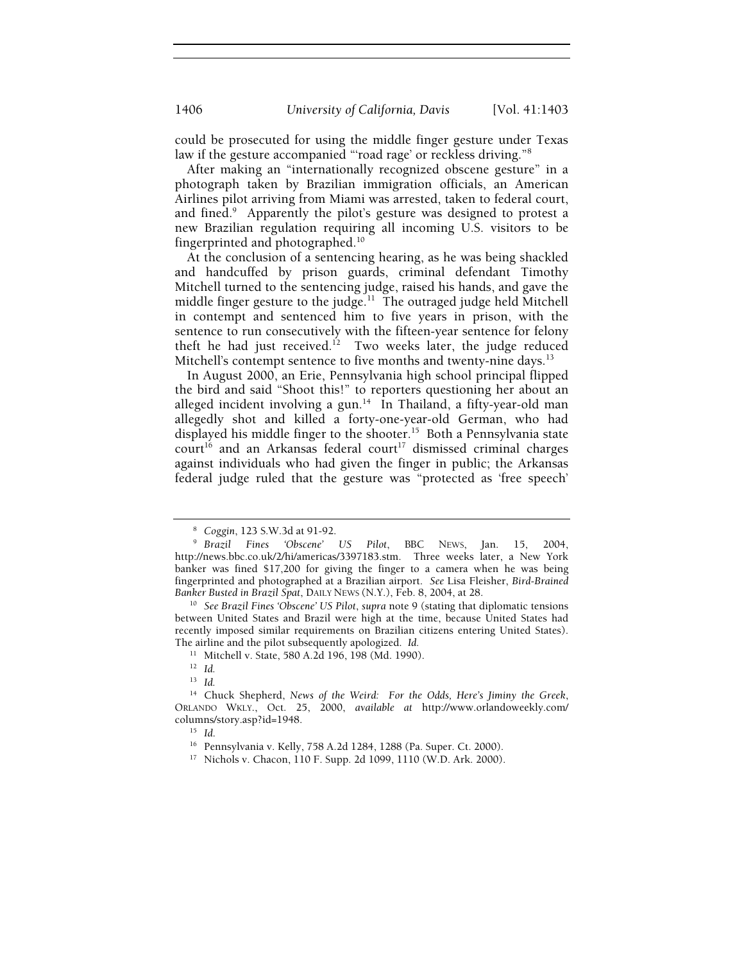could be prosecuted for using the middle finger gesture under Texas law if the gesture accompanied "road rage' or reckless driving."<sup>8</sup>

After making an "internationally recognized obscene gesture" in a photograph taken by Brazilian immigration officials, an American Airlines pilot arriving from Miami was arrested, taken to federal court, and fined.<sup>9</sup> Apparently the pilot's gesture was designed to protest a new Brazilian regulation requiring all incoming U.S. visitors to be fingerprinted and photographed.10

At the conclusion of a sentencing hearing, as he was being shackled and handcuffed by prison guards, criminal defendant Timothy Mitchell turned to the sentencing judge, raised his hands, and gave the middle finger gesture to the judge.<sup>11</sup> The outraged judge held Mitchell in contempt and sentenced him to five years in prison, with the sentence to run consecutively with the fifteen-year sentence for felony theft he had just received.<sup>12</sup> Two weeks later, the judge reduced Mitchell's contempt sentence to five months and twenty-nine days.<sup>13</sup>

In August 2000, an Erie, Pennsylvania high school principal flipped the bird and said "Shoot this!" to reporters questioning her about an alleged incident involving a gun.<sup>14</sup> In Thailand, a fifty-year-old man allegedly shot and killed a forty-one-year-old German, who had displayed his middle finger to the shooter.<sup>15</sup> Both a Pennsylvania state  $c$ ourt<sup>16</sup> and an Arkansas federal court<sup>17</sup> dismissed criminal charges against individuals who had given the finger in public; the Arkansas federal judge ruled that the gesture was "protected as 'free speech'

<sup>&</sup>lt;sup>8</sup> Coggin, 123 S.W.3d at 91-92.<br><sup>9</sup> Brazil – Fines – 'Obscene'

*Brazil Fines 'Obscene' US Pilot*, BBC NEWS, Jan. 15, 2004, http://news.bbc.co.uk/2/hi/americas/3397183.stm. Three weeks later, a New York banker was fined \$17,200 for giving the finger to a camera when he was being fingerprinted and photographed at a Brazilian airport. *See* Lisa Fleisher, *Bird-Brained Banker Busted in Brazil Spat*, DAILY NEWS (N.Y.), Feb. 8, 2004, at 28. 10 *See Brazil Fines 'Obscene' US Pilot*, *supra* note 9 (stating that diplomatic tensions

between United States and Brazil were high at the time, because United States had recently imposed similar requirements on Brazilian citizens entering United States). The airline and the pilot subsequently apologized. *Id.* 

<sup>11</sup> Mitchell v. State, 580 A.2d 196, 198 (Md. 1990).

<sup>12</sup> *Id.*

<sup>13</sup> *Id.*

<sup>14</sup> Chuck Shepherd, *News of the Weird: For the Odds, Here's Jiminy the Greek*, ORLANDO WKLY., Oct. 25, 2000, *available at* http://www.orlandoweekly.com/

<sup>&</sup>lt;sup>15</sup> Id.<br><sup>16</sup> Pennsylvania v. Kelly, 758 A.2d 1284, 1288 (Pa. Super. Ct. 2000).

<sup>17</sup> Nichols v. Chacon, 110 F. Supp. 2d 1099, 1110 (W.D. Ark. 2000).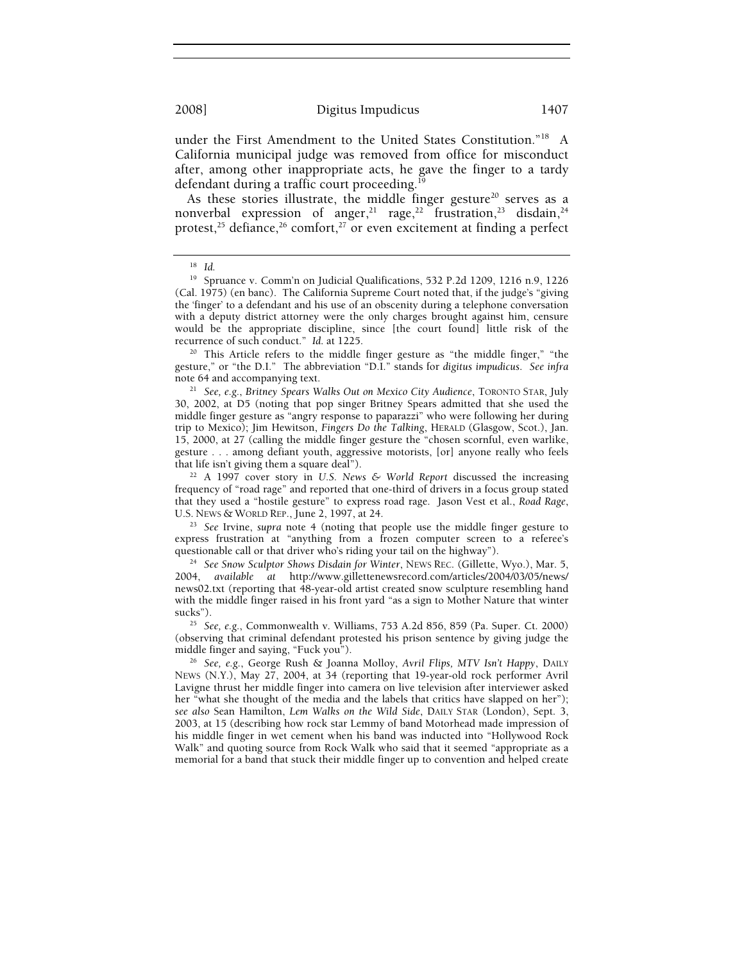under the First Amendment to the United States Constitution."18 A California municipal judge was removed from office for misconduct after, among other inappropriate acts, he gave the finger to a tardy defendant during a traffic court proceeding.<sup>19</sup>

As these stories illustrate, the middle finger gesture<sup>20</sup> serves as a nonverbal expression of anger,<sup>21</sup> rage,<sup>22</sup> frustration,<sup>23</sup> disdain,<sup>24</sup> protest,<sup>25</sup> defiance,<sup>26</sup> comfort,<sup>27</sup> or even excitement at finding a perfect

recurrence of such conduct." *Id*. at 1225. 20 This Article refers to the middle finger gesture as "the middle finger," "the gesture," or "the D.I." The abbreviation "D.I." stands for *digitus impudicus*. *See infra*  note 64 and accompanying text. 21 *See, e.g.*, *Britney Spears Walks Out on Mexico City Audience*, TORONTO STAR, July

30, 2002, at D5 (noting that pop singer Britney Spears admitted that she used the middle finger gesture as "angry response to paparazzi" who were following her during trip to Mexico); Jim Hewitson, *Fingers Do the Talking*, HERALD (Glasgow, Scot.), Jan. 15, 2000, at 27 (calling the middle finger gesture the "chosen scornful, even warlike, gesture . . . among defiant youth, aggressive motorists, [or] anyone really who feels that life isn't giving them a square deal"). 22 A 1997 cover story in *U.S. News & World Report* discussed the increasing

frequency of "road rage" and reported that one-third of drivers in a focus group stated that they used a "hostile gesture" to express road rage. Jason Vest et al., *Road Rage*,

<sup>23</sup> See Irvine, supra note 4 (noting that people use the middle finger gesture to express frustration at "anything from a frozen computer screen to a referee's questionable call or that driver who's riding your tail on the highway"). 24 *See Snow Sculptor Shows Disdain for Winter*, NEWS REC. (Gillette, Wyo.), Mar. 5,

2004, *available at* http://www.gillettenewsrecord.com/articles/2004/03/05/news/ news02.txt (reporting that 48-year-old artist created snow sculpture resembling hand with the middle finger raised in his front yard "as a sign to Mother Nature that winter sucks"). 25 *See, e.g.*, Commonwealth v. Williams, 753 A.2d 856, 859 (Pa. Super. Ct. 2000)

(observing that criminal defendant protested his prison sentence by giving judge the

middle finger and saying, "Fuck you"). 26 *See, e.g.*, George Rush & Joanna Molloy, *Avril Flips, MTV Isn't Happy*, DAILY NEWS (N.Y.), May 27, 2004, at 34 (reporting that 19-year-old rock performer Avril Lavigne thrust her middle finger into camera on live television after interviewer asked her "what she thought of the media and the labels that critics have slapped on her"); *see also* Sean Hamilton, *Lem Walks on the Wild Side*, DAILY STAR (London), Sept. 3, 2003, at 15 (describing how rock star Lemmy of band Motorhead made impression of his middle finger in wet cement when his band was inducted into "Hollywood Rock Walk" and quoting source from Rock Walk who said that it seemed "appropriate as a memorial for a band that stuck their middle finger up to convention and helped create

<sup>18</sup> *Id.*

<sup>&</sup>lt;sup>19</sup> Spruance v. Comm'n on Judicial Qualifications, 532 P.2d 1209, 1216 n.9, 1226 (Cal. 1975) (en banc). The California Supreme Court noted that, if the judge's "giving the 'finger' to a defendant and his use of an obscenity during a telephone conversation with a deputy district attorney were the only charges brought against him, censure would be the appropriate discipline, since [the court found] little risk of the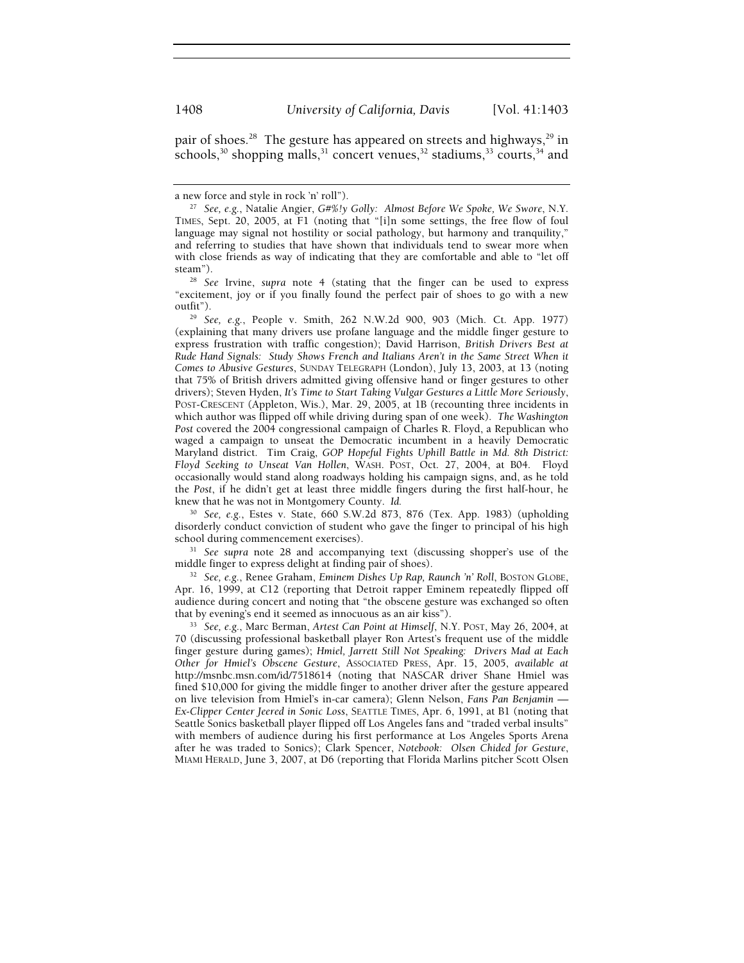pair of shoes.<sup>28</sup> The gesture has appeared on streets and highways,<sup>29</sup> in schools,<sup>30</sup> shopping malls,<sup>31</sup> concert venues,<sup>32</sup> stadiums,<sup>33</sup> courts,<sup>34</sup> and

steam"). 28 *See* Irvine, *supra* note 4 (stating that the finger can be used to express "excitement, joy or if you finally found the perfect pair of shoes to go with a new

outfit"). 29 *See, e.g.*, People v. Smith, 262 N.W.2d 900, 903 (Mich. Ct. App. 1977) (explaining that many drivers use profane language and the middle finger gesture to express frustration with traffic congestion); David Harrison, *British Drivers Best at Rude Hand Signals: Study Shows French and Italians Aren't in the Same Street When it Comes to Abusive Gestures*, SUNDAY TELEGRAPH (London), July 13, 2003, at 13 (noting that 75% of British drivers admitted giving offensive hand or finger gestures to other drivers); Steven Hyden, *It's Time to Start Taking Vulgar Gestures a Little More Seriously*, POST-CRESCENT (Appleton, Wis.), Mar. 29, 2005, at 1B (recounting three incidents in which author was flipped off while driving during span of one week). *The Washington*  Post covered the 2004 congressional campaign of Charles R. Floyd, a Republican who waged a campaign to unseat the Democratic incumbent in a heavily Democratic Maryland district. Tim Craig, *GOP Hopeful Fights Uphill Battle in Md. 8th District: Floyd Seeking to Unseat Van Hollen*, WASH. POST, Oct. 27, 2004, at B04. Floyd occasionally would stand along roadways holding his campaign signs, and, as he told the *Post*, if he didn't get at least three middle fingers during the first half-hour, he knew that he was not in Montgomery County. *Id.* 

<sup>30</sup> *See, e.g.*, Estes v. State, 660 S.W.2d 873, 876 (Tex. App. 1983) (upholding disorderly conduct conviction of student who gave the finger to principal of his high school during commencement exercises). 31 *See supra* note 28 and accompanying text (discussing shopper's use of the

middle finger to express delight at finding pair of shoes). 32 *See, e.g.*, Renee Graham, *Eminem Dishes Up Rap, Raunch 'n' Roll*, BOSTON GLOBE,

Apr. 16, 1999, at C12 (reporting that Detroit rapper Eminem repeatedly flipped off audience during concert and noting that "the obscene gesture was exchanged so often that by evening's end it seemed as innocuous as an air kiss").

<sup>33</sup> See, e.g., Marc Berman, *Artest Can Point at Himself*, N.Y. POST, May 26, 2004, at 70 (discussing professional basketball player Ron Artest's frequent use of the middle finger gesture during games); *Hmiel, Jarrett Still Not Speaking: Drivers Mad at Each Other for Hmiel's Obscene Gesture*, ASSOCIATED PRESS, Apr. 15, 2005, *available at*  http://msnbc.msn.com/id/7518614 (noting that NASCAR driver Shane Hmiel was fined \$10,000 for giving the middle finger to another driver after the gesture appeared on live television from Hmiel's in-car camera); Glenn Nelson, *Fans Pan Benjamin — Ex-Clipper Center Jeered in Sonic Loss*, SEATTLE TIMES, Apr. 6, 1991, at B1 (noting that Seattle Sonics basketball player flipped off Los Angeles fans and "traded verbal insults" with members of audience during his first performance at Los Angeles Sports Arena after he was traded to Sonics); Clark Spencer, *Notebook: Olsen Chided for Gesture*, MIAMI HERALD, June 3, 2007, at D6 (reporting that Florida Marlins pitcher Scott Olsen

a new force and style in rock 'n' roll"). 27 *See, e.g.*, Natalie Angier, *G#%!y Golly: Almost Before We Spoke, We Swore*, N.Y. TIMES, Sept. 20, 2005, at F1 (noting that "[i]n some settings, the free flow of foul language may signal not hostility or social pathology, but harmony and tranquility," and referring to studies that have shown that individuals tend to swear more when with close friends as way of indicating that they are comfortable and able to "let off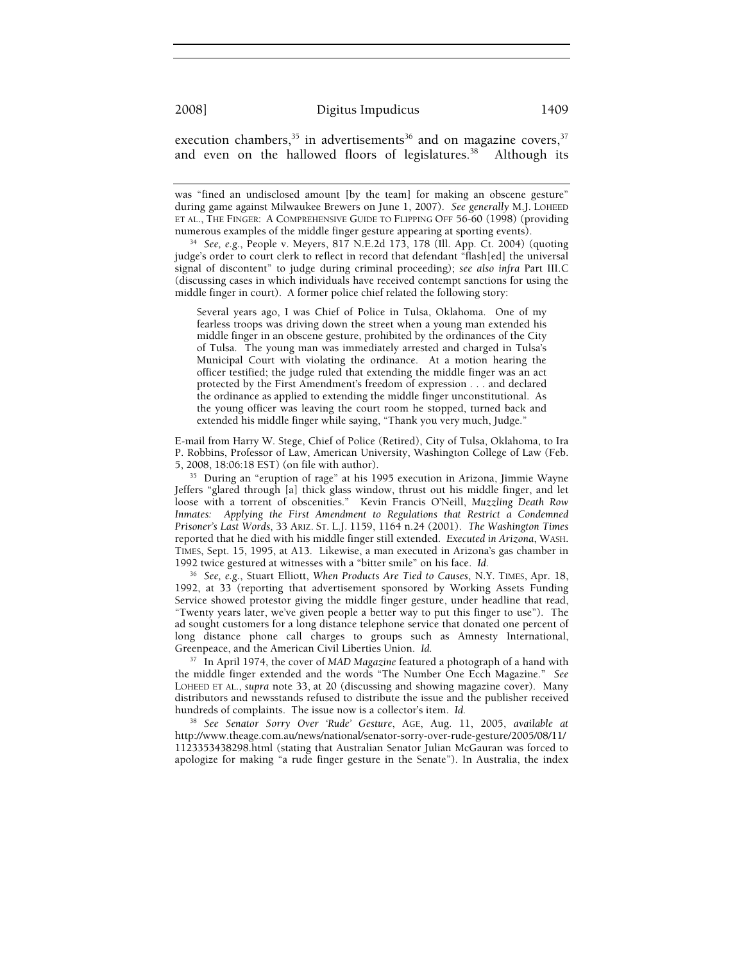execution chambers,  $35$  in advertisements  $36$  and on magazine covers,  $37$ and even on the hallowed floors of legislatures.<sup>38</sup> Although its

was "fined an undisclosed amount [by the team] for making an obscene gesture" during game against Milwaukee Brewers on June 1, 2007). *See generally* M.J. LOHEED ET AL., THE FINGER: A COMPREHENSIVE GUIDE TO FLIPPING OFF 56-60 (1998) (providing

<sup>34</sup> See, e.g., People v. Meyers, 817 N.E.2d 173, 178 (Ill. App. Ct. 2004) (quoting judge's order to court clerk to reflect in record that defendant "flash[ed] the universal signal of discontent" to judge during criminal proceeding); *see also infra* Part III.C (discussing cases in which individuals have received contempt sanctions for using the middle finger in court). A former police chief related the following story:

Several years ago, I was Chief of Police in Tulsa, Oklahoma. One of my fearless troops was driving down the street when a young man extended his middle finger in an obscene gesture, prohibited by the ordinances of the City of Tulsa. The young man was immediately arrested and charged in Tulsa's Municipal Court with violating the ordinance. At a motion hearing the officer testified; the judge ruled that extending the middle finger was an act protected by the First Amendment's freedom of expression . . . and declared the ordinance as applied to extending the middle finger unconstitutional. As the young officer was leaving the court room he stopped, turned back and extended his middle finger while saying, "Thank you very much, Judge."

E-mail from Harry W. Stege, Chief of Police (Retired), City of Tulsa, Oklahoma, to Ira P. Robbins, Professor of Law, American University, Washington College of Law (Feb. 5, 2008, 18:06:18 EST) (on file with author). 35 During an "eruption of rage" at his 1995 execution in Arizona, Jimmie Wayne

Jeffers "glared through [a] thick glass window, thrust out his middle finger, and let loose with a torrent of obscenities." Kevin Francis O'Neill, *Muzzling Death Row Inmates: Applying the First Amendment to Regulations that Restrict a Condemned Prisoner's Last Words*, 33 ARIZ. ST. L.J. 1159, 1164 n.24 (2001). *The Washington Times* reported that he died with his middle finger still extended. *Executed in Arizona*, WASH. TIMES, Sept. 15, 1995, at A13. Likewise, a man executed in Arizona's gas chamber in 1992 twice gestured at witnesses with a "bitter smile" on his face. *Id.* 

<sup>36</sup> *See, e.g.*, Stuart Elliott, *When Products Are Tied to Causes*, N.Y. TIMES, Apr. 18, 1992, at 33 (reporting that advertisement sponsored by Working Assets Funding Service showed protestor giving the middle finger gesture, under headline that read, "Twenty years later, we've given people a better way to put this finger to use"). The ad sought customers for a long distance telephone service that donated one percent of long distance phone call charges to groups such as Amnesty International, Greenpeace, and the American Civil Liberties Union. *Id.* 

37 In April 1974, the cover of *MAD Magazine* featured a photograph of a hand with the middle finger extended and the words "The Number One Ecch Magazine." *See*  LOHEED ET AL., *supra* note 33, at 20 (discussing and showing magazine cover). Many distributors and newsstands refused to distribute the issue and the publisher received hundreds of complaints. The issue now is a collector's item. *Id.* 

<sup>38</sup> *See Senator Sorry Over 'Rude' Gesture*, AGE, Aug. 11, 2005, *available at* http://www.theage.com.au/news/national/senator-sorry-over-rude-gesture/2005/08/11/ 1123353438298.html (stating that Australian Senator Julian McGauran was forced to apologize for making "a rude finger gesture in the Senate"). In Australia, the index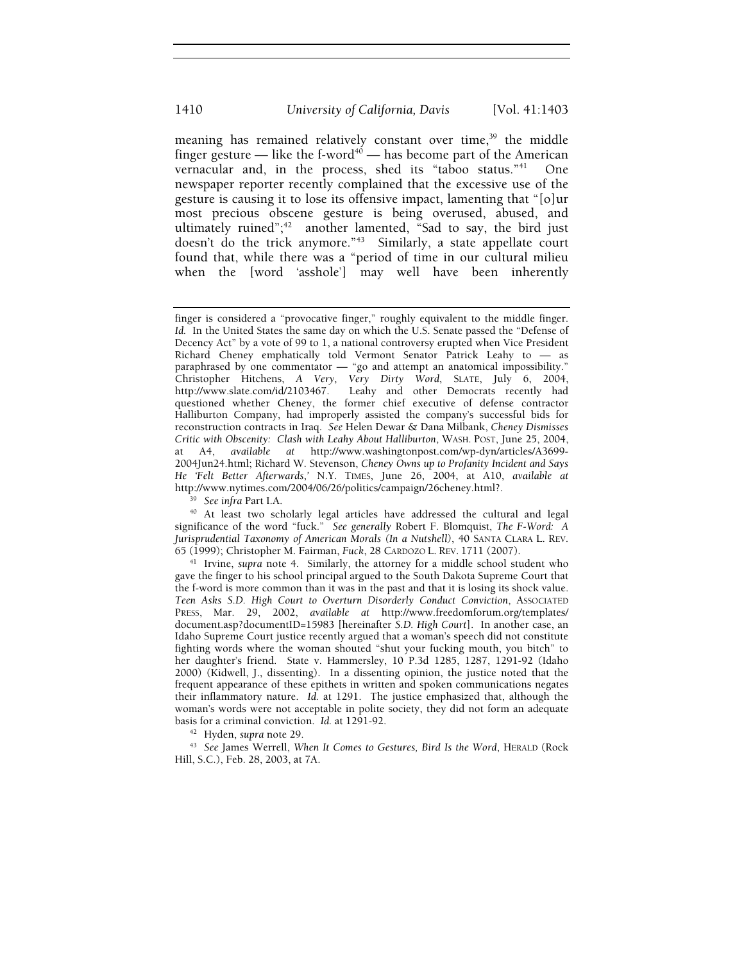meaning has remained relatively constant over time,<sup>39</sup> the middle finger gesture — like the f-word<sup>40</sup> — has become part of the American vernacular and, in the process, shed its "taboo status."<sup>41</sup> One newspaper reporter recently complained that the excessive use of the gesture is causing it to lose its offensive impact, lamenting that "[o]ur most precious obscene gesture is being overused, abused, and ultimately ruined";<sup>42</sup> another lamented, "Sad to say, the bird just doesn't do the trick anymore."<sup>43</sup> Similarly, a state appellate court found that, while there was a "period of time in our cultural milieu when the [word 'asshole'] may well have been inherently

<sup>39</sup> See infra Part I.A.<br><sup>40</sup> At least two scholarly legal articles have addressed the cultural and legal significance of the word "fuck." *See generally* Robert F. Blomquist, *The F-Word: A Jurisprudential Taxonomy of American Morals (In a Nutshell)*, 40 SANTA CLARA L. REV.

65 (1999); Christopher M. Fairman, *Fuck*, 28 CARDOZO L. REV. 1711 (2007). 41 Irvine, *supra* note 4. Similarly, the attorney for a middle school student who gave the finger to his school principal argued to the South Dakota Supreme Court that the f-word is more common than it was in the past and that it is losing its shock value. *Teen Asks S.D. High Court to Overturn Disorderly Conduct Conviction*, ASSOCIATED PRESS, Mar. 29, 2002, *available at* http://www.freedomforum.org/templates/ document.asp?documentID=15983 [hereinafter *S.D. High Court*]. In another case, an Idaho Supreme Court justice recently argued that a woman's speech did not constitute fighting words where the woman shouted "shut your fucking mouth, you bitch" to her daughter's friend. State v. Hammersley, 10 P.3d 1285, 1287, 1291-92 (Idaho 2000) (Kidwell, J., dissenting). In a dissenting opinion, the justice noted that the frequent appearance of these epithets in written and spoken communications negates their inflammatory nature. *Id.* at 1291. The justice emphasized that, although the woman's words were not acceptable in polite society, they did not form an adequate basis for a criminal conviction. *Id.* at 1291-92.

<sup>42</sup> Hyden, supra note 29.<br><sup>43</sup> See James Werrell, *When It Comes to Gestures, Bird Is the Word*, HERALD (Rock Hill, S.C.), Feb. 28, 2003, at 7A.

finger is considered a "provocative finger," roughly equivalent to the middle finger. *Id.* In the United States the same day on which the U.S. Senate passed the "Defense of Decency Act" by a vote of 99 to 1, a national controversy erupted when Vice President Richard Cheney emphatically told Vermont Senator Patrick Leahy to — as paraphrased by one commentator — "go and attempt an anatomical impossibility." Christopher Hitchens, *A Very, Very Dirty Word*, SLATE, July 6, 2004, http://www.slate.com/id/2103467. Leahy and other Democrats recently had questioned whether Cheney, the former chief executive of defense contractor Halliburton Company, had improperly assisted the company's successful bids for reconstruction contracts in Iraq. *See* Helen Dewar & Dana Milbank, *Cheney Dismisses Critic with Obscenity: Clash with Leahy About Halliburton*, WASH. POST, June 25, 2004, at A4, *available at* http://www.washingtonpost.com/wp-dyn/articles/A3699- 2004Jun24.html; Richard W. Stevenson, *Cheney Owns up to Profanity Incident and Says He 'Felt Better Afterwards*,*'* N.Y. TIMES, June 26, 2004, at A10, *available at*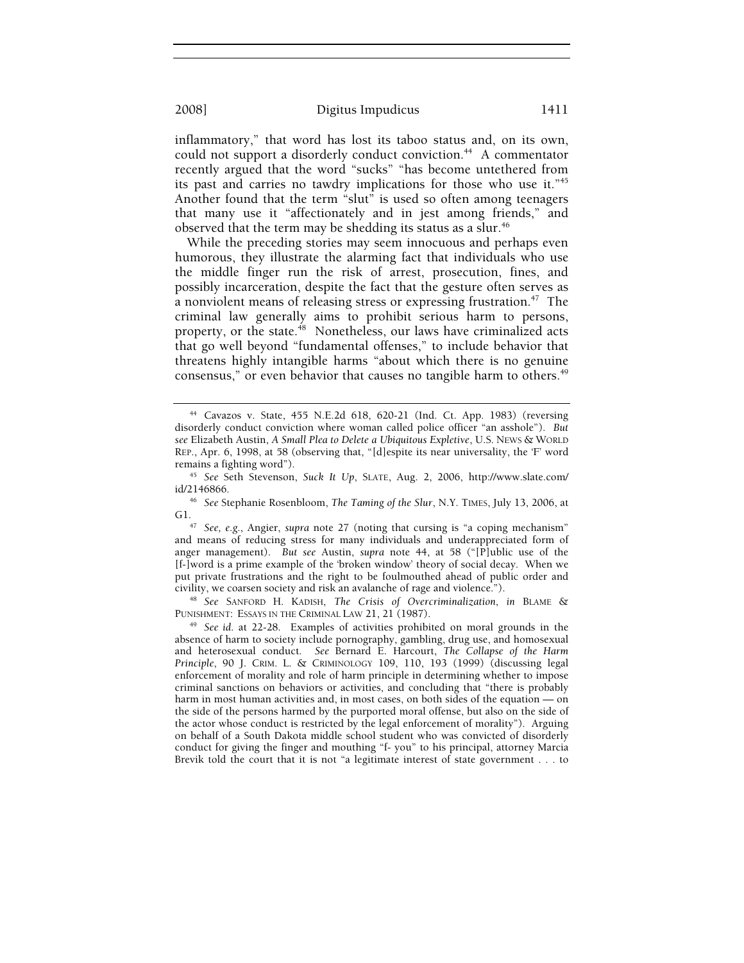inflammatory," that word has lost its taboo status and, on its own, could not support a disorderly conduct conviction.<sup>44</sup> A commentator recently argued that the word "sucks" "has become untethered from its past and carries no tawdry implications for those who use it."45 Another found that the term "slut" is used so often among teenagers that many use it "affectionately and in jest among friends," and observed that the term may be shedding its status as a slur.<sup>46</sup>

While the preceding stories may seem innocuous and perhaps even humorous, they illustrate the alarming fact that individuals who use the middle finger run the risk of arrest, prosecution, fines, and possibly incarceration, despite the fact that the gesture often serves as a nonviolent means of releasing stress or expressing frustration.<sup>47</sup> The criminal law generally aims to prohibit serious harm to persons, property, or the state.<sup>48</sup> Nonetheless, our laws have criminalized acts that go well beyond "fundamental offenses," to include behavior that threatens highly intangible harms "about which there is no genuine consensus," or even behavior that causes no tangible harm to others.<sup>49</sup>

<sup>48</sup> See SANFORD H. KADISH, The Crisis of Overcriminalization, in BLAME & PUNISHMENT: ESSAYS IN THE CRIMINAL LAW 21, 21 (1987).

<sup>49</sup> See *id.* at 22-28. Examples of activities prohibited on moral grounds in the absence of harm to society include pornography, gambling, drug use, and homosexual and heterosexual conduct. *See* Bernard E. Harcourt, *The Collapse of the Harm Principle*, 90 J. CRIM. L. & CRIMINOLOGY 109, 110, 193 (1999) (discussing legal enforcement of morality and role of harm principle in determining whether to impose criminal sanctions on behaviors or activities, and concluding that "there is probably harm in most human activities and, in most cases, on both sides of the equation — on the side of the persons harmed by the purported moral offense, but also on the side of the actor whose conduct is restricted by the legal enforcement of morality"). Arguing on behalf of a South Dakota middle school student who was convicted of disorderly conduct for giving the finger and mouthing "f- you" to his principal, attorney Marcia Brevik told the court that it is not "a legitimate interest of state government . . . to

<sup>44</sup> Cavazos v. State, 455 N.E.2d 618, 620-21 (Ind. Ct. App. 1983) (reversing disorderly conduct conviction where woman called police officer "an asshole"). *But see* Elizabeth Austin, *A Small Plea to Delete a Ubiquitous Expletive*, U.S. NEWS & WORLD REP., Apr. 6, 1998, at 58 (observing that, "[d]espite its near universality, the 'F' word

remains a fighting word"). 45 *See* Seth Stevenson, *Suck It Up*, SLATE, Aug. 2, 2006, http://www.slate.com/

<sup>&</sup>lt;sup>46</sup> See Stephanie Rosenbloom, *The Taming of the Slur*, N.Y. TIMES, July 13, 2006, at G1. 47 *See, e.g.*, Angier, *supra* note 27 (noting that cursing is "a coping mechanism"

and means of reducing stress for many individuals and underappreciated form of anger management). *But see* Austin, *supra* note 44, at 58 ("[P]ublic use of the [f-]word is a prime example of the 'broken window' theory of social decay. When we put private frustrations and the right to be foulmouthed ahead of public order and civility, we coarsen society and risk an avalanche of rage and violence.").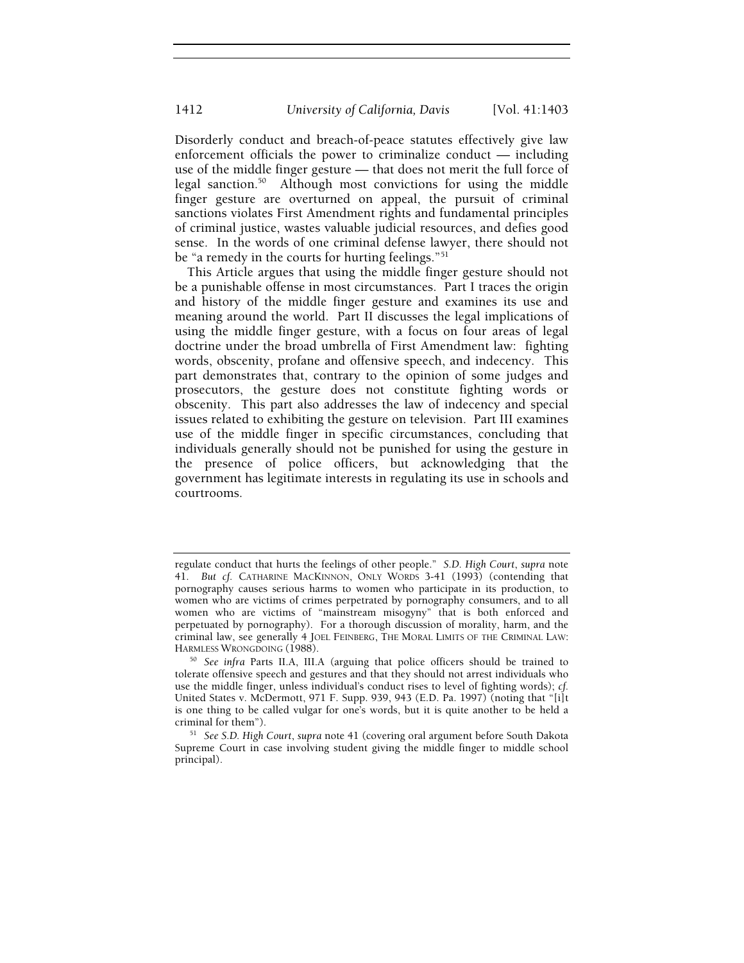Disorderly conduct and breach-of-peace statutes effectively give law enforcement officials the power to criminalize conduct — including use of the middle finger gesture — that does not merit the full force of legal sanction.50 Although most convictions for using the middle finger gesture are overturned on appeal, the pursuit of criminal sanctions violates First Amendment rights and fundamental principles of criminal justice, wastes valuable judicial resources, and defies good sense. In the words of one criminal defense lawyer, there should not be "a remedy in the courts for hurting feelings."<sup>51</sup>

This Article argues that using the middle finger gesture should not be a punishable offense in most circumstances. Part I traces the origin and history of the middle finger gesture and examines its use and meaning around the world. Part II discusses the legal implications of using the middle finger gesture, with a focus on four areas of legal doctrine under the broad umbrella of First Amendment law: fighting words, obscenity, profane and offensive speech, and indecency. This part demonstrates that, contrary to the opinion of some judges and prosecutors, the gesture does not constitute fighting words or obscenity. This part also addresses the law of indecency and special issues related to exhibiting the gesture on television. Part III examines use of the middle finger in specific circumstances, concluding that individuals generally should not be punished for using the gesture in the presence of police officers, but acknowledging that the government has legitimate interests in regulating its use in schools and courtrooms.

regulate conduct that hurts the feelings of other people." *S.D. High Court*, *supra* note 41. *But cf.* CATHARINE MACKINNON, ONLY WORDS 3-41 (1993) (contending that pornography causes serious harms to women who participate in its production, to women who are victims of crimes perpetrated by pornography consumers, and to all women who are victims of "mainstream misogyny" that is both enforced and perpetuated by pornography). For a thorough discussion of morality, harm, and the criminal law, see generally 4 JOEL FEINBERG, THE MORAL LIMITS OF THE CRIMINAL LAW:<br>HARMLESS WRONGDOING (1988).

<sup>&</sup>lt;sup>50</sup> See infra Parts II.A, III.A (arguing that police officers should be trained to tolerate offensive speech and gestures and that they should not arrest individuals who use the middle finger, unless individual's conduct rises to level of fighting words); *cf.* United States v. McDermott, 971 F. Supp. 939, 943 (E.D. Pa. 1997) (noting that "[i]t is one thing to be called vulgar for one's words, but it is quite another to be held a criminal for them"). 51 *See S.D. High Court*, *supra* note 41 (covering oral argument before South Dakota

Supreme Court in case involving student giving the middle finger to middle school principal).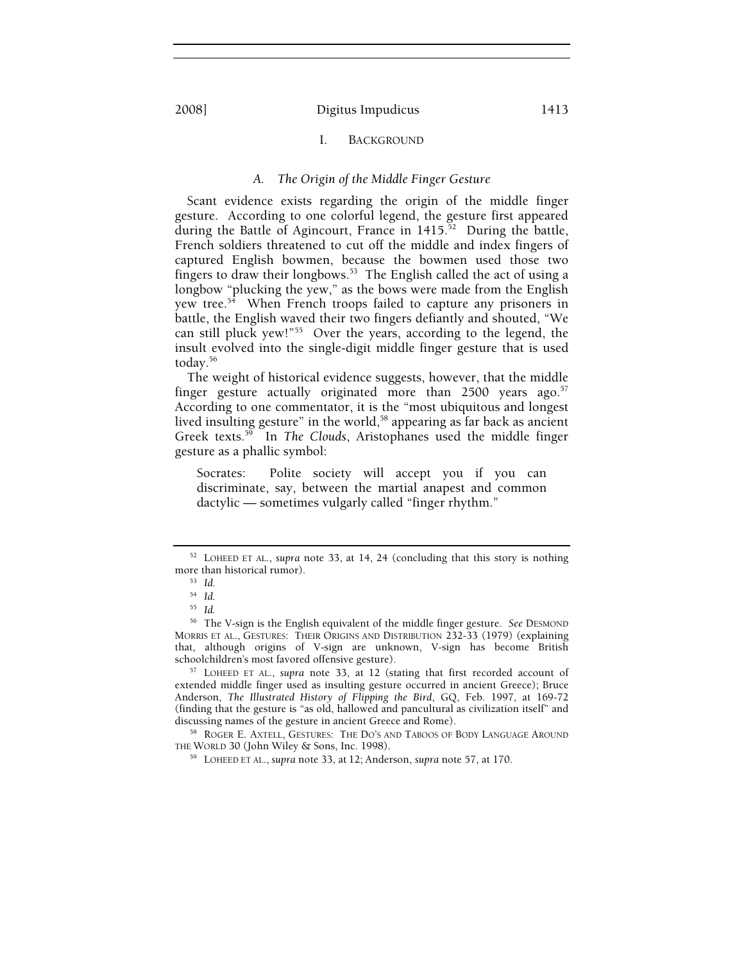## I. BACKGROUND

## *A. The Origin of the Middle Finger Gesture*

Scant evidence exists regarding the origin of the middle finger gesture. According to one colorful legend, the gesture first appeared during the Battle of Agincourt, France in 1415.<sup>52</sup> During the battle, French soldiers threatened to cut off the middle and index fingers of captured English bowmen, because the bowmen used those two fingers to draw their longbows.<sup>53</sup> The English called the act of using a longbow "plucking the yew," as the bows were made from the English yew tree.<sup>54</sup> When French troops failed to capture any prisoners in battle, the English waved their two fingers defiantly and shouted, "We can still pluck yew!"55 Over the years, according to the legend, the insult evolved into the single-digit middle finger gesture that is used today.56

The weight of historical evidence suggests, however, that the middle finger gesture actually originated more than  $2500$  years ago.<sup>57</sup> According to one commentator, it is the "most ubiquitous and longest lived insulting gesture" in the world,<sup>58</sup> appearing as far back as ancient Greek texts.59 In *The Clouds*, Aristophanes used the middle finger gesture as a phallic symbol:

Socrates: Polite society will accept you if you can discriminate, say, between the martial anapest and common dactylic — sometimes vulgarly called "finger rhythm."

extended middle finger used as insulting gesture occurred in ancient Greece); Bruce Anderson, *The Illustrated History of Flipping the Bird*, GQ, Feb. 1997, at 169-72 (finding that the gesture is "as old, hallowed and pancultural as civilization itself" and

 $^{58}$  ROGER E. AXTELL, GESTURES: THE DO'S AND TABOOS OF BODY LANGUAGE AROUND THE WORLD 30 (John Wiley & Sons, Inc. 1998).

<sup>59</sup> LOHEED ET AL., *supra* note 33, at 12; Anderson, *supra* note 57, at 170.

<sup>52</sup> LOHEED ET AL., *supra* note 33, at 14, 24 (concluding that this story is nothing more than historical rumor). 53 *Id.*

<sup>54</sup> *Id.*

<sup>55</sup> *Id.*

<sup>56</sup> The V-sign is the English equivalent of the middle finger gesture. *See* DESMOND MORRIS ET AL., GESTURES: THEIR ORIGINS AND DISTRIBUTION 232-33 (1979) (explaining that, although origins of V-sign are unknown, V-sign has become British schoolchildren's most favored offensive gesture). 57 LOHEED ET AL., *supra* note 33, at <sup>12</sup> (stating that first recorded account of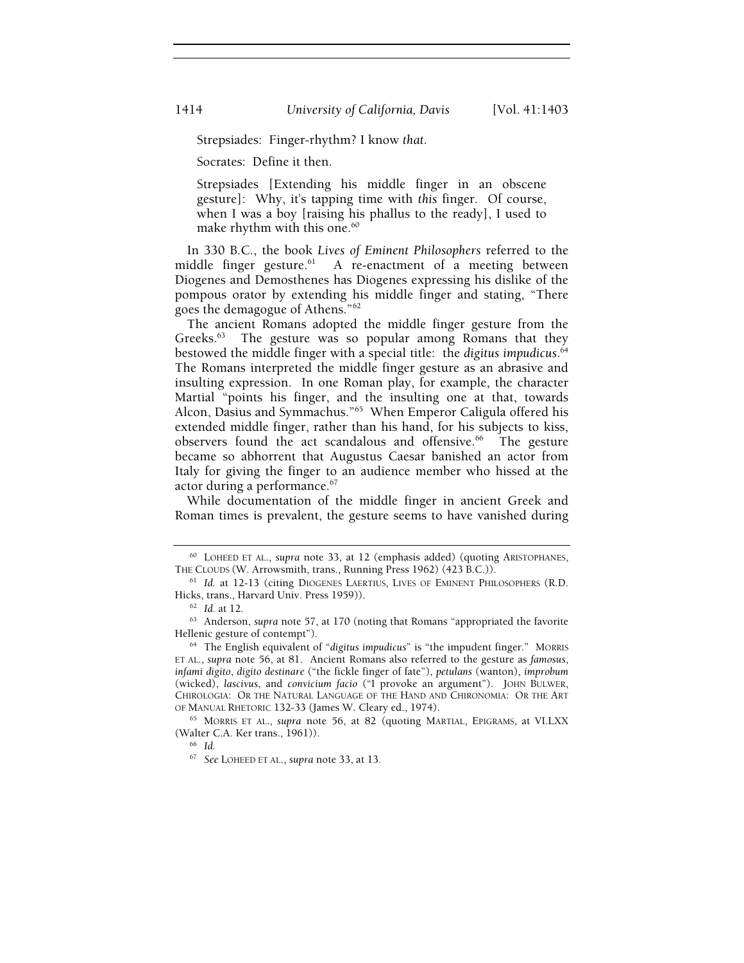Strepsiades: Finger-rhythm? I know *that*.

Socrates: Define it then.

Strepsiades [Extending his middle finger in an obscene gesture]: Why, it's tapping time with *this* finger. Of course, when I was a boy [raising his phallus to the ready], I used to make rhythm with this one.<sup>60</sup>

In 330 B.C., the book *Lives of Eminent Philosophers* referred to the middle finger gesture. $61$  A re-enactment of a meeting between Diogenes and Demosthenes has Diogenes expressing his dislike of the pompous orator by extending his middle finger and stating, "There goes the demagogue of Athens."62

The ancient Romans adopted the middle finger gesture from the Greeks.<sup>63</sup> The gesture was so popular among Romans that they bestowed the middle finger with a special title: the *digitus impudicus*. 64 The Romans interpreted the middle finger gesture as an abrasive and insulting expression. In one Roman play, for example, the character Martial "points his finger, and the insulting one at that, towards Alcon, Dasius and Symmachus."65 When Emperor Caligula offered his extended middle finger, rather than his hand, for his subjects to kiss, observers found the act scandalous and offensive.<sup>66</sup> The gesture became so abhorrent that Augustus Caesar banished an actor from Italy for giving the finger to an audience member who hissed at the actor during a performance.<sup>67</sup>

While documentation of the middle finger in ancient Greek and Roman times is prevalent, the gesture seems to have vanished during

<sup>60</sup> LOHEED ET AL., *supra* note 33, at 12 (emphasis added) (quoting ARISTOPHANES,

THE CLOUDS (W. Arrowsmith, trans., Running Press 1962) (423 B.C.)).<br><sup>61</sup> *Id.* at 12-13 (citing DIOGENES LAERTIUS, LIVES OF EMINENT PHILOSOPHERS (R.D.<br>Hicks, trans., Harvard Univ. Press 1959)).

<sup>&</sup>lt;sup>62</sup> Id. at 12.<br><sup>63</sup> Anderson, *supra* note 57, at 170 (noting that Romans "appropriated the favorite Hellenic gesture of contempt"). 64 The English equivalent of "*digitus impudicus*" is "the impudent finger." MORRIS

ET AL., *supra* note 56, at 81. Ancient Romans also referred to the gesture as *famosus*, *infami digito*, *digito destinare* ("the fickle finger of fate"), *petulans* (wanton), *improbum*  (wicked), *lascivus*, and *convicium facio* ("I provoke an argument"). JOHN BULWER, CHIROLOGIA: OR THE NATURAL LANGUAGE OF THE HAND AND CHIRONOMIA: OR THE ART OF MANUAL RHETORIC 132-33 (James W. Cleary ed., 1974). 65 MORRIS ET AL., *supra* note 56, at 82 (quoting MARTIAL, EPIGRAMS, at VI.LXX

<sup>(</sup>Walter C.A. Ker trans., 1961)). 66 *Id.*

<sup>67</sup> *See* LOHEED ET AL., *supra* note 33, at 13*.*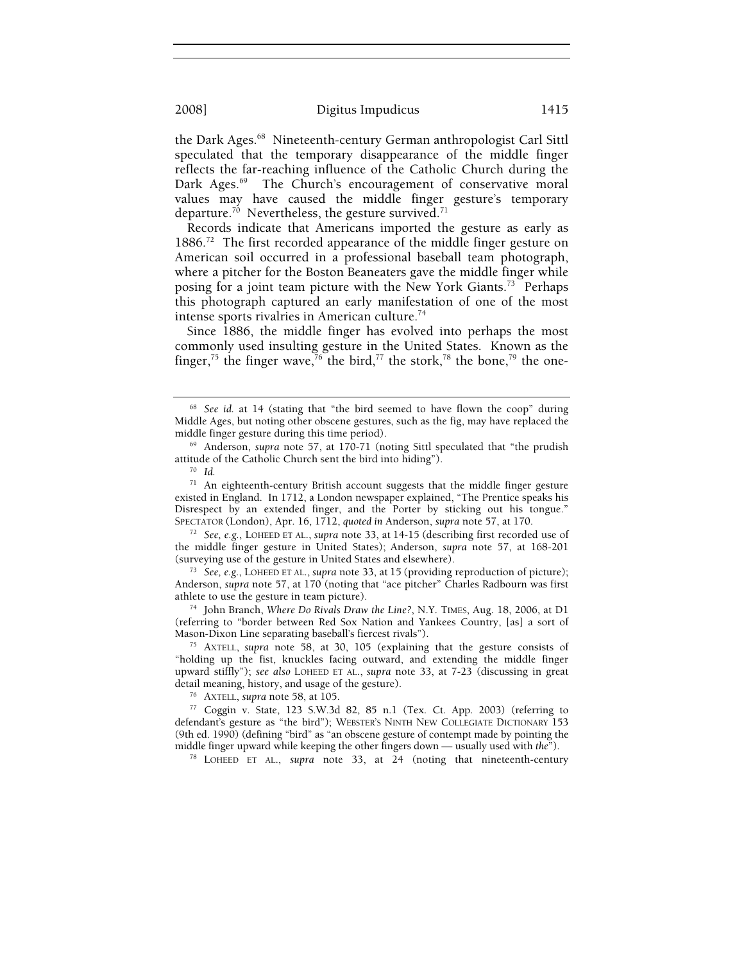the Dark Ages.<sup>68</sup> Nineteenth-century German anthropologist Carl Sittl speculated that the temporary disappearance of the middle finger reflects the far-reaching influence of the Catholic Church during the Dark Ages.<sup>69</sup> The Church's encouragement of conservative moral values may have caused the middle finger gesture's temporary departure.<sup>70</sup> Nevertheless, the gesture survived.<sup>71</sup>

Records indicate that Americans imported the gesture as early as 1886.<sup>72</sup> The first recorded appearance of the middle finger gesture on American soil occurred in a professional baseball team photograph, where a pitcher for the Boston Beaneaters gave the middle finger while posing for a joint team picture with the New York Giants.<sup>73</sup> Perhaps this photograph captured an early manifestation of one of the most intense sports rivalries in American culture.<sup>74</sup>

Since 1886, the middle finger has evolved into perhaps the most commonly used insulting gesture in the United States. Known as the finger,<sup>75</sup> the finger wave,<sup>76</sup> the bird,<sup>77</sup> the stork,<sup>78</sup> the bone,<sup>79</sup> the one-

 $71$  An eighteenth-century British account suggests that the middle finger gesture existed in England. In 1712, a London newspaper explained, "The Prentice speaks his Disrespect by an extended finger, and the Porter by sticking out his tongue." SPECTATOR (London), Apr. 16, 1712, *quoted in* Anderson, *supra* note 57, at 170. 72 *See, e.g.*, LOHEED ET AL., *supra* note 33, at 14-15 (describing first recorded use of

the middle finger gesture in United States); Anderson, *supra* note 57, at 168-201 (surveying use of the gesture in United States and elsewhere). 73 *See, e.g.*, LOHEED ET AL., *supra* note 33, at <sup>15</sup> (providing reproduction of picture);

Anderson, *supra* note 57, at 170 (noting that "ace pitcher" Charles Radbourn was first

<sup>74</sup> John Branch, *Where Do Rivals Draw the Line?*, N.Y. TIMES, Aug. 18, 2006, at D1 (referring to "border between Red Sox Nation and Yankees Country, [as] a sort of Mason-Dixon Line separating baseball's fiercest rivals"). 75 AXTELL, *supra* note 58, at 30, 105 (explaining that the gesture consists of

"holding up the fist, knuckles facing outward, and extending the middle finger upward stiffly"); *see also* LOHEED ET AL., *supra* note 33, at 7-23 (discussing in great

<sup>76</sup> AXTELL, *supra* note 58, at 105.<br><sup>77</sup> Coggin v. State, 123 S.W.3d 82, 85 n.1 (Tex. Ct. App. 2003) (referring to defendant's gesture as "the bird"); WEBSTER'S NINTH NEW COLLEGIATE DICTIONARY 153 (9th ed. 1990) (defining "bird" as "an obscene gesture of contempt made by pointing the middle finger upward while keeping the other fingers down — usually used with *the*").<br><sup>78</sup> LOHEED ET AL., *supra* note 33, at 24 (noting that nineteenth-century

<sup>68</sup> *See id.* at 14 (stating that "the bird seemed to have flown the coop" during Middle Ages, but noting other obscene gestures, such as the fig, may have replaced the

<sup>&</sup>lt;sup>69</sup> Anderson, *supra* note 57, at 170-71 (noting Sittl speculated that "the prudish attitude of the Catholic Church sent the bird into hiding"). 70 *Id.*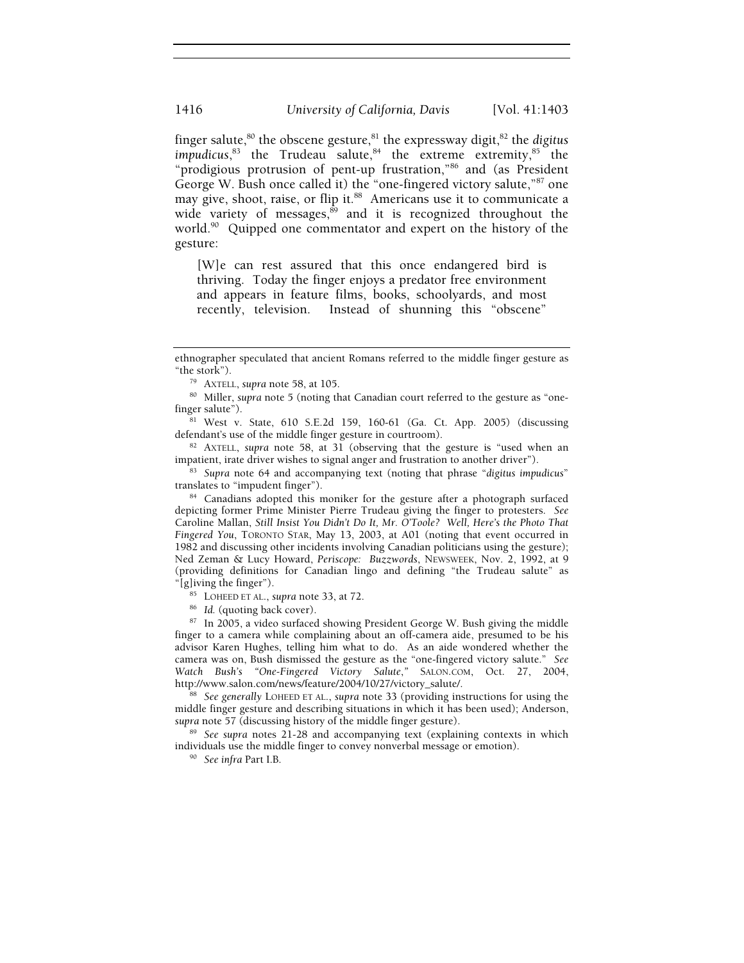finger salute, $80$  the obscene gesture, $81$  the expressway digit, $82$  the *digitus* impudicus,<sup>83</sup> the Trudeau salute,<sup>84</sup> the extreme extremity,<sup>85</sup> the "prodigious protrusion of pent-up frustration,"86 and (as President George W. Bush once called it) the "one-fingered victory salute,"87 one may give, shoot, raise, or flip it.<sup>88</sup> Americans use it to communicate a wide variety of messages, $89$  and it is recognized throughout the world.<sup>90</sup> Quipped one commentator and expert on the history of the gesture:

[W]e can rest assured that this once endangered bird is thriving. Today the finger enjoys a predator free environment and appears in feature films, books, schoolyards, and most recently, television. Instead of shunning this "obscene"

84 Canadians adopted this moniker for the gesture after a photograph surfaced depicting former Prime Minister Pierre Trudeau giving the finger to protesters. *See*  Caroline Mallan, *Still Insist You Didn't Do It, Mr. O'Toole? Well, Here's the Photo That Fingered You*, TORONTO STAR, May 13, 2003, at A01 (noting that event occurred in 1982 and discussing other incidents involving Canadian politicians using the gesture); Ned Zeman & Lucy Howard, *Periscope: Buzzwords*, NEWSWEEK, Nov. 2, 1992, at 9 (providing definitions for Canadian lingo and defining "the Trudeau salute" as "[g]iving the finger"). 85 LOHEED ET AL., *supra* note 33, at 72. 86 *Id.* (quoting back cover). 87 In 2005, a video surfaced showing President George W. Bush giving the middle

finger to a camera while complaining about an off-camera aide, presumed to be his advisor Karen Hughes, telling him what to do. As an aide wondered whether the camera was on, Bush dismissed the gesture as the "one-fingered victory salute." *See Watch Bush's "One-Fingered Victory Salute," SALON.COM, Oct. 27, 2004, http://www.salon.com/news/feature/2004/10/27/victory\_salute/.* 

<sup>88</sup> See generally LOHEED ET AL., *supra* note 33 (providing instructions for using the middle finger gesture and describing situations in which it has been used); Anderson, supra note 57 (discussing history of the middle finger gesture).

<sup>89</sup> See supra notes 21-28 and accompanying text (explaining contexts in which individuals use the middle finger to convey nonverbal message or emotion). 90 *See infra* Part I.B.

ethnographer speculated that ancient Romans referred to the middle finger gesture as

<sup>&</sup>quot;the stork"). 79 AXTELL, *supra* note 58, at 105. 80 Miller, *supra* note 5 (noting that Canadian court referred to the gesture as "one-

finger salute").<br><sup>81</sup> West v. State, 610 S.E.2d 159, 160-61 (Ga. Ct. App. 2005) (discussing defendant's use of the middle finger gesture in courtroom).

<sup>&</sup>lt;sup>82</sup> AXTELL, *supra* note 58, at 31 (observing that the gesture is "used when an impatient, irate driver wishes to signal anger and frustration to another driver").

<sup>&</sup>lt;sup>83</sup> Supra note 64 and accompanying text (noting that phrase "*digitus impudicus*" translates to "impudent finger").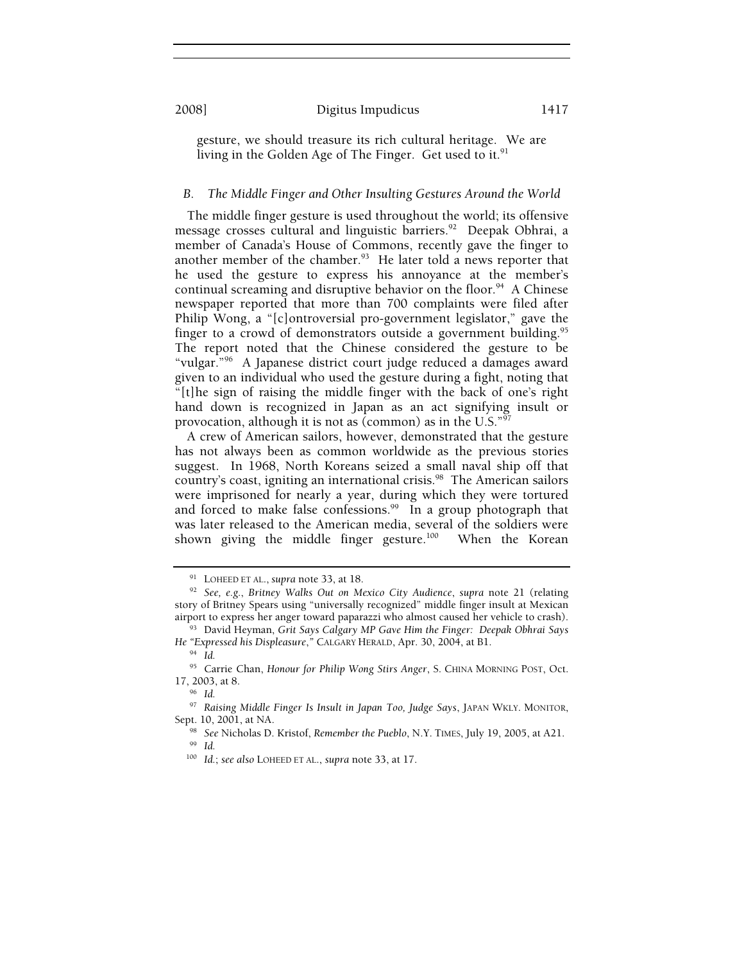gesture, we should treasure its rich cultural heritage. We are living in the Golden Age of The Finger. Get used to it. $91$ 

#### *B. The Middle Finger and Other Insulting Gestures Around the World*

The middle finger gesture is used throughout the world; its offensive message crosses cultural and linguistic barriers.<sup>92</sup> Deepak Obhrai, a member of Canada's House of Commons, recently gave the finger to another member of the chamber.<sup>93</sup> He later told a news reporter that he used the gesture to express his annoyance at the member's continual screaming and disruptive behavior on the floor.<sup>94</sup> A Chinese newspaper reported that more than 700 complaints were filed after Philip Wong, a "[c]ontroversial pro-government legislator," gave the finger to a crowd of demonstrators outside a government building.<sup>95</sup> The report noted that the Chinese considered the gesture to be "vulgar."96 A Japanese district court judge reduced a damages award given to an individual who used the gesture during a fight, noting that "[t]he sign of raising the middle finger with the back of one's right hand down is recognized in Japan as an act signifying insult or provocation, although it is not as (common) as in the U.S."97

A crew of American sailors, however, demonstrated that the gesture has not always been as common worldwide as the previous stories suggest. In 1968, North Koreans seized a small naval ship off that country's coast, igniting an international crisis.<sup>98</sup> The American sailors were imprisoned for nearly a year, during which they were tortured and forced to make false confessions.<sup>99</sup> In a group photograph that was later released to the American media, several of the soldiers were shown giving the middle finger gesture.<sup>100</sup> When the Korean

<sup>91</sup> LOHEED ET AL., *supra* note 33, at 18. 92 *See, e.g.*, *Britney Walks Out on Mexico City Audience*, *supra* note 21 (relating story of Britney Spears using "universally recognized" middle finger insult at Mexican airport to express her anger toward paparazzi who almost caused her vehicle to crash).

<sup>&</sup>lt;sup>93</sup> David Heyman, Grit Says Calgary MP Gave Him the Finger: Deepak Obhrai Says *He "Expressed his Displeasure,"* CALGARY HERALD, Apr. 30, 2004, at B1. <sup>94</sup> *Id.* 

<sup>95</sup> Carrie Chan, *Honour for Philip Wong Stirs Anger*, S. CHINA MORNING POST, Oct. 17, 2003, at 8. 96 *Id.*

<sup>97</sup> *Raising Middle Finger Is Insult in Japan Too, Judge Says*, JAPAN WKLY. MONITOR,

Sept. 10, 2001, at NA. 98 *See* Nicholas D. Kristof, *Remember the Pueblo*, N.Y. TIMES, July 19, 2005, at A21. 99 *Id.*

<sup>100</sup> *Id.*; *see also* LOHEED ET AL., *supra* note 33, at 17.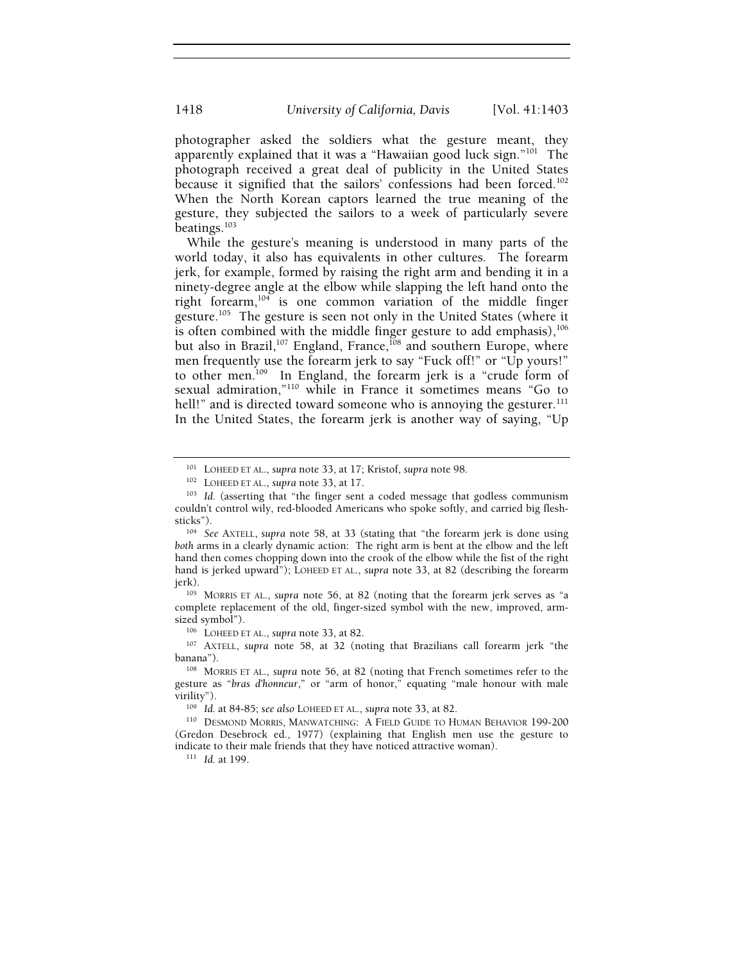photographer asked the soldiers what the gesture meant, they apparently explained that it was a "Hawaiian good luck sign."<sup>101</sup> The photograph received a great deal of publicity in the United States because it signified that the sailors' confessions had been forced.<sup>102</sup> When the North Korean captors learned the true meaning of the gesture, they subjected the sailors to a week of particularly severe beatings.<sup>103</sup>

While the gesture's meaning is understood in many parts of the world today, it also has equivalents in other cultures. The forearm jerk, for example, formed by raising the right arm and bending it in a ninety-degree angle at the elbow while slapping the left hand onto the right forearm,104 is one common variation of the middle finger gesture.<sup>105</sup> The gesture is seen not only in the United States (where it is often combined with the middle finger gesture to add emphasis),<sup>106</sup> but also in Brazil,<sup>107</sup> England, France,<sup>108</sup> and southern Europe, where men frequently use the forearm jerk to say "Fuck off!" or "Up yours!" to other men.109 In England, the forearm jerk is a "crude form of sexual admiration,"110 while in France it sometimes means "Go to hell!" and is directed toward someone who is annoying the gesturer. $^{111}$ In the United States, the forearm jerk is another way of saying, "Up

complete replacement of the old, finger-sized symbol with the new, improved, arm-

<sup>106</sup> LOHEED ET AL., *supra* note 33, at 82.<br><sup>107</sup> AXTELL, *supra* note 58, at 32 (noting that Brazilians call forearm jerk "the banana").<br><sup>108</sup> MORRIS ET AL., *supra* note 56, at 82 (noting that French sometimes refer to the

gesture as "*bras d'honneur*," or "arm of honor," equating "male honour with male virility").<br><sup>109</sup> *Id.* at 84-85; *see also* LOHEED ET AL., *supra* note 33, at 82.<br><sup>110</sup> DESMOND MORRIS, MANWATCHING: A FIELD GUIDE TO HUMAN BEHAVIOR 199-200

(Gredon Desebrock ed., 1977) (explaining that English men use the gesture to indicate to their male friends that they have noticed attractive woman). 111 *Id.* at 199.

<sup>&</sup>lt;sup>101</sup> LOHEED ET AL., *supra* note 33, at 17; Kristof, *supra* note 98.<br><sup>102</sup> LOHEED ET AL., *supra* note 33, at 17.<br><sup>103</sup> *Id.* (asserting that "the finger sent a coded message that godless communism couldn't control wily, red-blooded Americans who spoke softly, and carried big flesh-

<sup>&</sup>lt;sup>104</sup> See AXTELL, *supra* note 58, at 33 (stating that "the forearm jerk is done using *both* arms in a clearly dynamic action: The right arm is bent at the elbow and the left hand then comes chopping down into the crook of the elbow while the fist of the right hand is jerked upward"); LOHEED ET AL., *supra* note 33, at 82 (describing the forearm jerk). 105 MORRIS ET AL., *supra* note 56, at 82 (noting that the forearm jerk serves as "a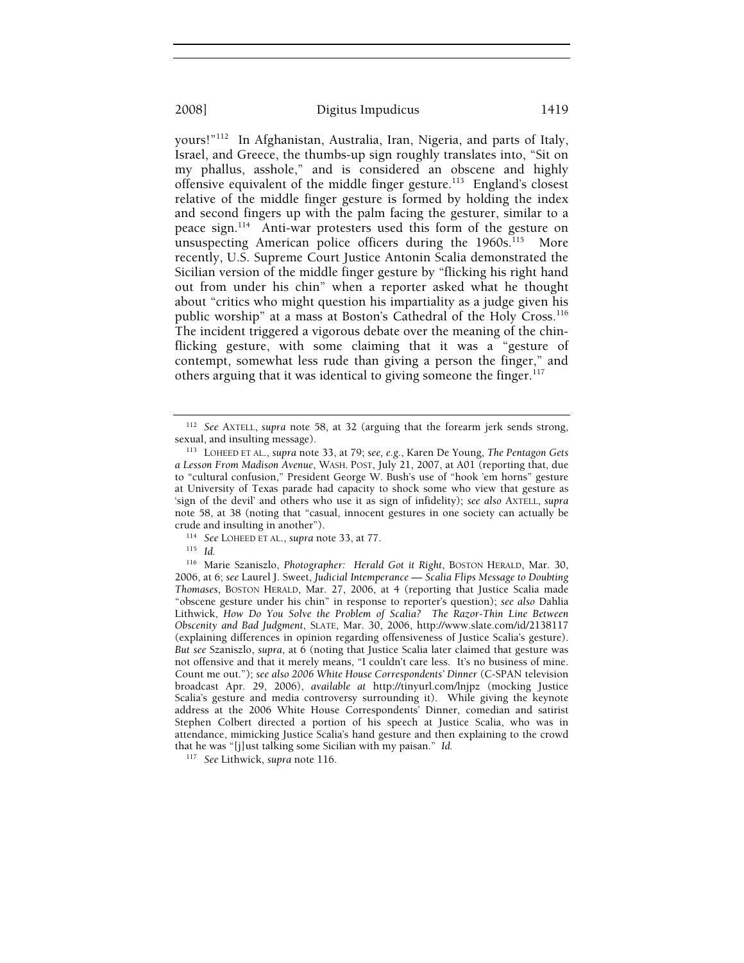yours!"112 In Afghanistan, Australia, Iran, Nigeria, and parts of Italy, Israel, and Greece, the thumbs-up sign roughly translates into, "Sit on my phallus, asshole," and is considered an obscene and highly offensive equivalent of the middle finger gesture.113 England's closest relative of the middle finger gesture is formed by holding the index and second fingers up with the palm facing the gesturer, similar to a peace sign.114 Anti-war protesters used this form of the gesture on unsuspecting American police officers during the  $1960s$ .<sup>115</sup> More recently, U.S. Supreme Court Justice Antonin Scalia demonstrated the Sicilian version of the middle finger gesture by "flicking his right hand out from under his chin" when a reporter asked what he thought about "critics who might question his impartiality as a judge given his public worship" at a mass at Boston's Cathedral of the Holy Cross.<sup>116</sup> The incident triggered a vigorous debate over the meaning of the chinflicking gesture, with some claiming that it was a "gesture of contempt, somewhat less rude than giving a person the finger," and others arguing that it was identical to giving someone the finger.<sup>117</sup>

crude and insulting in another"). 114 *See* LOHEED ET AL., *supra* note 33, at 77. 115 *Id.*

116 Marie Szaniszlo, *Photographer: Herald Got it Right*, BOSTON HERALD, Mar. 30, 2006, at 6; *see* Laurel J. Sweet, *Judicial Intemperance — Scalia Flips Message to Doubting Thomases*, BOSTON HERALD, Mar. 27, 2006, at 4 (reporting that Justice Scalia made "obscene gesture under his chin" in response to reporter's question); *see also* Dahlia Lithwick, *How Do You Solve the Problem of Scalia? The Razor-Thin Line Between Obscenity and Bad Judgment*, SLATE, Mar. 30, 2006, http://www.slate.com/id/2138117 (explaining differences in opinion regarding offensiveness of Justice Scalia's gesture). *But see* Szaniszlo, *supra*, at 6 (noting that Justice Scalia later claimed that gesture was not offensive and that it merely means, "I couldn't care less. It's no business of mine. Count me out."); *see also 2006 White House Correspondents' Dinner* (C-SPAN television broadcast Apr. 29, 2006), *available at* http://tinyurl.com/lnjpz (mocking Justice Scalia's gesture and media controversy surrounding it). While giving the keynote address at the 2006 White House Correspondents' Dinner, comedian and satirist Stephen Colbert directed a portion of his speech at Justice Scalia, who was in attendance, mimicking Justice Scalia's hand gesture and then explaining to the crowd that he was "[j]ust talking some Sicilian with my paisan." *Id.* 

<sup>&</sup>lt;sup>112</sup> See AXTELL, *supra* note 58, at 32 (arguing that the forearm jerk sends strong, sexual, and insulting message).

<sup>&</sup>lt;sup>113</sup> LOHEED ET AL., *supra* note 33, at 79; *see, e.g.*, Karen De Young, *The Pentagon Gets a Lesson From Madison Avenue*, WASH. POST, July 21, 2007, at A01 (reporting that, due to "cultural confusion," President George W. Bush's use of "hook 'em horns" gesture at University of Texas parade had capacity to shock some who view that gesture as 'sign of the devil' and others who use it as sign of infidelity); *see also* AXTELL, *supra*  note 58, at 38 (noting that "casual, innocent gestures in one society can actually be

<sup>117</sup> *See* Lithwick, *supra* note 116.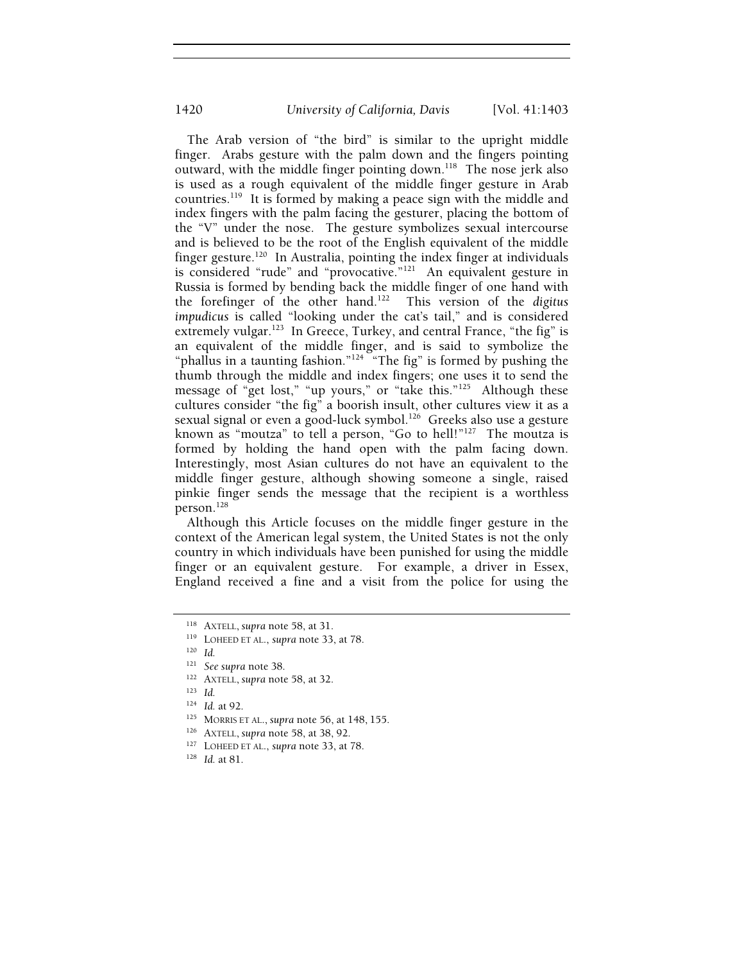1420 *University of California, Davis* [Vol. 41:1403

The Arab version of "the bird" is similar to the upright middle finger. Arabs gesture with the palm down and the fingers pointing outward, with the middle finger pointing down.118 The nose jerk also is used as a rough equivalent of the middle finger gesture in Arab countries.119 It is formed by making a peace sign with the middle and index fingers with the palm facing the gesturer, placing the bottom of the "V" under the nose. The gesture symbolizes sexual intercourse and is believed to be the root of the English equivalent of the middle finger gesture.<sup>120</sup> In Australia, pointing the index finger at individuals is considered "rude" and "provocative."121 An equivalent gesture in Russia is formed by bending back the middle finger of one hand with the forefinger of the other hand.122 This version of the *digitus impudicus* is called "looking under the cat's tail," and is considered extremely vulgar.<sup>123</sup> In Greece, Turkey, and central France, "the fig" is an equivalent of the middle finger, and is said to symbolize the "phallus in a taunting fashion."<sup>124</sup> "The fig" is formed by pushing the thumb through the middle and index fingers; one uses it to send the message of "get lost," "up yours," or "take this."<sup>125</sup> Although these cultures consider "the fig" a boorish insult, other cultures view it as a sexual signal or even a good-luck symbol.<sup>126</sup> Greeks also use a gesture known as "moutza" to tell a person, "Go to hell!"<sup>127</sup> The moutza is formed by holding the hand open with the palm facing down. Interestingly, most Asian cultures do not have an equivalent to the middle finger gesture, although showing someone a single, raised pinkie finger sends the message that the recipient is a worthless person.128

Although this Article focuses on the middle finger gesture in the context of the American legal system, the United States is not the only country in which individuals have been punished for using the middle finger or an equivalent gesture. For example, a driver in Essex, England received a fine and a visit from the police for using the

121 *See supra* note 38.<br>
<sup>122</sup> AXTELL, *supra* note 58, at 32.<br>
<sup>123</sup> *Id.*<br>
<sup>124</sup> *Id.* at 92.

- 
- <sup>125</sup> MORRIS ET AL., *supra* note 56, at 148, 155.<br><sup>126</sup> AXTELL, *supra* note 58, at 38, 92.<br><sup>127</sup> LOHEED ET AL., *supra* note 33, at 78. <sup>128</sup> *Id.* at 81.
- 
- 

<sup>118</sup> AXTELL, *supra* note 58, at 31. 119 LOHEED ET AL., *supra* note 33, at 78. 120 *Id.*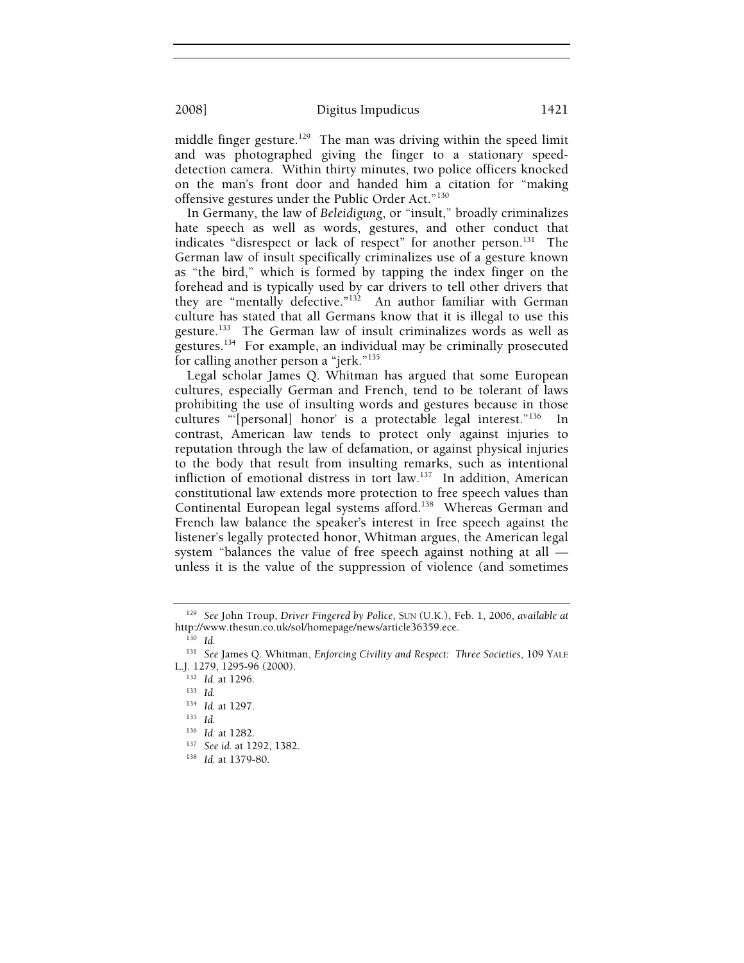middle finger gesture.<sup>129</sup> The man was driving within the speed limit and was photographed giving the finger to a stationary speeddetection camera. Within thirty minutes, two police officers knocked on the man's front door and handed him a citation for "making offensive gestures under the Public Order Act."130

In Germany, the law of *Beleidigung*, or "insult," broadly criminalizes hate speech as well as words, gestures, and other conduct that indicates "disrespect or lack of respect" for another person.<sup>131</sup> The German law of insult specifically criminalizes use of a gesture known as "the bird," which is formed by tapping the index finger on the forehead and is typically used by car drivers to tell other drivers that they are "mentally defective."<sup>132</sup> An author familiar with German culture has stated that all Germans know that it is illegal to use this gesture.133 The German law of insult criminalizes words as well as gestures.<sup>134</sup> For example, an individual may be criminally prosecuted for calling another person a "jerk."135

Legal scholar James Q. Whitman has argued that some European cultures, especially German and French, tend to be tolerant of laws prohibiting the use of insulting words and gestures because in those cultures "'[personal] honor' is a protectable legal interest."136 In contrast, American law tends to protect only against injuries to reputation through the law of defamation, or against physical injuries to the body that result from insulting remarks, such as intentional infliction of emotional distress in tort law.137 In addition, American constitutional law extends more protection to free speech values than Continental European legal systems afford.<sup>138</sup> Whereas German and French law balance the speaker's interest in free speech against the listener's legally protected honor, Whitman argues, the American legal system "balances the value of free speech against nothing at all unless it is the value of the suppression of violence (and sometimes

<sup>129</sup> *See* John Troup, *Driver Fingered by Police*, SUN (U.K.), Feb. 1, 2006, *available at* http://www.thesun.co.uk/sol/homepage/news/article36359.ece. 130 *Id.*

<sup>131</sup> *See* James Q. Whitman, *Enforcing Civility and Respect: Three Societies*, 109 YALE L.J. 1279, 1295-96 (2000). 132 *Id.* at 1296. 133 *Id.*

<sup>134</sup> *Id.* at 1297. 135 *Id.*

<sup>136</sup> *Id.* at 1282. 137 *See id.* at 1292, 1382. 138 *Id.* at 1379-80.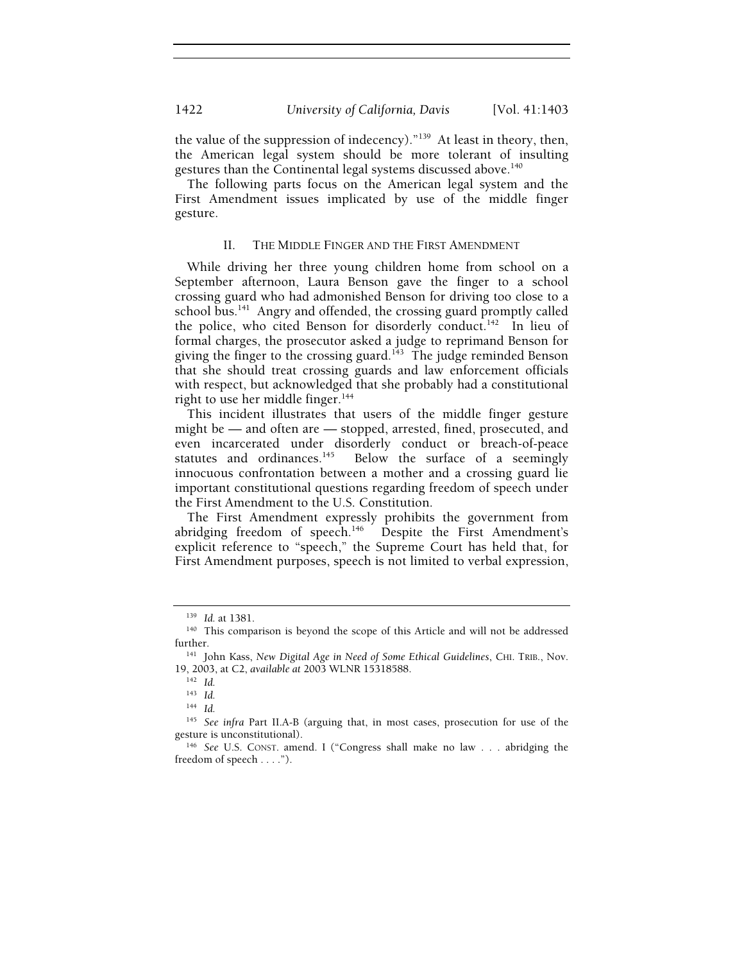the value of the suppression of indecency)."139 At least in theory, then, the American legal system should be more tolerant of insulting gestures than the Continental legal systems discussed above.140

The following parts focus on the American legal system and the First Amendment issues implicated by use of the middle finger gesture.

#### II. THE MIDDLE FINGER AND THE FIRST AMENDMENT

While driving her three young children home from school on a September afternoon, Laura Benson gave the finger to a school crossing guard who had admonished Benson for driving too close to a school bus.<sup>141</sup> Angry and offended, the crossing guard promptly called the police, who cited Benson for disorderly conduct.<sup>142</sup> In lieu of formal charges, the prosecutor asked a judge to reprimand Benson for giving the finger to the crossing guard.<sup>143</sup> The judge reminded Benson that she should treat crossing guards and law enforcement officials with respect, but acknowledged that she probably had a constitutional right to use her middle finger.<sup>144</sup>

This incident illustrates that users of the middle finger gesture might be — and often are — stopped, arrested, fined, prosecuted, and even incarcerated under disorderly conduct or breach-of-peace<br>statutes and ordinances.<sup>145</sup> Below the surface of a seemingly Below the surface of a seemingly innocuous confrontation between a mother and a crossing guard lie important constitutional questions regarding freedom of speech under the First Amendment to the U.S. Constitution.

The First Amendment expressly prohibits the government from abridging freedom of speech.<sup>146</sup> Despite the First Amendment's explicit reference to "speech," the Supreme Court has held that, for First Amendment purposes, speech is not limited to verbal expression,

<sup>&</sup>lt;sup>139</sup> *Id.* at 1381.<br><sup>140</sup> This comparison is beyond the scope of this Article and will not be addressed<br>further.

<sup>&</sup>lt;sup>141</sup> John Kass, *New Digital Age in Need of Some Ethical Guidelines*, CHI. TRIB., Nov. 19, 2003, at C2, *available at* 2003 WLNR 15318588. 142 *Id.*

<sup>143</sup> *Id.*

<sup>144</sup> *Id.*

<sup>145</sup> *See infra* Part II.A-B (arguing that, in most cases, prosecution for use of the gesture is unconstitutional).<br><sup>146</sup> *See* U.S. Const. amend. I ("Congress shall make no law . . . abridging the

freedom of speech . . . .").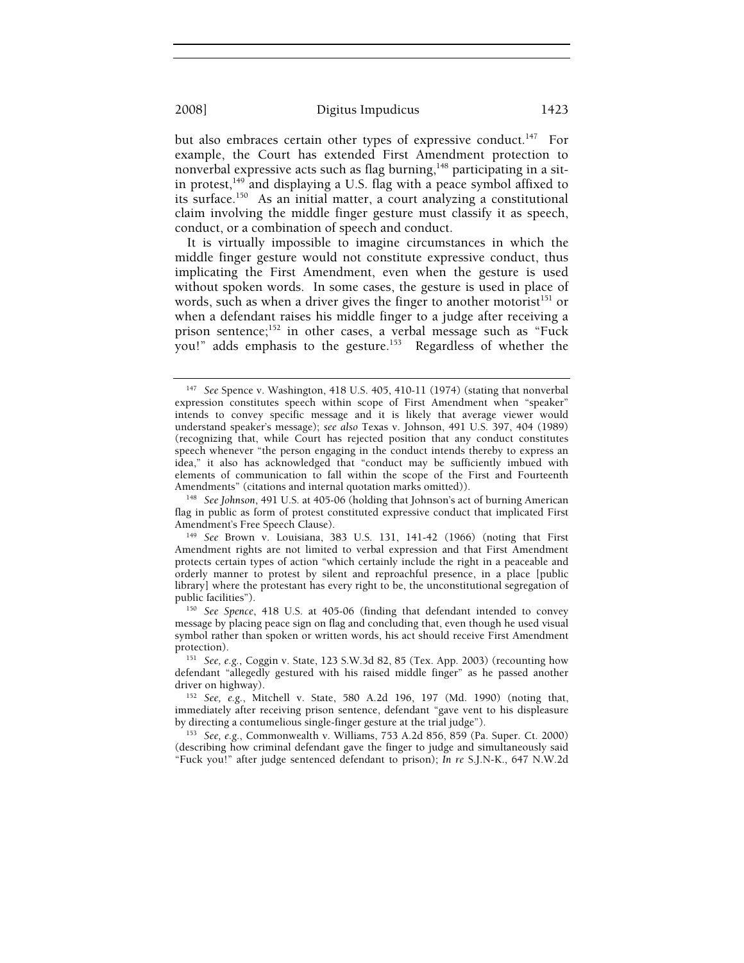but also embraces certain other types of expressive conduct.<sup>147</sup> For example, the Court has extended First Amendment protection to nonverbal expressive acts such as flag burning,<sup>148</sup> participating in a sitin protest, $149$  and displaying a U.S. flag with a peace symbol affixed to its surface.150 As an initial matter, a court analyzing a constitutional claim involving the middle finger gesture must classify it as speech, conduct, or a combination of speech and conduct.

It is virtually impossible to imagine circumstances in which the middle finger gesture would not constitute expressive conduct, thus implicating the First Amendment, even when the gesture is used without spoken words. In some cases, the gesture is used in place of words, such as when a driver gives the finger to another motorist<sup>151</sup> or when a defendant raises his middle finger to a judge after receiving a prison sentence;<sup>152</sup> in other cases, a verbal message such as "Fuck you!" adds emphasis to the gesture.<sup>153</sup> Regardless of whether the

flag in public as form of protest constituted expressive conduct that implicated First Amendment's Free Speech Clause).<br><sup>149</sup> *See* Brown v. Louisiana, 383 U.S. 131, 141-42 (1966) (noting that First

<sup>147</sup> *See* Spence v. Washington, 418 U.S. 405, 410-11 (1974) (stating that nonverbal expression constitutes speech within scope of First Amendment when "speaker" intends to convey specific message and it is likely that average viewer would understand speaker's message); *see also* Texas v. Johnson, 491 U.S. 397, 404 (1989) (recognizing that, while Court has rejected position that any conduct constitutes speech whenever "the person engaging in the conduct intends thereby to express an idea," it also has acknowledged that "conduct may be sufficiently imbued with elements of communication to fall within the scope of the First and Fourteenth Amendments" (citations and internal quotation marks omitted)).<br><sup>148</sup> See Johnson, 491 U.S. at 405-06 (holding that Johnson's act of burning American

Amendment rights are not limited to verbal expression and that First Amendment protects certain types of action "which certainly include the right in a peaceable and orderly manner to protest by silent and reproachful presence, in a place [public library] where the protestant has every right to be, the unconstitutional segregation of public facilities").

<sup>&</sup>lt;sup>150</sup> See Spence, 418 U.S. at 405-06 (finding that defendant intended to convey message by placing peace sign on flag and concluding that, even though he used visual symbol rather than spoken or written words, his act should receive First Amendment protection).<br><sup>151</sup> See, e.g., Coggin v. State, 123 S.W.3d 82, 85 (Tex. App. 2003) (recounting how

defendant "allegedly gestured with his raised middle finger" as he passed another driver on highway). 152 *See, e.g.*, Mitchell v. State, 580 A.2d 196, 197 (Md. 1990) (noting that,

immediately after receiving prison sentence, defendant "gave vent to his displeasure by directing a contumelious single-finger gesture at the trial judge"). 153 *See, e.g.*, Commonwealth v. Williams, 753 A.2d 856, 859 (Pa. Super. Ct. 2000)

<sup>(</sup>describing how criminal defendant gave the finger to judge and simultaneously said "Fuck you!" after judge sentenced defendant to prison); *In re* S.J.N-K., 647 N.W.2d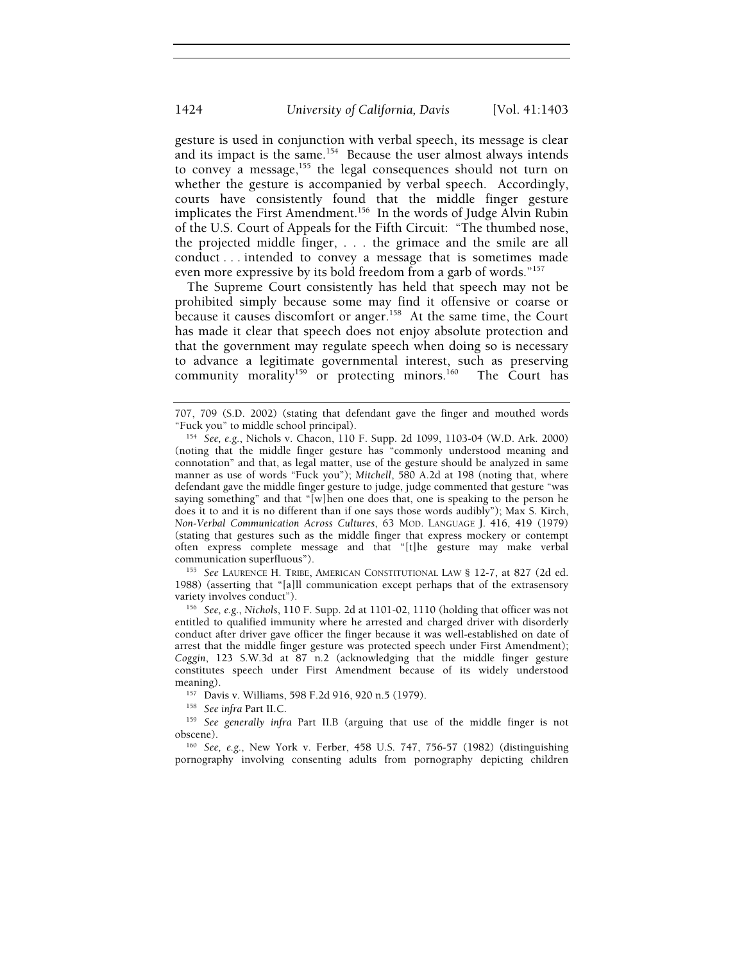gesture is used in conjunction with verbal speech, its message is clear and its impact is the same.<sup>154</sup> Because the user almost always intends to convey a message,<sup>155</sup> the legal consequences should not turn on whether the gesture is accompanied by verbal speech. Accordingly, courts have consistently found that the middle finger gesture implicates the First Amendment.<sup>156</sup> In the words of Judge Alvin Rubin of the U.S. Court of Appeals for the Fifth Circuit: "The thumbed nose, the projected middle finger, . . . the grimace and the smile are all conduct . . . intended to convey a message that is sometimes made even more expressive by its bold freedom from a garb of words."<sup>157</sup>

The Supreme Court consistently has held that speech may not be prohibited simply because some may find it offensive or coarse or because it causes discomfort or anger.<sup>158</sup> At the same time, the Court has made it clear that speech does not enjoy absolute protection and that the government may regulate speech when doing so is necessary to advance a legitimate governmental interest, such as preserving community morality<sup>159</sup> or protecting minors.<sup>160</sup> The Court has

<sup>155</sup> See LAURENCE H. TRIBE, AMERICAN CONSTITUTIONAL LAW § 12-7, at 827 (2d ed. 1988) (asserting that "[a]ll communication except perhaps that of the extrasensory

<sup>156</sup> See, e.g., *Nichols*, 110 F. Supp. 2d at 1101-02, 1110 (holding that officer was not entitled to qualified immunity where he arrested and charged driver with disorderly conduct after driver gave officer the finger because it was well-established on date of arrest that the middle finger gesture was protected speech under First Amendment); *Coggin*, 123 S.W.3d at 87 n.2 (acknowledging that the middle finger gesture constitutes speech under First Amendment because of its widely understood meaning).<br><sup>157</sup> Davis v. Williams, 598 F.2d 916, 920 n.5 (1979).<br><sup>158</sup> *See infra* Part II.C. <sup>159</sup> *See generally infra* Part II.B (arguing that use of the middle finger is not

obscene). 160 *See, e.g.*, New York v. Ferber, 458 U.S. 747, 756-57 (1982) (distinguishing

pornography involving consenting adults from pornography depicting children

<sup>707, 709 (</sup>S.D. 2002) (stating that defendant gave the finger and mouthed words

<sup>&</sup>quot;Fuck you" to middle school principal). 154 *See, e.g.*, Nichols v. Chacon, 110 F. Supp. 2d 1099, 1103-04 (W.D. Ark. 2000) (noting that the middle finger gesture has "commonly understood meaning and connotation" and that, as legal matter, use of the gesture should be analyzed in same manner as use of words "Fuck you"); *Mitchell*, 580 A.2d at 198 (noting that, where defendant gave the middle finger gesture to judge, judge commented that gesture "was saying something" and that "[w]hen one does that, one is speaking to the person he does it to and it is no different than if one says those words audibly"); Max S. Kirch, *Non-Verbal Communication Across Cultures*, 63 MOD. LANGUAGE J. 416, 419 (1979) (stating that gestures such as the middle finger that express mockery or contempt often express complete message and that "[t]he gesture may make verbal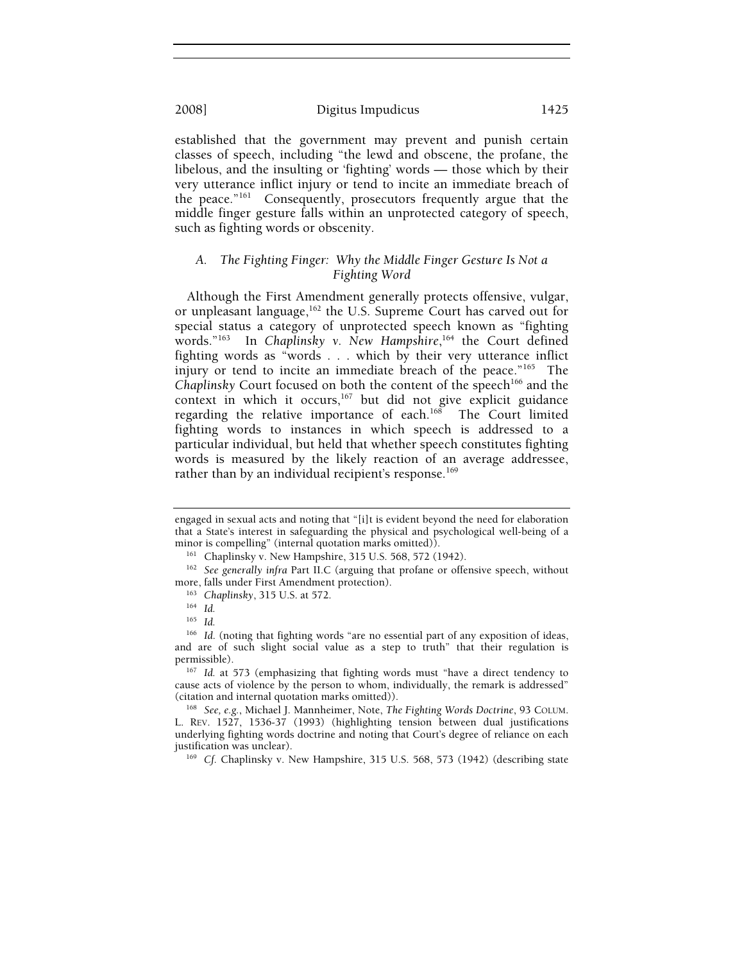established that the government may prevent and punish certain classes of speech, including "the lewd and obscene, the profane, the libelous, and the insulting or 'fighting' words — those which by their very utterance inflict injury or tend to incite an immediate breach of the peace."161 Consequently, prosecutors frequently argue that the middle finger gesture falls within an unprotected category of speech, such as fighting words or obscenity.

## *A. The Fighting Finger: Why the Middle Finger Gesture Is Not a Fighting Word*

Although the First Amendment generally protects offensive, vulgar, or unpleasant language,<sup>162</sup> the U.S. Supreme Court has carved out for special status a category of unprotected speech known as "fighting words."163 In *Chaplinsky v. New Hampshire*, 164 the Court defined fighting words as "words . . . which by their very utterance inflict injury or tend to incite an immediate breach of the peace."<sup>165</sup> The *Chaplinsky* Court focused on both the content of the speech<sup>166</sup> and the context in which it occurs,<sup>167</sup> but did not give explicit guidance regarding the relative importance of each.<sup>168</sup> The Court limited fighting words to instances in which speech is addressed to a particular individual, but held that whether speech constitutes fighting words is measured by the likely reaction of an average addressee, rather than by an individual recipient's response.<sup>169</sup>

permissible). 167 *Id.* at 573 (emphasizing that fighting words must "have a direct tendency to cause acts of violence by the person to whom, individually, the remark is addressed" (citation and internal quotation marks omitted)). 168 *See, e.g.*, Michael J. Mannheimer, Note, *The Fighting Words Doctrine*, 93 COLUM.

L. REV. 1527, 1536-37 (1993) (highlighting tension between dual justifications underlying fighting words doctrine and noting that Court's degree of reliance on each justification was unclear). 169 *Cf.* Chaplinsky v. New Hampshire, 315 U.S. 568, 573 (1942) (describing state

engaged in sexual acts and noting that "[i]t is evident beyond the need for elaboration that a State's interest in safeguarding the physical and psychological well-being of a

minor is compelling" (internal quotation marks omitted)).<br><sup>161</sup> Chaplinsky v. New Hampshire, 315 U.S. 568, 572 (1942).<br><sup>162</sup> *See generally infra Part II.C (arguing that profane or offensive speech, without* more, falls under First Amendment protection).<br><sup>163</sup> Chaplinsky, 315 U.S. at 572.<br><sup>164</sup> Id.

<sup>165</sup> *Id.*

<sup>&</sup>lt;sup>166</sup> Id. (noting that fighting words "are no essential part of any exposition of ideas, and are of such slight social value as a step to truth" that their regulation is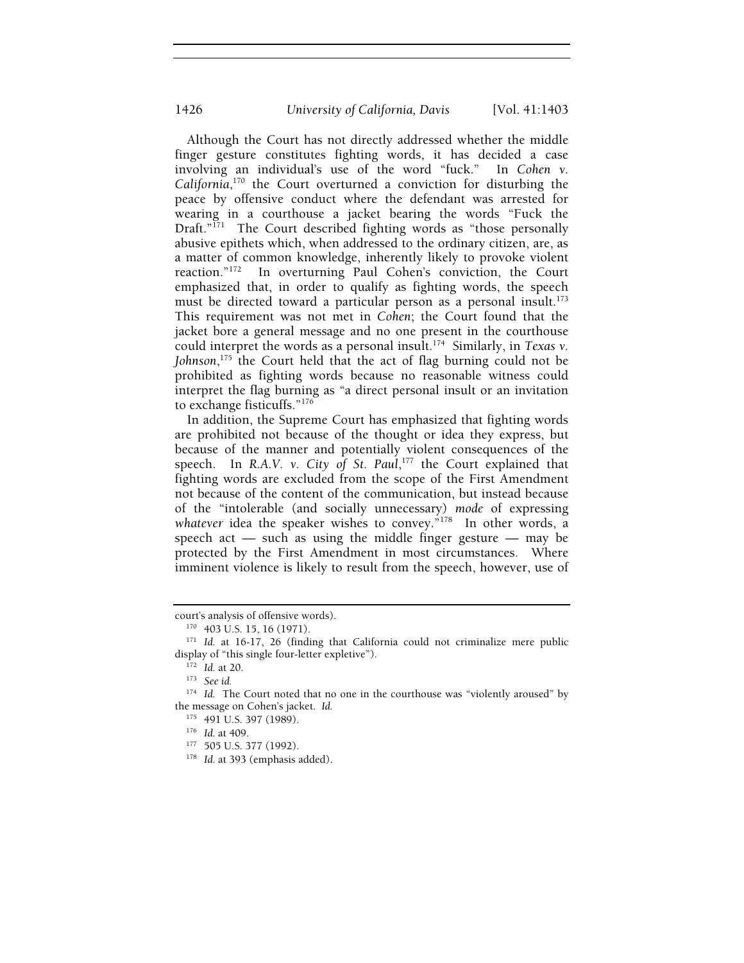Although the Court has not directly addressed whether the middle finger gesture constitutes fighting words, it has decided a case involving an individual's use of the word "fuck." In *Cohen v. California*, 170 the Court overturned a conviction for disturbing the peace by offensive conduct where the defendant was arrested for wearing in a courthouse a jacket bearing the words "Fuck the Draft."<sup>171</sup> The Court described fighting words as "those personally abusive epithets which, when addressed to the ordinary citizen, are, as a matter of common knowledge, inherently likely to provoke violent reaction."<sup>172</sup> In overturning Paul Cohen's conviction, the Court In overturning Paul Cohen's conviction, the Court emphasized that, in order to qualify as fighting words, the speech must be directed toward a particular person as a personal insult.<sup>173</sup> This requirement was not met in *Cohen*; the Court found that the jacket bore a general message and no one present in the courthouse could interpret the words as a personal insult.174 Similarly, in *Texas v. Johnson*, 175 the Court held that the act of flag burning could not be prohibited as fighting words because no reasonable witness could interpret the flag burning as "a direct personal insult or an invitation to exchange fisticuffs."176

In addition, the Supreme Court has emphasized that fighting words are prohibited not because of the thought or idea they express, but because of the manner and potentially violent consequences of the speech. In *R.A.V. v. City of St. Paul*, 177 the Court explained that fighting words are excluded from the scope of the First Amendment not because of the content of the communication, but instead because of the "intolerable (and socially unnecessary) *mode* of expressing whatever idea the speaker wishes to convey.<sup>"178</sup> In other words, a speech act — such as using the middle finger gesture — may be protected by the First Amendment in most circumstances. Where imminent violence is likely to result from the speech, however, use of

court's analysis of offensive words). 170 403 U.S. 15, 16 (1971). 171 *Id.* at 16-17, 26 (finding that California could not criminalize mere public display of "this single four-letter expletive").<br><sup>172</sup> *Id.* at 20.<br><sup>173</sup> *See id.* 

<sup>&</sup>lt;sup>174</sup> Id. The Court noted that no one in the courthouse was "violently aroused" by the message on Cohen's jacket. *Id.* 

<sup>175 491</sup> U.S. 397 (1989).<br><sup>176</sup> *Id.* at 409.<br><sup>177</sup> 505 U.S. 377 (1992).<br><sup>178</sup> *Id.* at 393 (emphasis added).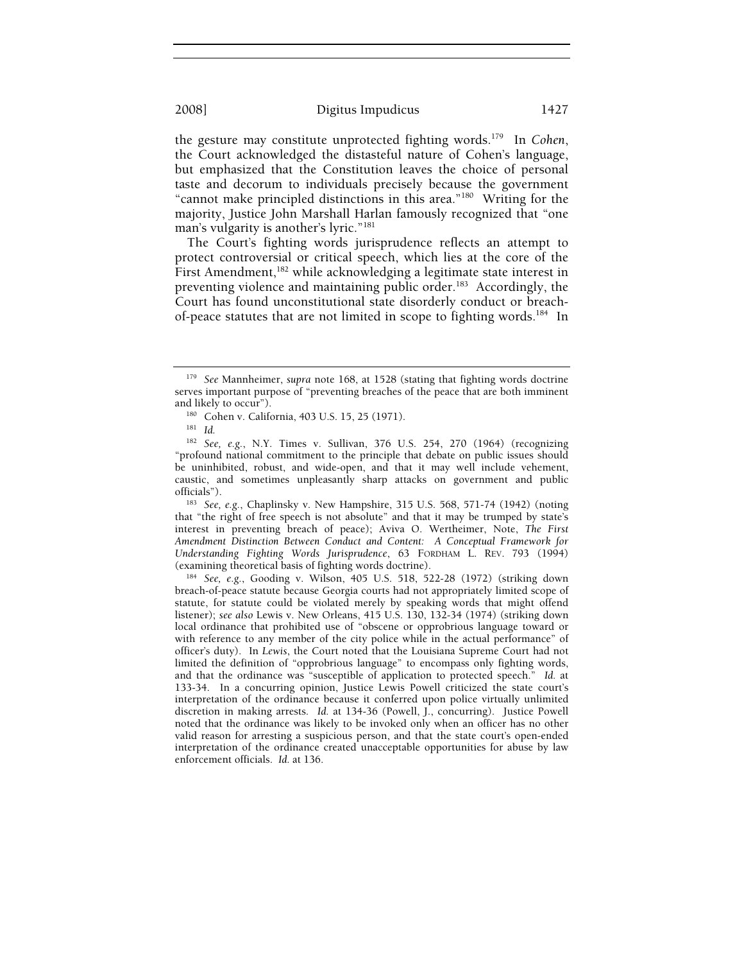the gesture may constitute unprotected fighting words.179 In *Cohen*, the Court acknowledged the distasteful nature of Cohen's language, but emphasized that the Constitution leaves the choice of personal taste and decorum to individuals precisely because the government "cannot make principled distinctions in this area."180 Writing for the majority, Justice John Marshall Harlan famously recognized that "one man's vulgarity is another's lyric."181

The Court's fighting words jurisprudence reflects an attempt to protect controversial or critical speech, which lies at the core of the First Amendment,<sup>182</sup> while acknowledging a legitimate state interest in preventing violence and maintaining public order.<sup>183</sup> Accordingly, the Court has found unconstitutional state disorderly conduct or breachof-peace statutes that are not limited in scope to fighting words.<sup>184</sup> In

that "the right of free speech is not absolute" and that it may be trumped by state's interest in preventing breach of peace); Aviva O. Wertheimer, Note, *The First Amendment Distinction Between Conduct and Content: A Conceptual Framework for Understanding Fighting Words Jurisprudence*, 63 FORDHAM L. REV. 793 (1994) (examining theoretical basis of fighting words doctrine). 184 *See, e.g.*, Gooding v. Wilson, 405 U.S. 518, 522-28 (1972) (striking down

breach-of-peace statute because Georgia courts had not appropriately limited scope of statute, for statute could be violated merely by speaking words that might offend listener); *see also* Lewis v. New Orleans, 415 U.S. 130, 132-34 (1974) (striking down local ordinance that prohibited use of "obscene or opprobrious language toward or with reference to any member of the city police while in the actual performance" of officer's duty). In *Lewis*, the Court noted that the Louisiana Supreme Court had not limited the definition of "opprobrious language" to encompass only fighting words, and that the ordinance was "susceptible of application to protected speech." *Id.* at 133-34. In a concurring opinion, Justice Lewis Powell criticized the state court's interpretation of the ordinance because it conferred upon police virtually unlimited discretion in making arrests. *Id.* at 134-36 (Powell, J., concurring). Justice Powell noted that the ordinance was likely to be invoked only when an officer has no other valid reason for arresting a suspicious person, and that the state court's open-ended interpretation of the ordinance created unacceptable opportunities for abuse by law enforcement officials. *Id.* at 136.

<sup>179</sup> *See* Mannheimer, *supra* note 168, at 1528 (stating that fighting words doctrine serves important purpose of "preventing breaches of the peace that are both imminent and likely to occur"). 180 Cohen v. California, 403 U.S. 15, 25 (1971). 181 *Id.*

<sup>182</sup> *See, e.g.*, N.Y. Times v. Sullivan, 376 U.S. 254, 270 (1964) (recognizing "profound national commitment to the principle that debate on public issues should be uninhibited, robust, and wide-open, and that it may well include vehement, caustic, and sometimes unpleasantly sharp attacks on government and public officials"). 183 *See, e.g.*, Chaplinsky v. New Hampshire, 315 U.S. 568, 571-74 (1942) (noting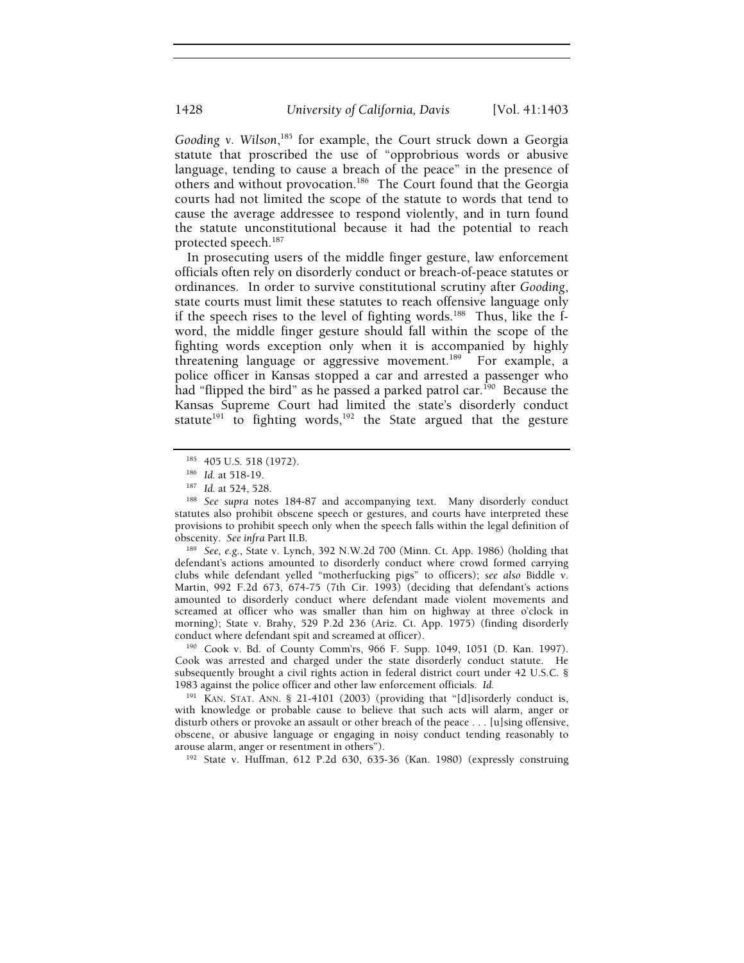Gooding v. Wilson,<sup>185</sup> for example, the Court struck down a Georgia statute that proscribed the use of "opprobrious words or abusive language, tending to cause a breach of the peace" in the presence of others and without provocation.<sup>186</sup> The Court found that the Georgia courts had not limited the scope of the statute to words that tend to cause the average addressee to respond violently, and in turn found the statute unconstitutional because it had the potential to reach protected speech.187

In prosecuting users of the middle finger gesture, law enforcement officials often rely on disorderly conduct or breach-of-peace statutes or ordinances. In order to survive constitutional scrutiny after *Gooding*, state courts must limit these statutes to reach offensive language only if the speech rises to the level of fighting words.<sup>188</sup> Thus, like the fword, the middle finger gesture should fall within the scope of the fighting words exception only when it is accompanied by highly threatening language or aggressive movement.<sup>189</sup> For example, a police officer in Kansas stopped a car and arrested a passenger who had "flipped the bird" as he passed a parked patrol car.<sup>190</sup> Because the Kansas Supreme Court had limited the state's disorderly conduct statute<sup>191</sup> to fighting words,<sup>192</sup> the State argued that the gesture

obscenity. *See infra* Part II.B. 189 *See, e.g.*, State v. Lynch, 392 N.W.2d 700 (Minn. Ct. App. 1986) (holding that defendant's actions amounted to disorderly conduct where crowd formed carrying clubs while defendant yelled "motherfucking pigs" to officers); *see also* Biddle v. Martin, 992 F.2d 673, 674-75 (7th Cir. 1993) (deciding that defendant's actions amounted to disorderly conduct where defendant made violent movements and screamed at officer who was smaller than him on highway at three o'clock in morning); State v. Brahy, 529 P.2d 236 (Ariz. Ct. App. 1975) (finding disorderly conduct where defendant spit and screamed at officer). 190 Cook v. Bd. of County Comm'rs, 966 F. Supp. 1049, 1051 (D. Kan. 1997).

Cook was arrested and charged under the state disorderly conduct statute. He subsequently brought a civil rights action in federal district court under 42 U.S.C. § 1983 against the police officer and other law enforcement officials. *Id.* 

<sup>191</sup> KAN. STAT. ANN. § 21-4101 (2003) (providing that "[d]isorderly conduct is, with knowledge or probable cause to believe that such acts will alarm, anger or disturb others or provoke an assault or other breach of the peace . . . [u]sing offensive, obscene, or abusive language or engaging in noisy conduct tending reasonably to arouse alarm, anger or resentment in others"). 192 State v. Huffman, 612 P.2d 630, 635-36 (Kan. 1980) (expressly construing

<sup>&</sup>lt;sup>185</sup> 405 U.S. 518 (1972).<br><sup>186</sup> Id. at 518-19.<br><sup>187</sup> Id. at 524, 528.<br><sup>188</sup> See supra notes 184-87 and accompanying text. Many disorderly conduct statutes also prohibit obscene speech or gestures, and courts have interpreted these provisions to prohibit speech only when the speech falls within the legal definition of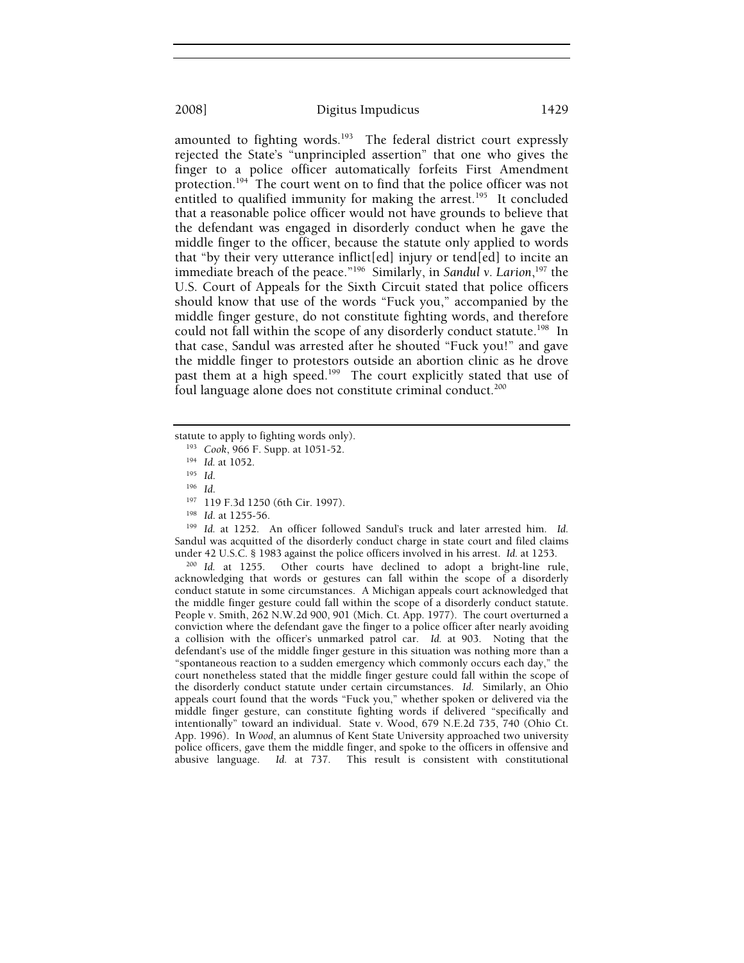amounted to fighting words.<sup>193</sup> The federal district court expressly rejected the State's "unprincipled assertion" that one who gives the finger to a police officer automatically forfeits First Amendment protection.194 The court went on to find that the police officer was not entitled to qualified immunity for making the arrest.<sup>195</sup> It concluded that a reasonable police officer would not have grounds to believe that the defendant was engaged in disorderly conduct when he gave the middle finger to the officer, because the statute only applied to words that "by their very utterance inflict[ed] injury or tend[ed] to incite an immediate breach of the peace."196 Similarly, in *Sandul v. Larion*, 197 the U.S. Court of Appeals for the Sixth Circuit stated that police officers should know that use of the words "Fuck you," accompanied by the middle finger gesture, do not constitute fighting words, and therefore could not fall within the scope of any disorderly conduct statute.<sup>198</sup> In that case, Sandul was arrested after he shouted "Fuck you!" and gave the middle finger to protestors outside an abortion clinic as he drove past them at a high speed.<sup>199</sup> The court explicitly stated that use of foul language alone does not constitute criminal conduct.<sup>200</sup>

statute to apply to fighting words only).<br>
<sup>193</sup> Cook, 966 F. Supp. at 1051-52.<br>
<sup>194</sup> Id. at 1052.<br>
<sup>195</sup> Id.<br>
<sup>197</sup> 119 F.3d 1250 (6th Cir. 1997).<br>
<sup>198</sup> Id. at 1255-56.<br>
<sup>198</sup> Id. at 1252. An officer followed Sandul's Sandul was acquitted of the disorderly conduct charge in state court and filed claims under 42 U.S.C. § 1983 against the police officers involved in his arrest. *Id.* at 1253. 200 *Id.* at 1255. Other courts have declined to adopt a bright-line rule,

acknowledging that words or gestures can fall within the scope of a disorderly conduct statute in some circumstances. A Michigan appeals court acknowledged that the middle finger gesture could fall within the scope of a disorderly conduct statute. People v. Smith, 262 N.W.2d 900, 901 (Mich. Ct. App. 1977). The court overturned a conviction where the defendant gave the finger to a police officer after nearly avoiding a collision with the officer's unmarked patrol car. *Id.* at 903. Noting that the defendant's use of the middle finger gesture in this situation was nothing more than a "spontaneous reaction to a sudden emergency which commonly occurs each day," the court nonetheless stated that the middle finger gesture could fall within the scope of the disorderly conduct statute under certain circumstances. *Id.* Similarly, an Ohio appeals court found that the words "Fuck you," whether spoken or delivered via the middle finger gesture, can constitute fighting words if delivered "specifically and intentionally" toward an individual. State v. Wood, 679 N.E.2d 735, 740 (Ohio Ct. App. 1996). In *Wood*, an alumnus of Kent State University approached two university police officers, gave them the middle finger, and spoke to the officers in offensive and abusive language. *Id.* at 737. This result is consistent with constitutional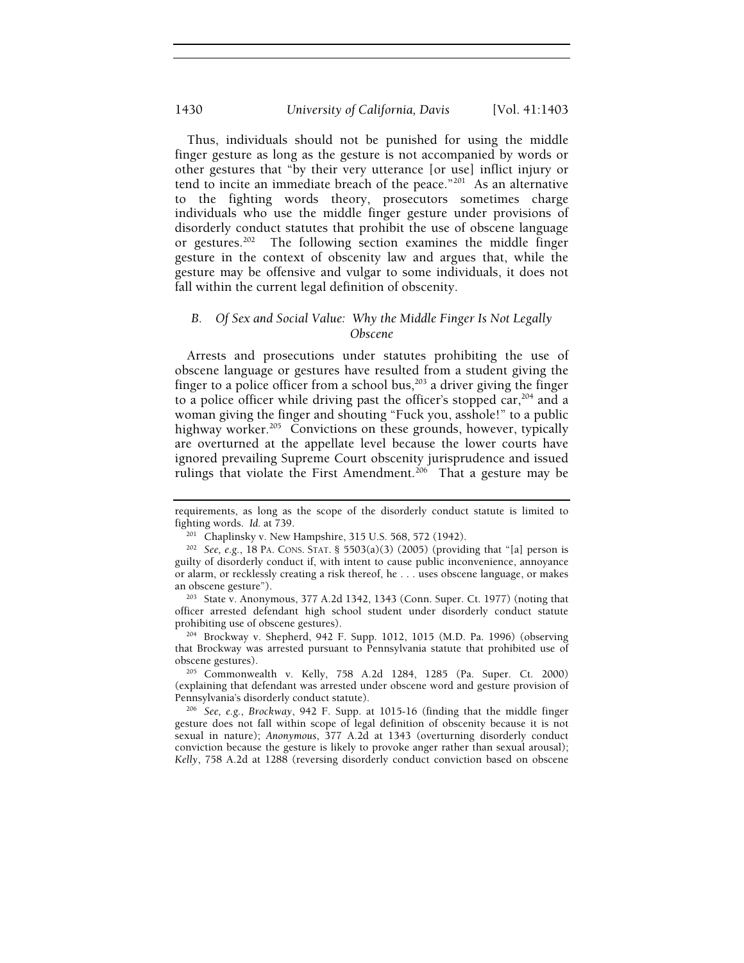Thus, individuals should not be punished for using the middle finger gesture as long as the gesture is not accompanied by words or other gestures that "by their very utterance [or use] inflict injury or tend to incite an immediate breach of the peace." $201$  As an alternative to the fighting words theory, prosecutors sometimes charge individuals who use the middle finger gesture under provisions of disorderly conduct statutes that prohibit the use of obscene language or gestures.<sup>202</sup> The following section examines the middle finger gesture in the context of obscenity law and argues that, while the gesture may be offensive and vulgar to some individuals, it does not fall within the current legal definition of obscenity.

## *B. Of Sex and Social Value: Why the Middle Finger Is Not Legally Obscene*

Arrests and prosecutions under statutes prohibiting the use of obscene language or gestures have resulted from a student giving the finger to a police officer from a school bus, $203$  a driver giving the finger to a police officer while driving past the officer's stopped  $car$ ,  $204$  and a woman giving the finger and shouting "Fuck you, asshole!" to a public highway worker.<sup>205</sup> Convictions on these grounds, however, typically are overturned at the appellate level because the lower courts have ignored prevailing Supreme Court obscenity jurisprudence and issued rulings that violate the First Amendment.<sup>206</sup> That a gesture may be

 $204$  Brockway v. Shepherd, 942 F. Supp. 1012, 1015 (M.D. Pa. 1996) (observing that Brockway was arrested pursuant to Pennsylvania statute that prohibited use of obscene gestures). 205 Commonwealth v. Kelly, 758 A.2d 1284, 1285 (Pa. Super. Ct. 2000)

(explaining that defendant was arrested under obscene word and gesture provision of Pennsylvania's disorderly conduct statute). 206 *See, e.g.*, *Brockway*, 942 F. Supp. at 1015-16 (finding that the middle finger

gesture does not fall within scope of legal definition of obscenity because it is not sexual in nature); *Anonymous*, 377 A.2d at 1343 (overturning disorderly conduct conviction because the gesture is likely to provoke anger rather than sexual arousal); *Kelly*, 758 A.2d at 1288 (reversing disorderly conduct conviction based on obscene

requirements, as long as the scope of the disorderly conduct statute is limited to fighting words. *Id.* at 739.<br><sup>201</sup> Chaplinsky v. New Hampshire, 315 U.S. 568, 572 (1942).<br><sup>202</sup> *See, e.g.*, 18 PA. CONS. STAT. § 5503(a)(3) (2005) (providing that "[a] person is

guilty of disorderly conduct if, with intent to cause public inconvenience, annoyance or alarm, or recklessly creating a risk thereof, he . . . uses obscene language, or makes

an obscene gesture").<br><sup>203</sup> State v. Anonymous, 377 A.2d 1342, 1343 (Conn. Super. Ct. 1977) (noting that officer arrested defendant high school student under disorderly conduct statute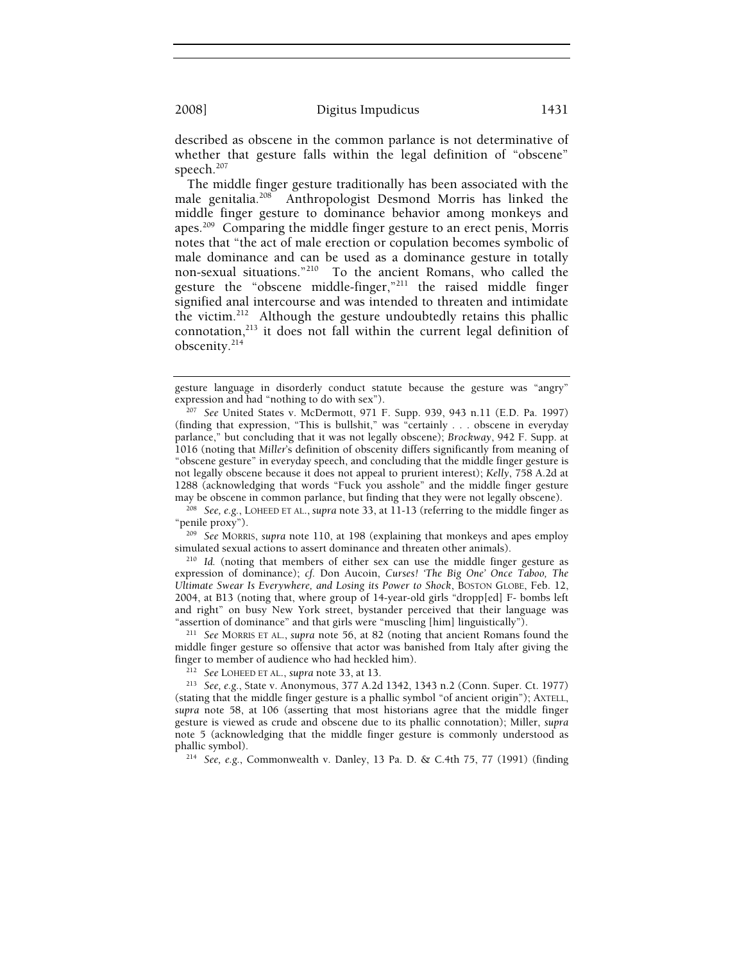described as obscene in the common parlance is not determinative of whether that gesture falls within the legal definition of "obscene" speech.<sup>207</sup>

The middle finger gesture traditionally has been associated with the male genitalia.208 Anthropologist Desmond Morris has linked the middle finger gesture to dominance behavior among monkeys and apes.209 Comparing the middle finger gesture to an erect penis, Morris notes that "the act of male erection or copulation becomes symbolic of male dominance and can be used as a dominance gesture in totally non-sexual situations."210 To the ancient Romans, who called the gesture the "obscene middle-finger,"211 the raised middle finger signified anal intercourse and was intended to threaten and intimidate the victim.212 Although the gesture undoubtedly retains this phallic connotation,213 it does not fall within the current legal definition of obscenity.214

<sup>208</sup> See, e.g., LOHEED ET AL., *supra* note 33, at 11-13 (referring to the middle finger as "penile proxy"). 209 *See* MORRIS, *supra* note 110, at 198 (explaining that monkeys and apes employ

simulated sexual actions to assert dominance and threaten other animals). 210 *Id.* (noting that members of either sex can use the middle finger gesture as

expression of dominance); *cf.* Don Aucoin, *Curses! 'The Big One' Once Taboo, The Ultimate Swear Is Everywhere, and Losing its Power to Shock*, BOSTON GLOBE, Feb. 12, 2004, at B13 (noting that, where group of 14-year-old girls "dropp[ed] F- bombs left and right" on busy New York street, bystander perceived that their language was "assertion of dominance" and that girls were "muscling [him] linguistically"). 211 *See* MORRIS ET AL., *supra* note 56, at 82 (noting that ancient Romans found the

middle finger gesture so offensive that actor was banished from Italy after giving the finger to member of audience who had heckled him). 212 *See* LOHEED ET AL., *supra* note 33, at 13. 213 *See, e.g.*, State v. Anonymous, 377 A.2d 1342, 1343 n.2 (Conn. Super. Ct. 1977)

gesture language in disorderly conduct statute because the gesture was "angry"

expression and had "nothing to do with sex"). 207 *See* United States v. McDermott, 971 F. Supp. 939, 943 n.11 (E.D. Pa. 1997) (finding that expression, "This is bullshit," was "certainly . . . obscene in everyday parlance," but concluding that it was not legally obscene); *Brockway*, 942 F. Supp. at 1016 (noting that *Miller*'s definition of obscenity differs significantly from meaning of "obscene gesture" in everyday speech, and concluding that the middle finger gesture is not legally obscene because it does not appeal to prurient interest); *Kelly*, 758 A.2d at 1288 (acknowledging that words "Fuck you asshole" and the middle finger gesture may be obscene in common parlance, but finding that they were not legally obscene).

<sup>(</sup>stating that the middle finger gesture is a phallic symbol "of ancient origin"); AXTELL, *supra* note 58, at 106 (asserting that most historians agree that the middle finger gesture is viewed as crude and obscene due to its phallic connotation); Miller, *supra* note 5 (acknowledging that the middle finger gesture is commonly understood as phallic symbol). 214 *See, e.g.*, Commonwealth v. Danley, 13 Pa. D. & C.4th 75, 77 (1991) (finding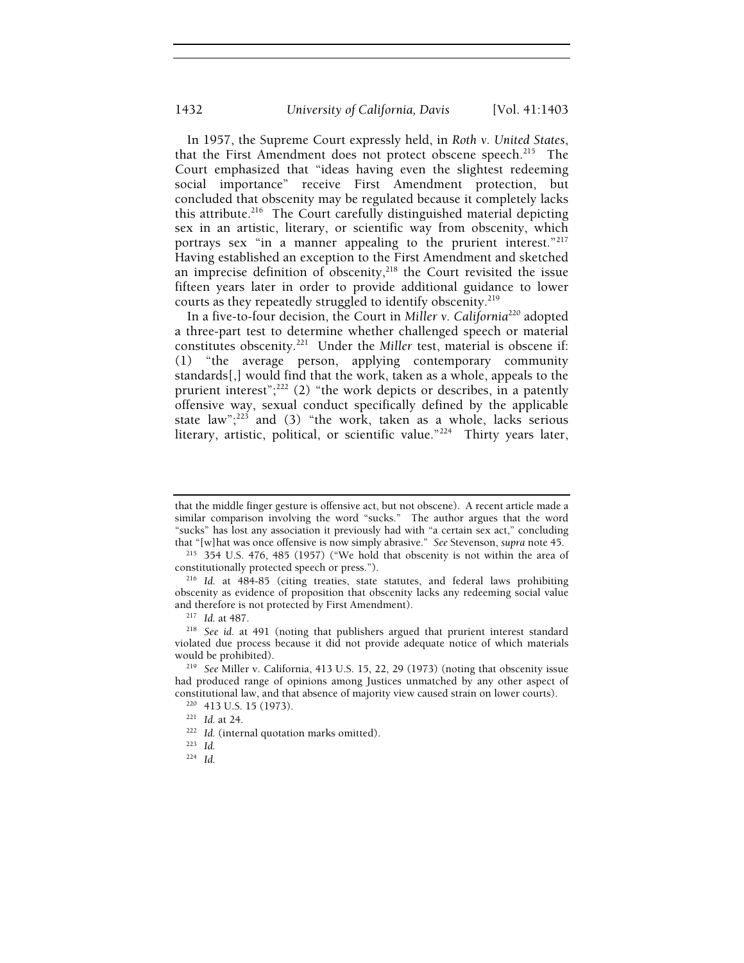In 1957, the Supreme Court expressly held, in *Roth v. United States*, that the First Amendment does not protect obscene speech.<sup>215</sup> The Court emphasized that "ideas having even the slightest redeeming social importance" receive First Amendment protection, but concluded that obscenity may be regulated because it completely lacks this attribute.<sup>216</sup> The Court carefully distinguished material depicting sex in an artistic, literary, or scientific way from obscenity, which portrays sex "in a manner appealing to the prurient interest."<sup>217</sup> Having established an exception to the First Amendment and sketched an imprecise definition of obscenity, $218$  the Court revisited the issue fifteen years later in order to provide additional guidance to lower courts as they repeatedly struggled to identify obscenity.219

In a five-to-four decision, the Court in *Miller v. California*<sup>220</sup> adopted a three-part test to determine whether challenged speech or material constitutes obscenity.221 Under the *Miller* test, material is obscene if: (1) "the average person, applying contemporary community standards[,] would find that the work, taken as a whole, appeals to the prurient interest";<sup>222</sup> (2) "the work depicts or describes, in a patently offensive way, sexual conduct specifically defined by the applicable state law"; $^{223}$  and (3) "the work, taken as a whole, lacks serious literary, artistic, political, or scientific value."<sup>224</sup> Thirty years later,

that the middle finger gesture is offensive act, but not obscene). A recent article made a similar comparison involving the word "sucks." The author argues that the word "sucks" has lost any association it previously had with "a certain sex act," concluding that "[w] hat was once offensive is now simply abrasive." See Stevenson, supra note 45.

<sup>&</sup>lt;sup>215</sup> 354 U.S. 476, 485 (1957) ("We hold that obscenity is not within the area of constitutionally protected speech or press.").

<sup>&</sup>lt;sup>216</sup> Id. at 484-85 (citing treaties, state statutes, and federal laws prohibiting obscenity as evidence of proposition that obscenity lacks any redeeming social value

<sup>&</sup>lt;sup>217</sup> Id. at 487.<br><sup>218</sup> See id. at 491 (noting that publishers argued that prurient interest standard violated due process because it did not provide adequate notice of which materials would be prohibited). 219 *See* Miller v. California, 413 U.S. 15, 22, 29 (1973) (noting that obscenity issue

had produced range of opinions among Justices unmatched by any other aspect of constitutional law, and that absence of majority view caused strain on lower courts).<br><sup>220</sup> 413 U.S. 15 (1973).<br><sup>221</sup> *Id.* at 24. <sup>222</sup> *Id.* (internal quotation marks omitted).<br><sup>223</sup> *Id* 

<sup>224</sup> *Id.*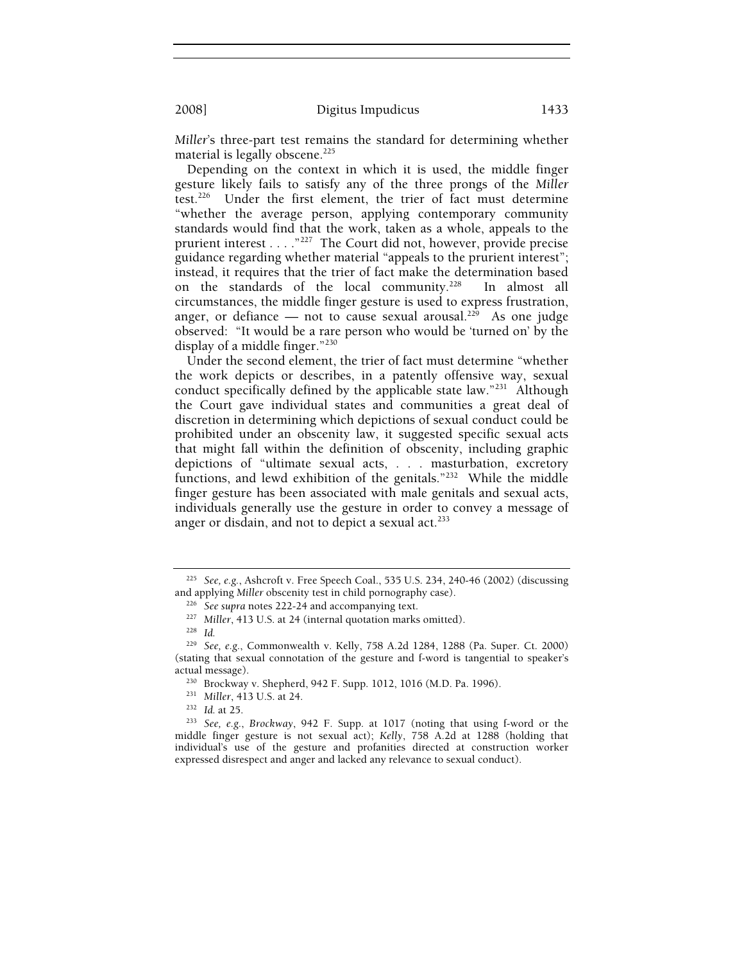*Miller*'s three-part test remains the standard for determining whether material is legally obscene.<sup>225</sup>

Depending on the context in which it is used, the middle finger gesture likely fails to satisfy any of the three prongs of the *Miller*  test.226 Under the first element, the trier of fact must determine "whether the average person, applying contemporary community standards would find that the work, taken as a whole, appeals to the prurient interest . . . . "<sup>227</sup> The Court did not, however, provide precise guidance regarding whether material "appeals to the prurient interest"; instead, it requires that the trier of fact make the determination based on the standards of the local community.<sup>228</sup> In almost all circumstances, the middle finger gesture is used to express frustration, anger, or defiance — not to cause sexual arousal.<sup>229</sup> As one judge observed: "It would be a rare person who would be 'turned on' by the display of a middle finger." $230$ 

Under the second element, the trier of fact must determine "whether the work depicts or describes, in a patently offensive way, sexual conduct specifically defined by the applicable state law."<sup>231</sup> Although the Court gave individual states and communities a great deal of discretion in determining which depictions of sexual conduct could be prohibited under an obscenity law, it suggested specific sexual acts that might fall within the definition of obscenity, including graphic depictions of "ultimate sexual acts, . . . masturbation, excretory functions, and lewd exhibition of the genitals." $232$  While the middle finger gesture has been associated with male genitals and sexual acts, individuals generally use the gesture in order to convey a message of anger or disdain, and not to depict a sexual act.<sup>233</sup>

<sup>225</sup> *See, e.g.*, Ashcroft v. Free Speech Coal., 535 U.S. 234, 240-46 (2002) (discussing and applying *Miller* obscenity test in child pornography case).<br><sup>226</sup> See supra notes 222-24 and accompanying text.<br><sup>227</sup> *Miller*, 413 U.S. at 24 (internal quotation marks omitted).<br><sup>228</sup> *Id.* 

<sup>229</sup> *See, e.g.*, Commonwealth v. Kelly, 758 A.2d 1284, 1288 (Pa. Super. Ct. 2000) (stating that sexual connotation of the gesture and f-word is tangential to speaker's

actual message).<br><sup>230</sup> Brockway v. Shepherd, 942 F. Supp. 1012, 1016 (M.D. Pa. 1996).<br><sup>231</sup> Miller, 413 U.S. at 24.<br><sup>232</sup> Id. at 25.<br><sup>232</sup> See, e.g., Brockway, 942 F. Supp. at 1017 (noting that using f-word or the middle finger gesture is not sexual act); *Kelly*, 758 A.2d at 1288 (holding that individual's use of the gesture and profanities directed at construction worker expressed disrespect and anger and lacked any relevance to sexual conduct).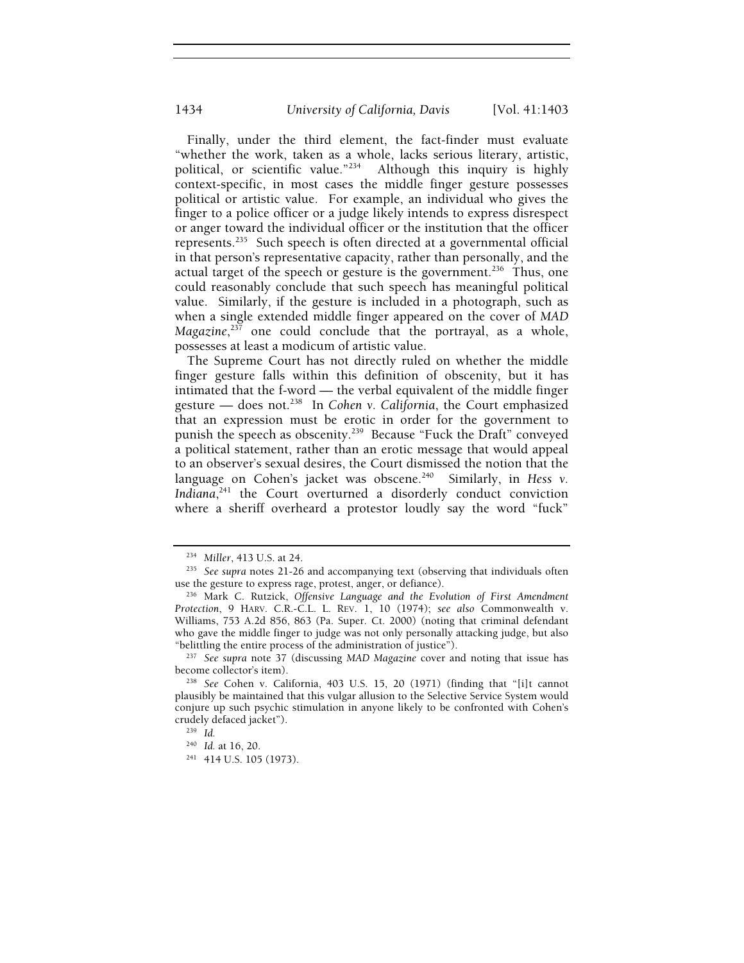Finally, under the third element, the fact-finder must evaluate "whether the work, taken as a whole, lacks serious literary, artistic, political, or scientific value."234 Although this inquiry is highly context-specific, in most cases the middle finger gesture possesses political or artistic value. For example, an individual who gives the finger to a police officer or a judge likely intends to express disrespect or anger toward the individual officer or the institution that the officer represents.235 Such speech is often directed at a governmental official in that person's representative capacity, rather than personally, and the actual target of the speech or gesture is the government.<sup>236</sup> Thus, one could reasonably conclude that such speech has meaningful political value. Similarly, if the gesture is included in a photograph, such as when a single extended middle finger appeared on the cover of *MAD Magazine*, 237 one could conclude that the portrayal, as a whole, possesses at least a modicum of artistic value.

The Supreme Court has not directly ruled on whether the middle finger gesture falls within this definition of obscenity, but it has intimated that the f-word — the verbal equivalent of the middle finger gesture — does not.238 In *Cohen v. California*, the Court emphasized that an expression must be erotic in order for the government to punish the speech as obscenity.<sup>239</sup> Because "Fuck the Draft" conveyed a political statement, rather than an erotic message that would appeal to an observer's sexual desires, the Court dismissed the notion that the language on Cohen's jacket was obscene.<sup>240</sup> Similarly, in *Hess v. Indiana*, 241 the Court overturned a disorderly conduct conviction where a sheriff overheard a protestor loudly say the word "fuck"

<sup>&</sup>lt;sup>234</sup> Miller, 413 U.S. at 24.<br><sup>235</sup> See supra notes 21-26 and accompanying text (observing that individuals often use the gesture to express rage, protest, anger, or defiance). 236 Mark C. Rutzick, *Offensive Language and the Evolution of First Amendment* 

*Protection*, 9 HARV. C.R.-C.L. L. REV. 1, 10 (1974); *see also* Commonwealth v. Williams, 753 A.2d 856, 863 (Pa. Super. Ct. 2000) (noting that criminal defendant who gave the middle finger to judge was not only personally attacking judge, but also "belittling the entire process of the administration of justice"). 237 *See supra* note 37 (discussing *MAD Magazine* cover and noting that issue has

become collector's item). 238 *See* Cohen v. California, 403 U.S. 15, 20 (1971) (finding that "[i]t cannot

plausibly be maintained that this vulgar allusion to the Selective Service System would conjure up such psychic stimulation in anyone likely to be confronted with Cohen's crudely defaced jacket").<br><sup>239</sup> *Id.*<br><sup>240</sup> *Id.* at 16, 20.

<sup>&</sup>lt;sup>241</sup> 414 U.S. 105 (1973).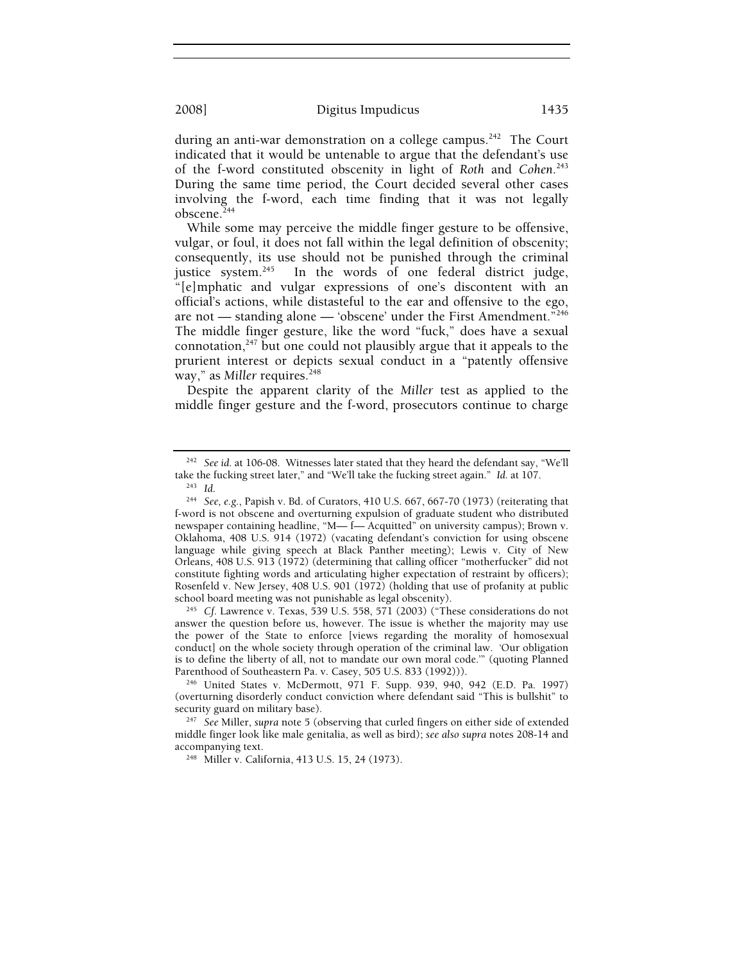during an anti-war demonstration on a college campus.<sup>242</sup> The Court indicated that it would be untenable to argue that the defendant's use of the f-word constituted obscenity in light of *Roth* and *Cohen*. 243 During the same time period, the Court decided several other cases involving the f-word, each time finding that it was not legally obscene.<sup>244</sup>

While some may perceive the middle finger gesture to be offensive, vulgar, or foul, it does not fall within the legal definition of obscenity; consequently, its use should not be punished through the criminal justice system.<sup>245</sup> In the words of one federal district judge, "[e]mphatic and vulgar expressions of one's discontent with an official's actions, while distasteful to the ear and offensive to the ego, are not — standing alone — 'obscene' under the First Amendment.<sup> $n246$ </sup> The middle finger gesture, like the word "fuck," does have a sexual connotation, $247$  but one could not plausibly argue that it appeals to the prurient interest or depicts sexual conduct in a "patently offensive way," as *Miller* requires.<sup>248</sup>

Despite the apparent clarity of the *Miller* test as applied to the middle finger gesture and the f-word, prosecutors continue to charge

answer the question before us, however. The issue is whether the majority may use the power of the State to enforce [views regarding the morality of homosexual conduct] on the whole society through operation of the criminal law. 'Our obligation is to define the liberty of all, not to mandate our own moral code." (quoting Planned Parenthood of Southeastern Pa. v. Casey, 505 U.S. 833 (1992))).

<sup>246</sup> United States v. McDermott, 971 F. Supp. 939, 940, 942 (E.D. Pa. 1997) (overturning disorderly conduct conviction where defendant said "This is bullshit" to

<sup>247</sup> See Miller, *supra* note 5 (observing that curled fingers on either side of extended middle finger look like male genitalia, as well as bird); *see also supra* notes 208-14 and accompanying text.<br><sup>248</sup> Miller v. California, 413 U.S. 15, 24 (1973).

<sup>&</sup>lt;sup>242</sup> See id. at 106-08. Witnesses later stated that they heard the defendant say, "We'll take the fucking street later," and "We'll take the fucking street again." *Id.* at 107.

take the fucking street later," and "We'll take the fucking street again." *Id.* at 107. 243 *Id*. 244 *See, e.g.*, Papish v. Bd. of Curators, 410 U.S. 667, 667-70 (1973) (reiterating that f-word is not obscene and overturning expulsion of graduate student who distributed newspaper containing headline, "M— f— Acquitted" on university campus); Brown v. Oklahoma, 408 U.S. 914 (1972) (vacating defendant's conviction for using obscene language while giving speech at Black Panther meeting); Lewis v. City of New Orleans, 408 U.S. 913 (1972) (determining that calling officer "motherfucker" did not constitute fighting words and articulating higher expectation of restraint by officers); Rosenfeld v. New Jersey, 408 U.S. 901 (1972) (holding that use of profanity at public school board meeting was not punishable as legal obscenity). 245 *Cf.* Lawrence v. Texas, 539 U.S. 558, 571 (2003) ("These considerations do not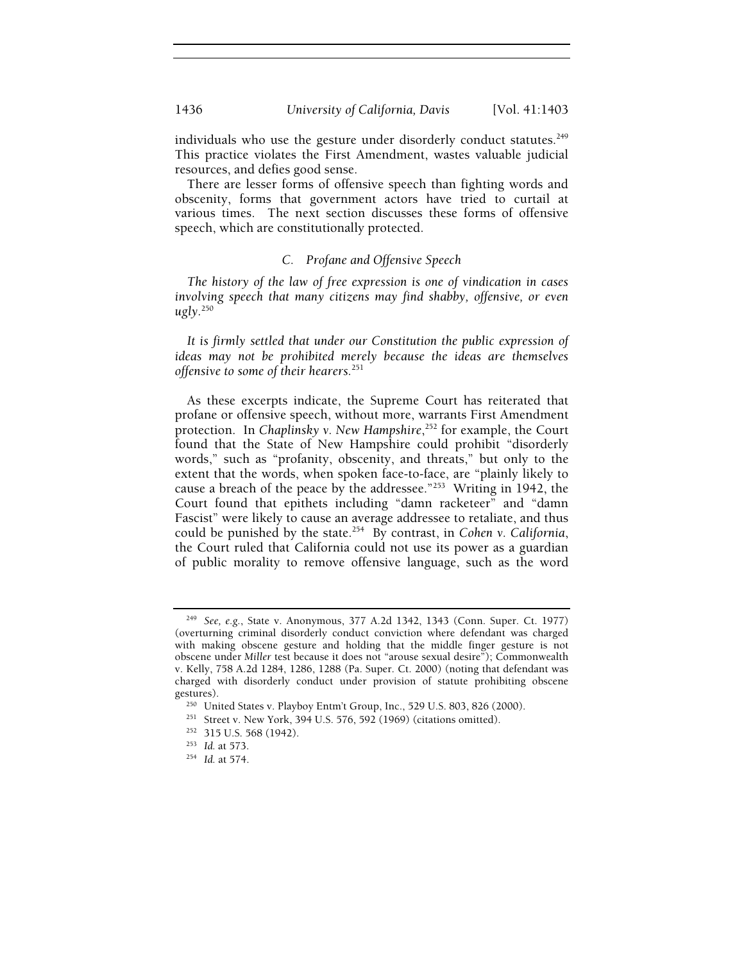individuals who use the gesture under disorderly conduct statutes. $249$ This practice violates the First Amendment, wastes valuable judicial resources, and defies good sense.

There are lesser forms of offensive speech than fighting words and obscenity, forms that government actors have tried to curtail at various times. The next section discusses these forms of offensive speech, which are constitutionally protected.

## *C. Profane and Offensive Speech*

*The history of the law of free expression is one of vindication in cases involving speech that many citizens may find shabby, offensive, or even ugly.*<sup>250</sup>

*It is firmly settled that under our Constitution the public expression of ideas may not be prohibited merely because the ideas are themselves offensive to some of their hearers.*<sup>251</sup>

As these excerpts indicate, the Supreme Court has reiterated that profane or offensive speech, without more, warrants First Amendment protection. In *Chaplinsky v. New Hampshire*, 252 for example, the Court found that the State of New Hampshire could prohibit "disorderly words," such as "profanity, obscenity, and threats," but only to the extent that the words, when spoken face-to-face, are "plainly likely to cause a breach of the peace by the addressee."<sup>253'</sup> Writing in 1942, the Court found that epithets including "damn racketeer" and "damn Fascist" were likely to cause an average addressee to retaliate, and thus could be punished by the state.254 By contrast, in *Cohen v. California*, the Court ruled that California could not use its power as a guardian of public morality to remove offensive language, such as the word

<sup>249</sup> *See, e.g.*, State v. Anonymous, 377 A.2d 1342, 1343 (Conn. Super. Ct. 1977) (overturning criminal disorderly conduct conviction where defendant was charged with making obscene gesture and holding that the middle finger gesture is not obscene under *Miller* test because it does not "arouse sexual desire"); Commonwealth v. Kelly, 758 A.2d 1284, 1286, 1288 (Pa. Super. Ct. 2000) (noting that defendant was charged with disorderly conduct under provision of statute prohibiting obscene gestures).<br><sup>250</sup> United States v. Playboy Entm't Group, Inc., 529 U.S. 803, 826 (2000).<br><sup>251</sup> Street v. New York, 394 U.S. 576, 592 (1969) (citations omitted).<br><sup>252</sup> 315 U.S. 568 (1942).<br><sup>253</sup> Id. at 573.<br><sup>254</sup> Id. at 574.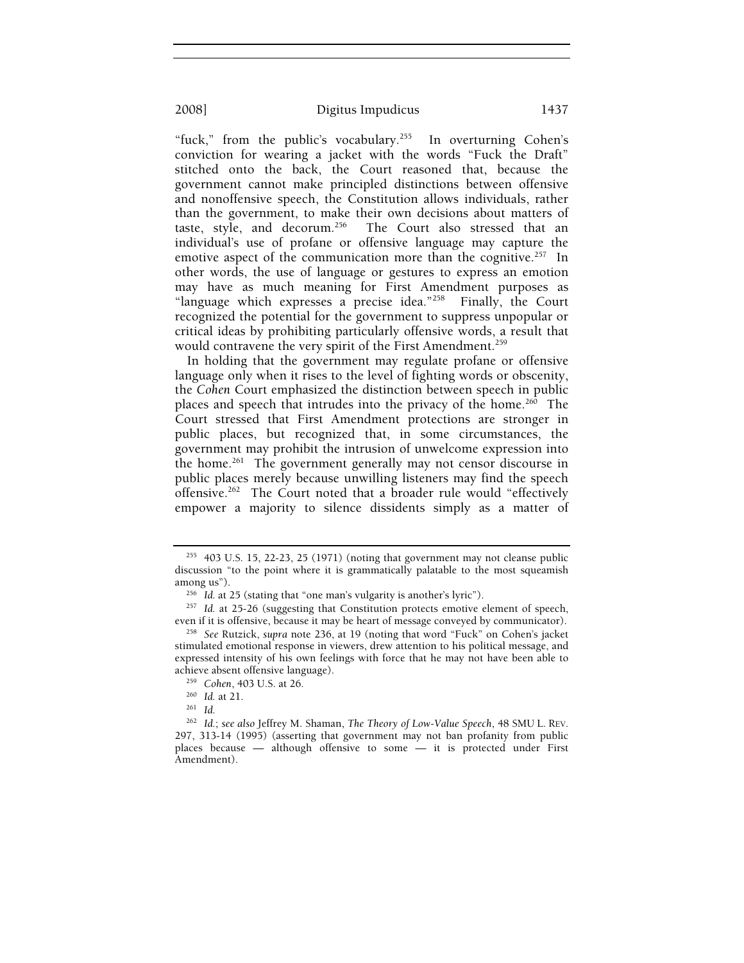"fuck," from the public's vocabulary.<sup>255</sup> In overturning Cohen's conviction for wearing a jacket with the words "Fuck the Draft" stitched onto the back, the Court reasoned that, because the government cannot make principled distinctions between offensive and nonoffensive speech, the Constitution allows individuals, rather than the government, to make their own decisions about matters of taste, style, and decorum.<sup>256</sup> The Court also stressed that an The Court also stressed that an individual's use of profane or offensive language may capture the emotive aspect of the communication more than the cognitive.<sup>257</sup> In other words, the use of language or gestures to express an emotion may have as much meaning for First Amendment purposes as "language which expresses a precise idea."<sup>258</sup> Finally, the Court recognized the potential for the government to suppress unpopular or critical ideas by prohibiting particularly offensive words, a result that would contravene the very spirit of the First Amendment.<sup>259</sup>

In holding that the government may regulate profane or offensive language only when it rises to the level of fighting words or obscenity, the *Cohen* Court emphasized the distinction between speech in public places and speech that intrudes into the privacy of the home.<sup>260</sup> The Court stressed that First Amendment protections are stronger in public places, but recognized that, in some circumstances, the government may prohibit the intrusion of unwelcome expression into the home.<sup>261</sup> The government generally may not censor discourse in public places merely because unwilling listeners may find the speech offensive.262 The Court noted that a broader rule would "effectively empower a majority to silence dissidents simply as a matter of

<sup>255 403</sup> U.S. 15, 22-23, 25 (1971) (noting that government may not cleanse public discussion "to the point where it is grammatically palatable to the most squeamish

among us").<br><sup>256</sup> *Id.* at 25 (stating that "one man's vulgarity is another's lyric").<br><sup>257</sup> *Id.* at 25-26 (suggesting that Constitution protects emotive element of speech,<br>even if it is offensive, because it may be heart

<sup>&</sup>lt;sup>258</sup> See Rutzick, supra note 236, at 19 (noting that word "Fuck" on Cohen's jacket stimulated emotional response in viewers, drew attention to his political message, and expressed intensity of his own feelings with force that he may not have been able to achieve absent offensive language).<br><sup>259</sup> *Cohen*, 403 U.S. at 26.<br><sup>260</sup> *Id.* at 21.<br><sup>261</sup> *Id.* 

<sup>262</sup> *Id.*; *see also* Jeffrey M. Shaman, *The Theory of Low-Value Speech*, 48 SMU L. REV. 297, 313-14 (1995) (asserting that government may not ban profanity from public places because — although offensive to some — it is protected under First Amendment).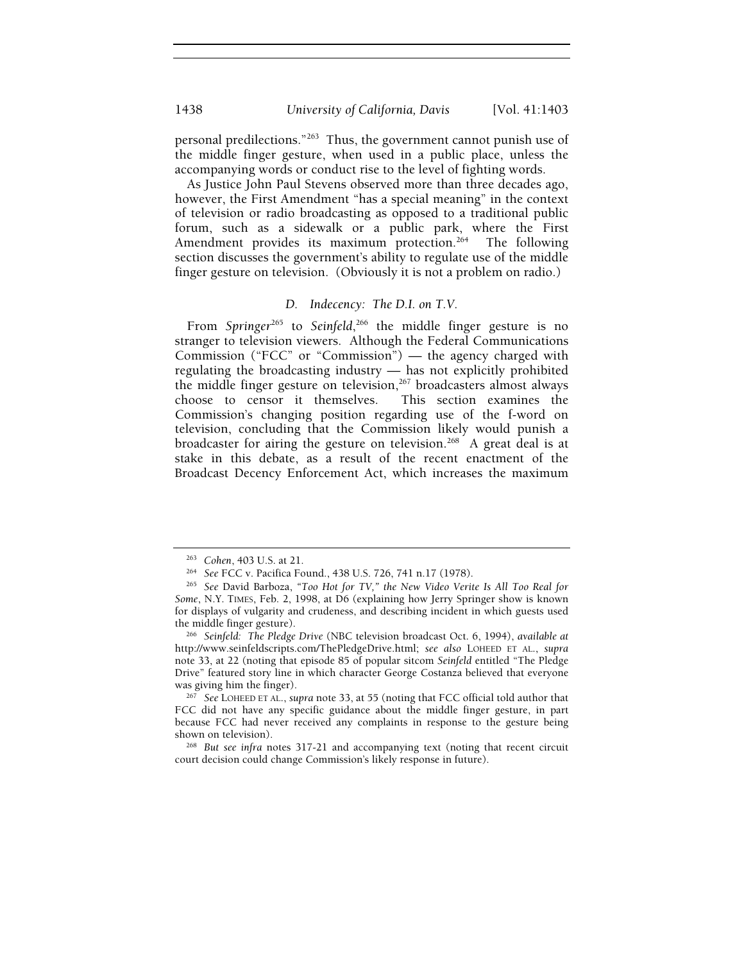1438 *University of California, Davis* [Vol. 41:1403

personal predilections."263 Thus, the government cannot punish use of the middle finger gesture, when used in a public place, unless the accompanying words or conduct rise to the level of fighting words.

As Justice John Paul Stevens observed more than three decades ago, however, the First Amendment "has a special meaning" in the context of television or radio broadcasting as opposed to a traditional public forum, such as a sidewalk or a public park, where the First Amendment provides its maximum protection.<sup>264</sup> The following section discusses the government's ability to regulate use of the middle finger gesture on television. (Obviously it is not a problem on radio.)

## *D. Indecency: The D.I. on T.V.*

From Springer<sup>265</sup> to Seinfeld,<sup>266</sup> the middle finger gesture is no stranger to television viewers. Although the Federal Communications Commission ("FCC" or "Commission") — the agency charged with regulating the broadcasting industry — has not explicitly prohibited the middle finger gesture on television,<sup>267</sup> broadcasters almost always choose to censor it themselves. This section examines the choose to censor it themselves. Commission's changing position regarding use of the f-word on television, concluding that the Commission likely would punish a broadcaster for airing the gesture on television.<sup>268</sup> A great deal is at stake in this debate, as a result of the recent enactment of the Broadcast Decency Enforcement Act, which increases the maximum

<sup>263</sup> *Cohen*, 403 U.S. at 21. 264 *See* FCC v. Pacifica Found., 438 U.S. 726, 741 n.17 (1978). 265 *See* David Barboza, *"Too Hot for TV," the New Video Verite Is All Too Real for Some*, N.Y. TIMES, Feb. 2, 1998, at D6 (explaining how Jerry Springer show is known for displays of vulgarity and crudeness, and describing incident in which guests used

<sup>&</sup>lt;sup>266</sup> Seinfeld: The Pledge Drive (NBC television broadcast Oct. 6, 1994), *available at* http://www.seinfeldscripts.com/ThePledgeDrive.html; *see also* LOHEED ET AL., *supra*  note 33, at 22 (noting that episode 85 of popular sitcom *Seinfeld* entitled "The Pledge Drive" featured story line in which character George Costanza believed that everyone

<sup>&</sup>lt;sup>267</sup> See LOHEED ET AL., *supra* note 33, at 55 (noting that FCC official told author that FCC did not have any specific guidance about the middle finger gesture, in part because FCC had never received any complaints in response to the gesture being shown on television).<br><sup>268</sup> But see infra notes 317-21 and accompanying text (noting that recent circuit

court decision could change Commission's likely response in future).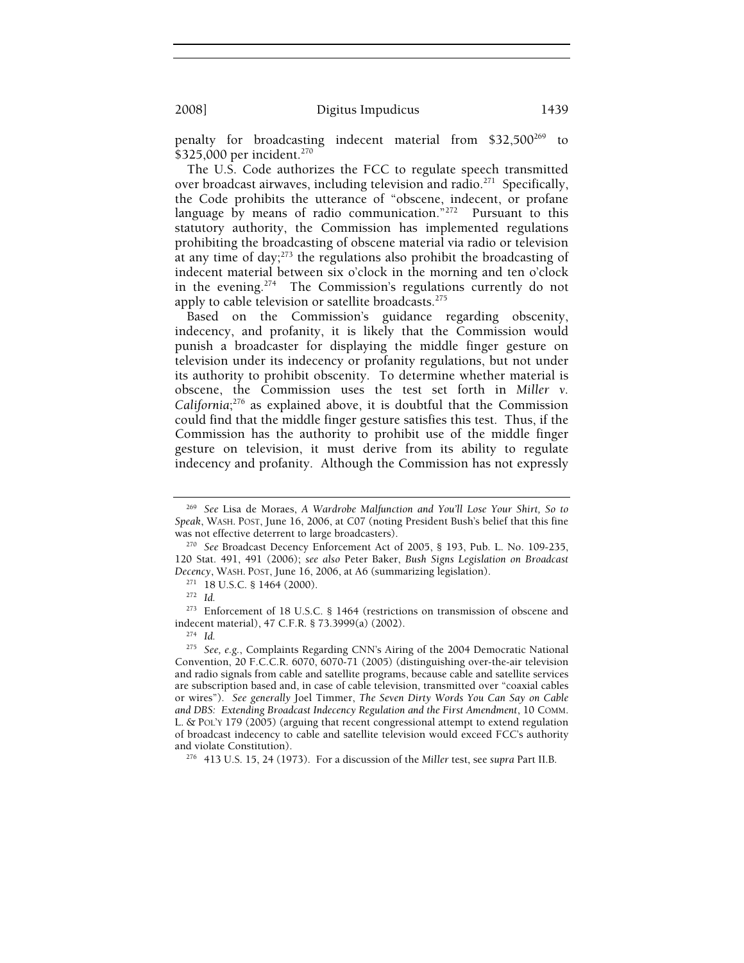penalty for broadcasting indecent material from \$32,500<sup>269</sup> to \$325,000 per incident.<sup>270</sup>

The U.S. Code authorizes the FCC to regulate speech transmitted over broadcast airwaves, including television and radio.<sup>271</sup> Specifically, the Code prohibits the utterance of "obscene, indecent, or profane language by means of radio communication."<sup>272</sup> Pursuant to this statutory authority, the Commission has implemented regulations prohibiting the broadcasting of obscene material via radio or television at any time of day; $^{273}$  the regulations also prohibit the broadcasting of indecent material between six o'clock in the morning and ten o'clock in the evening.274 The Commission's regulations currently do not apply to cable television or satellite broadcasts.<sup>275</sup>

Based on the Commission's guidance regarding obscenity, indecency, and profanity, it is likely that the Commission would punish a broadcaster for displaying the middle finger gesture on television under its indecency or profanity regulations, but not under its authority to prohibit obscenity. To determine whether material is obscene, the Commission uses the test set forth in *Miller v. California*; 276 as explained above, it is doubtful that the Commission could find that the middle finger gesture satisfies this test. Thus, if the Commission has the authority to prohibit use of the middle finger gesture on television, it must derive from its ability to regulate indecency and profanity. Although the Commission has not expressly

<sup>269</sup> *See* Lisa de Moraes, *A Wardrobe Malfunction and You'll Lose Your Shirt, So to Speak*, WASH. POST, June 16, 2006, at C07 (noting President Bush's belief that this fine

<sup>&</sup>lt;sup>270</sup> See Broadcast Decency Enforcement Act of 2005, § 193, Pub. L. No. 109-235, 120 Stat. 491, 491 (2006); *see also* Peter Baker, *Bush Signs Legislation on Broadcast Decency*, WASH. POST, June 16, 2006, at A6 (summarizing legislation).<br><sup>271</sup> 18 U.S.C. § 1464 (2000).<br><sup>272</sup> *Id.* 

<sup>273</sup> Enforcement of 18 U.S.C. § 1464 (restrictions on transmission of obscene and indecent material), 47 C.F.R. § 73.3999(a) (2002). 274 *Id.*

<sup>275</sup> *See, e.g.*, Complaints Regarding CNN's Airing of the 2004 Democratic National Convention, 20 F.C.C.R. 6070, 6070-71 (2005) (distinguishing over-the-air television and radio signals from cable and satellite programs, because cable and satellite services are subscription based and, in case of cable television, transmitted over "coaxial cables or wires"). *See generally* Joel Timmer, *The Seven Dirty Words You Can Say on Cable and DBS: Extending Broadcast Indecency Regulation and the First Amendment*, 10 COMM. L. & POL'Y 179 (2005) (arguing that recent congressional attempt to extend regulation of broadcast indecency to cable and satellite television would exceed FCC's authority and violate Constitution). 276 413 U.S. 15, 24 (1973). For a discussion of the *Miller* test, see *supra* Part II.B.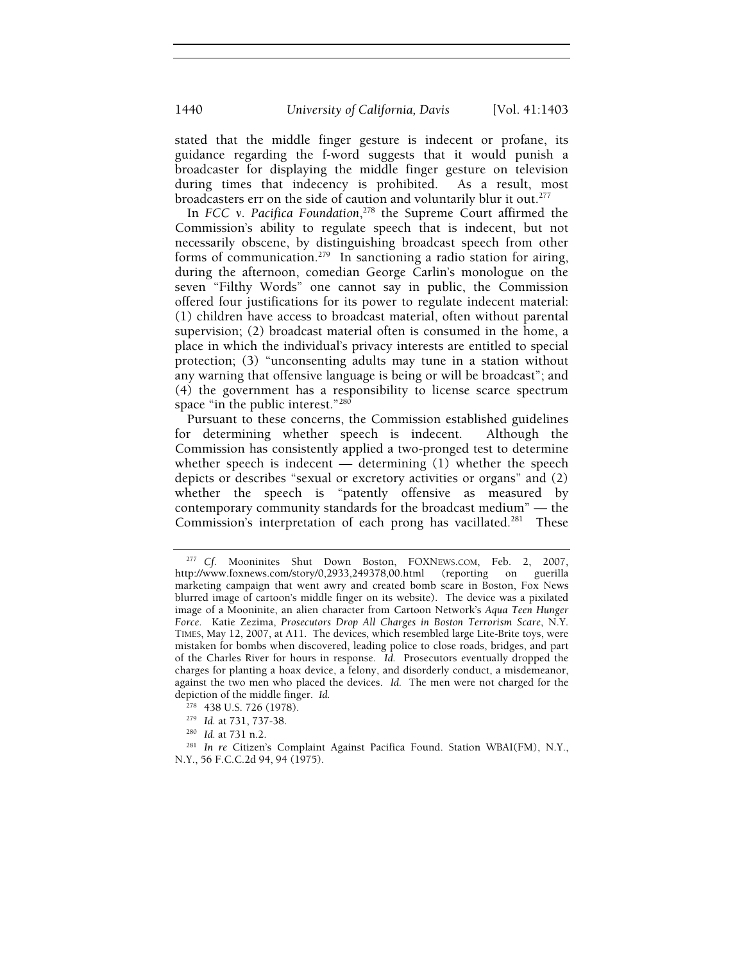stated that the middle finger gesture is indecent or profane, its guidance regarding the f-word suggests that it would punish a broadcaster for displaying the middle finger gesture on television during times that indecency is prohibited. As a result, most broadcasters err on the side of caution and voluntarily blur it out.<sup>277</sup>

In *FCC v. Pacifica Foundation*, 278 the Supreme Court affirmed the Commission's ability to regulate speech that is indecent, but not necessarily obscene, by distinguishing broadcast speech from other forms of communication.<sup>279</sup> In sanctioning a radio station for airing, during the afternoon, comedian George Carlin's monologue on the seven "Filthy Words" one cannot say in public, the Commission offered four justifications for its power to regulate indecent material: (1) children have access to broadcast material, often without parental supervision; (2) broadcast material often is consumed in the home, a place in which the individual's privacy interests are entitled to special protection; (3) "unconsenting adults may tune in a station without any warning that offensive language is being or will be broadcast"; and (4) the government has a responsibility to license scarce spectrum space "in the public interest."<sup>280</sup>

Pursuant to these concerns, the Commission established guidelines for determining whether speech is indecent. Although the Commission has consistently applied a two-pronged test to determine whether speech is indecent — determining  $(1)$  whether the speech depicts or describes "sexual or excretory activities or organs" and (2) whether the speech is "patently offensive as measured by contemporary community standards for the broadcast medium" — the Commission's interpretation of each prong has vacillated.<sup>281</sup> These

<sup>277</sup> *Cf.* Mooninites Shut Down Boston, FOXNEWS.COM, Feb. 2, 2007, http://www.foxnews.com/story/0,2933,249378,00.html (reporting on guerilla marketing campaign that went awry and created bomb scare in Boston, Fox News blurred image of cartoon's middle finger on its website). The device was a pixilated image of a Mooninite, an alien character from Cartoon Network's *Aqua Teen Hunger Force*. Katie Zezima, *Prosecutors Drop All Charges in Boston Terrorism Scare*, N.Y. TIMES, May 12, 2007, at A11. The devices, which resembled large Lite-Brite toys, were mistaken for bombs when discovered, leading police to close roads, bridges, and part of the Charles River for hours in response. *Id.* Prosecutors eventually dropped the charges for planting a hoax device, a felony, and disorderly conduct, a misdemeanor, against the two men who placed the devices. *Id.* The men were not charged for the depiction of the middle finger. *Id.* 

<sup>278 438</sup> U.S. 726 (1978). 279 *Id.* at 731, 737-38. 280 *Id.* at 731 n.2. 281 *In re* Citizen's Complaint Against Pacifica Found. Station WBAI(FM), N.Y., N.Y., 56 F.C.C.2d 94, 94 (1975).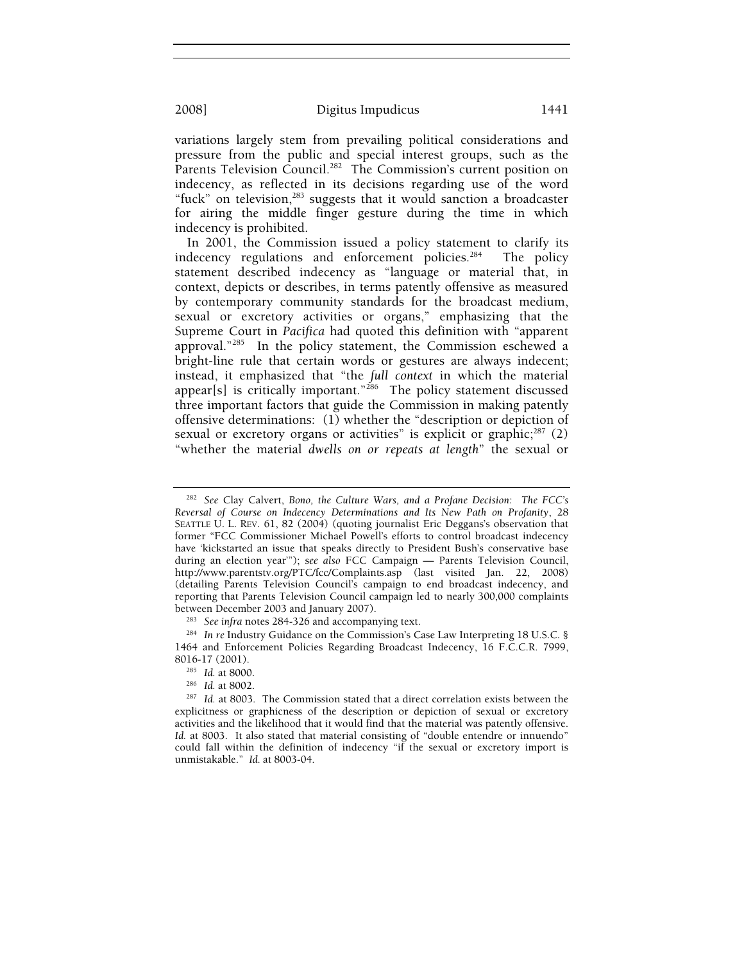variations largely stem from prevailing political considerations and pressure from the public and special interest groups, such as the Parents Television Council.<sup>282</sup> The Commission's current position on indecency, as reflected in its decisions regarding use of the word "fuck" on television,<sup>283</sup> suggests that it would sanction a broadcaster for airing the middle finger gesture during the time in which indecency is prohibited.

In 2001, the Commission issued a policy statement to clarify its indecency regulations and enforcement policies. $284$  The policy statement described indecency as "language or material that, in context, depicts or describes, in terms patently offensive as measured by contemporary community standards for the broadcast medium, sexual or excretory activities or organs," emphasizing that the Supreme Court in *Pacifica* had quoted this definition with "apparent approval."285 In the policy statement, the Commission eschewed a bright-line rule that certain words or gestures are always indecent; instead, it emphasized that "the *full context* in which the material appear[s] is critically important."<sup>286</sup> The policy statement discussed three important factors that guide the Commission in making patently offensive determinations: (1) whether the "description or depiction of sexual or excretory organs or activities" is explicit or graphic; $^{287}$  (2) "whether the material *dwells on or repeats at length*" the sexual or

<sup>282</sup> *See* Clay Calvert, *Bono, the Culture Wars, and a Profane Decision: The FCC's Reversal of Course on Indecency Determinations and Its New Path on Profanity*, 28 SEATTLE U. L. REV. 61, 82 (2004) (quoting journalist Eric Deggans's observation that former "FCC Commissioner Michael Powell's efforts to control broadcast indecency have 'kickstarted an issue that speaks directly to President Bush's conservative base during an election year'"); s*ee also* FCC Campaign — Parents Television Council, http://www.parentstv.org/PTC/fcc/Complaints.asp (last visited Jan. 22, 2008) (detailing Parents Television Council's campaign to end broadcast indecency, and reporting that Parents Television Council campaign led to nearly 300,000 complaints

<sup>&</sup>lt;sup>283</sup> See infra notes 284-326 and accompanying text.<br><sup>284</sup> In re Industry Guidance on the Commission's Case Law Interpreting 18 U.S.C. § 1464 and Enforcement Policies Regarding Broadcast Indecency, 16 F.C.C.R. 7999, 8016-17 (2001).<br><sup>285</sup> Id. at 8000.<br><sup>286</sup> Id. at 8002.<br><sup>287</sup> Id. at 8003. The Commission stated that a direct correlation exists between the

explicitness or graphicness of the description or depiction of sexual or excretory activities and the likelihood that it would find that the material was patently offensive. Id. at 8003. It also stated that material consisting of "double entendre or innuendo" could fall within the definition of indecency "if the sexual or excretory import is unmistakable." *Id.* at 8003-04.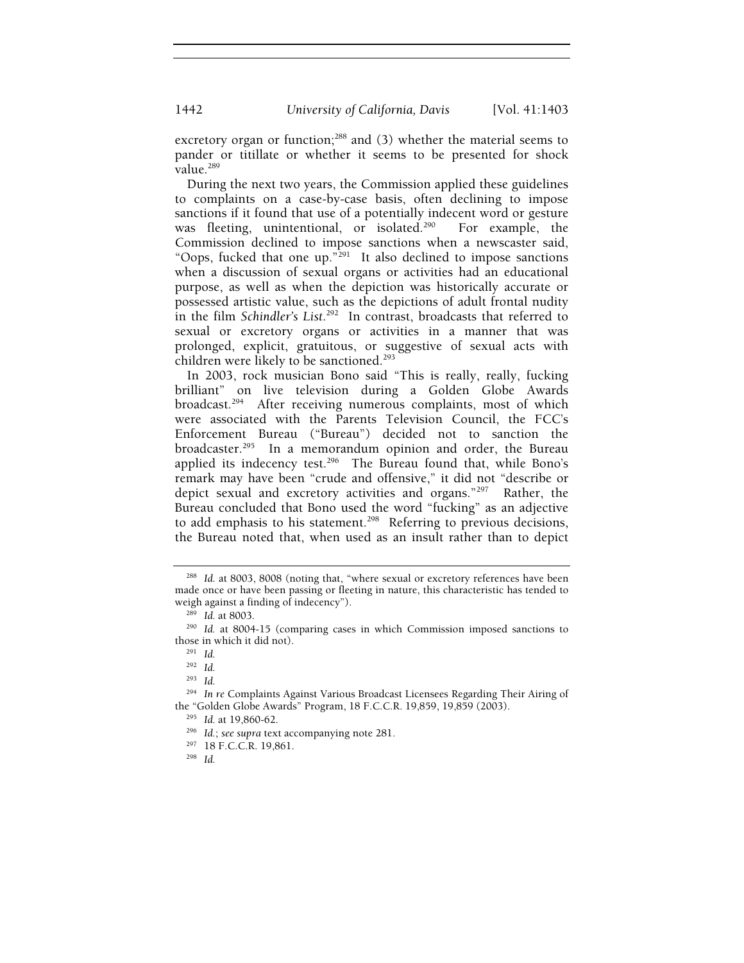excretory organ or function; $288$  and (3) whether the material seems to pander or titillate or whether it seems to be presented for shock value.<sup>289</sup>

During the next two years, the Commission applied these guidelines to complaints on a case-by-case basis, often declining to impose sanctions if it found that use of a potentially indecent word or gesture was fleeting, unintentional, or isolated.<sup>290</sup> For example, the Commission declined to impose sanctions when a newscaster said, "Oops, fucked that one up." $^{291}$  It also declined to impose sanctions when a discussion of sexual organs or activities had an educational purpose, as well as when the depiction was historically accurate or possessed artistic value, such as the depictions of adult frontal nudity in the film *Schindler's List*. 292 In contrast, broadcasts that referred to sexual or excretory organs or activities in a manner that was prolonged, explicit, gratuitous, or suggestive of sexual acts with children were likely to be sanctioned.<sup>293</sup>

In 2003, rock musician Bono said "This is really, really, fucking brilliant" on live television during a Golden Globe Awards broadcast.<sup>294</sup> After receiving numerous complaints, most of which were associated with the Parents Television Council, the FCC's Enforcement Bureau ("Bureau") decided not to sanction the broadcaster.<sup>295</sup> In a memorandum opinion and order, the Bureau applied its indecency test.<sup>296</sup> The Bureau found that, while Bono's remark may have been "crude and offensive," it did not "describe or depict sexual and excretory activities and organs."297 Rather, the Bureau concluded that Bono used the word "fucking" as an adjective to add emphasis to his statement.<sup>298</sup> Referring to previous decisions, the Bureau noted that, when used as an insult rather than to depict

<sup>293</sup> *Id.*

<sup>&</sup>lt;sup>288</sup> Id. at 8003, 8008 (noting that, "where sexual or excretory references have been made once or have been passing or fleeting in nature, this characteristic has tended to weigh against a finding of indecency").<br><sup>289</sup> *Id.* at 8003.<br><sup>290</sup> *Id.* at 8004-15 (comparing cases in which Commission imposed sanctions to

those in which it did not). 291 *Id.*

<sup>292</sup> *Id.*

<sup>&</sup>lt;sup>294</sup> In re Complaints Against Various Broadcast Licensees Regarding Their Airing of the "Golden Globe Awards" Program, 18 F.C.C.R. 19,859, 19,859 (2003).

<sup>&</sup>lt;sup>295</sup> Id. at 19,860-62.<br><sup>296</sup> Id.; *see supra* text accompanying note 281.<br><sup>297</sup> 18 F.C.C.R. 19,861. <sup>298</sup> Id.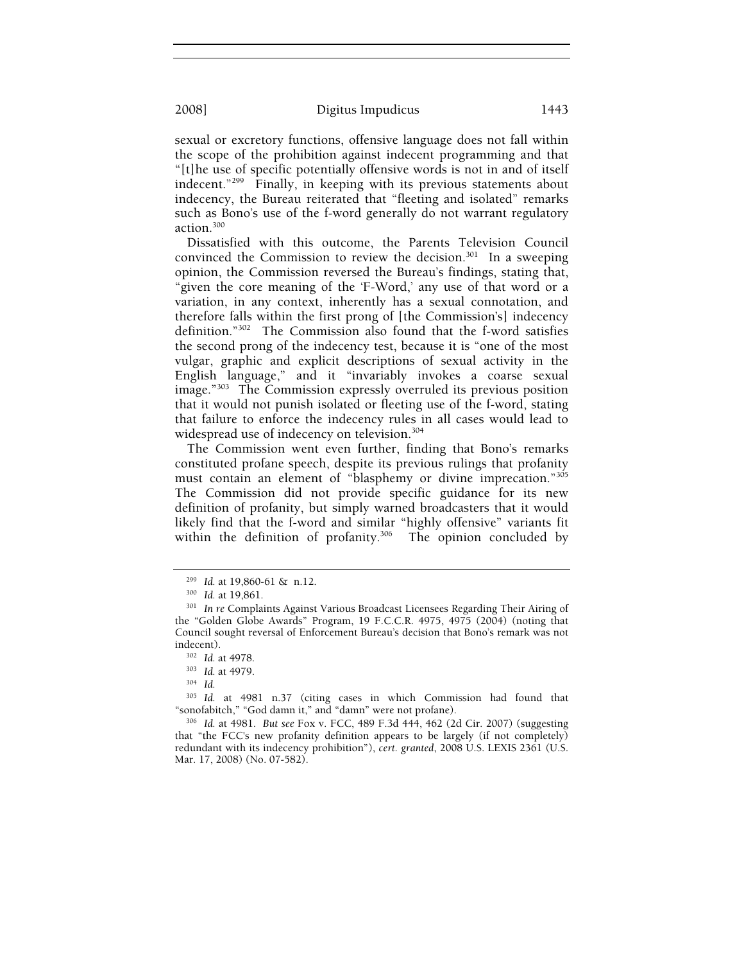sexual or excretory functions, offensive language does not fall within the scope of the prohibition against indecent programming and that "[t]he use of specific potentially offensive words is not in and of itself indecent."299 Finally, in keeping with its previous statements about indecency, the Bureau reiterated that "fleeting and isolated" remarks such as Bono's use of the f-word generally do not warrant regulatory action.300

Dissatisfied with this outcome, the Parents Television Council convinced the Commission to review the decision.<sup>301</sup> In a sweeping opinion, the Commission reversed the Bureau's findings, stating that, "given the core meaning of the 'F-Word,' any use of that word or a variation, in any context, inherently has a sexual connotation, and therefore falls within the first prong of [the Commission's] indecency definition."302 The Commission also found that the f-word satisfies the second prong of the indecency test, because it is "one of the most vulgar, graphic and explicit descriptions of sexual activity in the English language," and it "invariably invokes a coarse sexual image."303 The Commission expressly overruled its previous position that it would not punish isolated or fleeting use of the f-word, stating that failure to enforce the indecency rules in all cases would lead to widespread use of indecency on television.<sup>304</sup>

The Commission went even further, finding that Bono's remarks constituted profane speech, despite its previous rulings that profanity must contain an element of "blasphemy or divine imprecation."<sup>305</sup> The Commission did not provide specific guidance for its new definition of profanity, but simply warned broadcasters that it would likely find that the f-word and similar "highly offensive" variants fit within the definition of profanity.<sup>306</sup> The opinion concluded by

<sup>299</sup> *Id.* at 19,860-61 & n.12. 300 *Id.* at 19,861. 301 *In re* Complaints Against Various Broadcast Licensees Regarding Their Airing of the "Golden Globe Awards" Program, 19 F.C.C.R. 4975, 4975 (2004) (noting that Council sought reversal of Enforcement Bureau's decision that Bono's remark was not

indecent). 302 *Id.* at 4978. 303 *Id.* at 4979. 304 *Id.*

<sup>&</sup>lt;sup>305</sup> Id. at 4981 n.37 (citing cases in which Commission had found that "sonofabitch," "God damn it," and "damn" were not profane).

<sup>306</sup> Id. at 4981. *But see Fox v. FCC*, 489 F.3d 444, 462 (2d Cir. 2007) (suggesting that "the FCC's new profanity definition appears to be largely (if not completely) redundant with its indecency prohibition"), *cert. granted*, 2008 U.S. LEXIS 2361 (U.S. Mar. 17, 2008) (No. 07-582).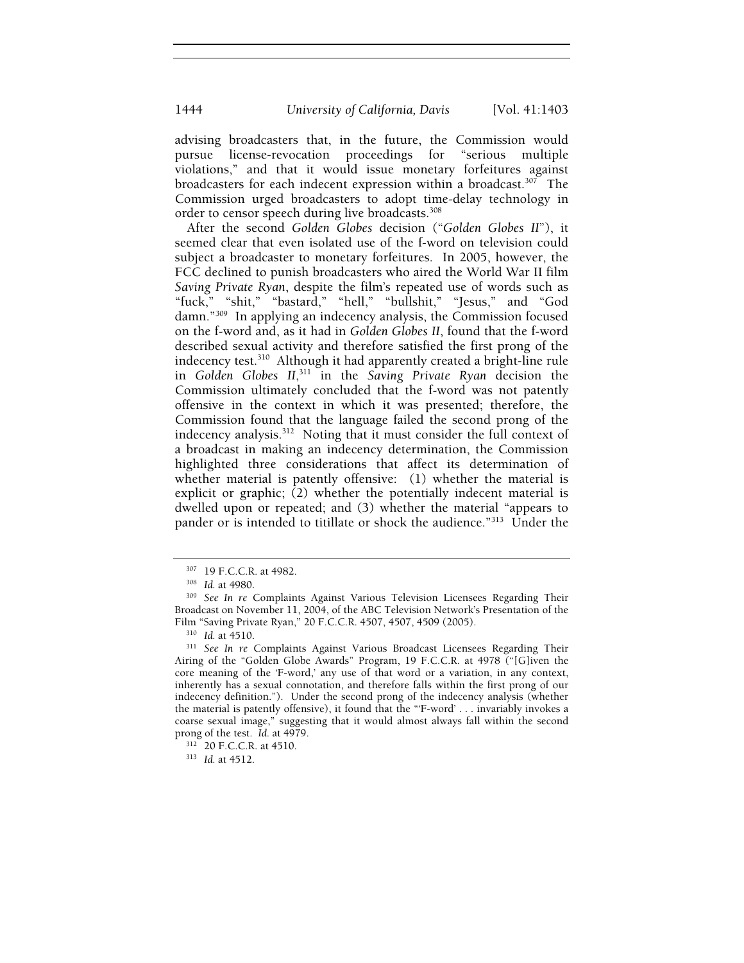advising broadcasters that, in the future, the Commission would pursue license-revocation proceedings for "serious multiple violations," and that it would issue monetary forfeitures against broadcasters for each indecent expression within a broadcast.<sup>307</sup> The Commission urged broadcasters to adopt time-delay technology in order to censor speech during live broadcasts.<sup>308</sup>

After the second *Golden Globes* decision ("*Golden Globes II*"), it seemed clear that even isolated use of the f-word on television could subject a broadcaster to monetary forfeitures. In 2005, however, the FCC declined to punish broadcasters who aired the World War II film *Saving Private Ryan*, despite the film's repeated use of words such as "fuck," "shit," "bastard," "hell," "bullshit," "Jesus," and "God damn."309 In applying an indecency analysis, the Commission focused on the f-word and, as it had in *Golden Globes II*, found that the f-word described sexual activity and therefore satisfied the first prong of the indecency test.310 Although it had apparently created a bright-line rule in *Golden Globes II*, 311 in the *Saving Private Ryan* decision the Commission ultimately concluded that the f-word was not patently offensive in the context in which it was presented; therefore, the Commission found that the language failed the second prong of the indecency analysis.<sup>312</sup> Noting that it must consider the full context of a broadcast in making an indecency determination, the Commission highlighted three considerations that affect its determination of whether material is patently offensive: (1) whether the material is explicit or graphic; (2) whether the potentially indecent material is dwelled upon or repeated; and (3) whether the material "appears to pander or is intended to titillate or shock the audience."<sup>313</sup> Under the

<sup>307 19</sup> F.C.C.R. at 4982. 308 *Id.* at 4980. 309 *See In re* Complaints Against Various Television Licensees Regarding Their Broadcast on November 11, 2004, of the ABC Television Network's Presentation of the Film "Saving Private Ryan," 20 F.C.C.R. 4507, 4507, 4509 (2005). 310 *Id.* at 4510. 311 *See In re* Complaints Against Various Broadcast Licensees Regarding Their

Airing of the "Golden Globe Awards" Program, 19 F.C.C.R. at 4978 ("[G]iven the core meaning of the 'F-word,' any use of that word or a variation, in any context, inherently has a sexual connotation, and therefore falls within the first prong of our indecency definition."). Under the second prong of the indecency analysis (whether the material is patently offensive), it found that the "'F-word' . . . invariably invokes a coarse sexual image," suggesting that it would almost always fall within the second prong of the test. *Id.* at 4979. 312 20 F.C.C.R. at 4510. 313 *Id.* at 4512.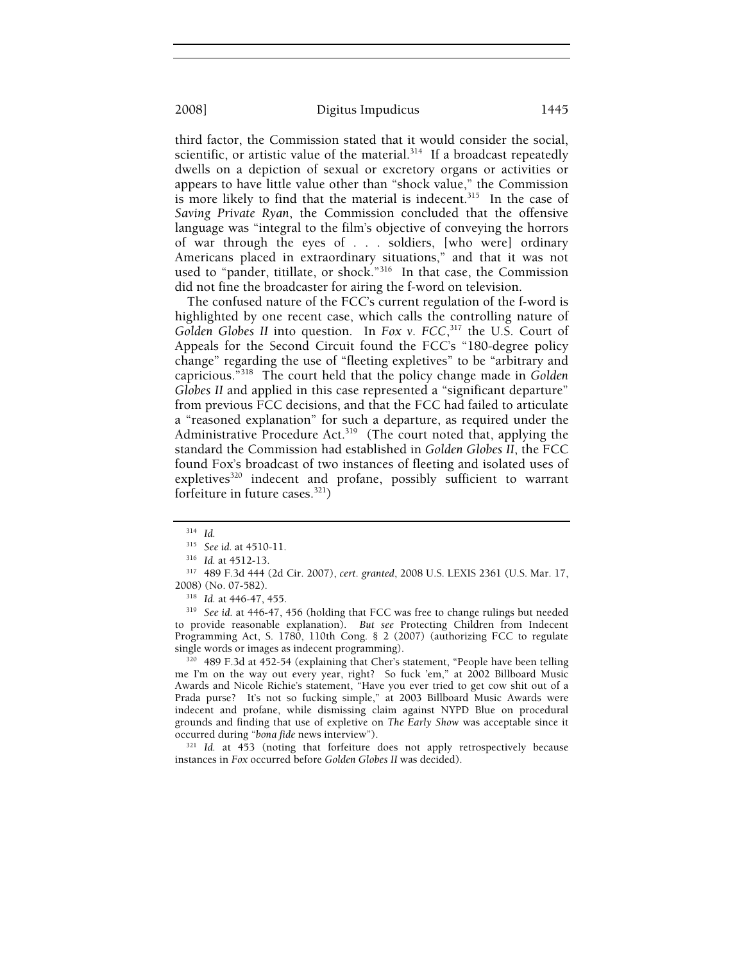third factor, the Commission stated that it would consider the social, scientific, or artistic value of the material. $314$  If a broadcast repeatedly dwells on a depiction of sexual or excretory organs or activities or appears to have little value other than "shock value," the Commission is more likely to find that the material is indecent.<sup>315</sup> In the case of *Saving Private Ryan*, the Commission concluded that the offensive language was "integral to the film's objective of conveying the horrors of war through the eyes of . . . soldiers, [who were] ordinary Americans placed in extraordinary situations," and that it was not used to "pander, titillate, or shock."316 In that case, the Commission did not fine the broadcaster for airing the f-word on television.

The confused nature of the FCC's current regulation of the f-word is highlighted by one recent case, which calls the controlling nature of *Golden Globes II* into question. In *Fox v. FCC*, 317 the U.S. Court of Appeals for the Second Circuit found the FCC's "180-degree policy change" regarding the use of "fleeting expletives" to be "arbitrary and capricious."318 The court held that the policy change made in *Golden Globes II* and applied in this case represented a "significant departure" from previous FCC decisions, and that the FCC had failed to articulate a "reasoned explanation" for such a departure, as required under the Administrative Procedure Act.<sup>319</sup> (The court noted that, applying the standard the Commission had established in *Golden Globes II*, the FCC found Fox's broadcast of two instances of fleeting and isolated uses of expletives<sup>320</sup> indecent and profane, possibly sufficient to warrant forfeiture in future cases.321)

to provide reasonable explanation). *But see* Protecting Children from Indecent Programming Act, S. 1780, 110th Cong. § 2 (2007) (authorizing FCC to regulate single words or images as indecent programming).<br><sup>320</sup> 489 F.3d at 452-54 (explaining that Cher's statement, "People have been telling

me I'm on the way out every year, right? So fuck 'em," at 2002 Billboard Music Awards and Nicole Richie's statement, "Have you ever tried to get cow shit out of a Prada purse? It's not so fucking simple," at 2003 Billboard Music Awards were indecent and profane, while dismissing claim against NYPD Blue on procedural grounds and finding that use of expletive on *The Early Show* was acceptable since it occurred during "*bona fide* news interview"). 321 *Id.* at 453 (noting that forfeiture does not apply retrospectively because

instances in *Fox* occurred before *Golden Globes II* was decided).

<sup>314</sup> *Id.*

<sup>315</sup> *See id.* at 4510-11. 316 *Id.* at 4512-13. 317 489 F.3d 444 (2d Cir. 2007), *cert. granted*, 2008 U.S. LEXIS 2361 (U.S. Mar. 17, 2008) (No. 07-582). 318 *Id.* at 446-47, 455. 319 *See id.* at 446-47, 456 (holding that FCC was free to change rulings but needed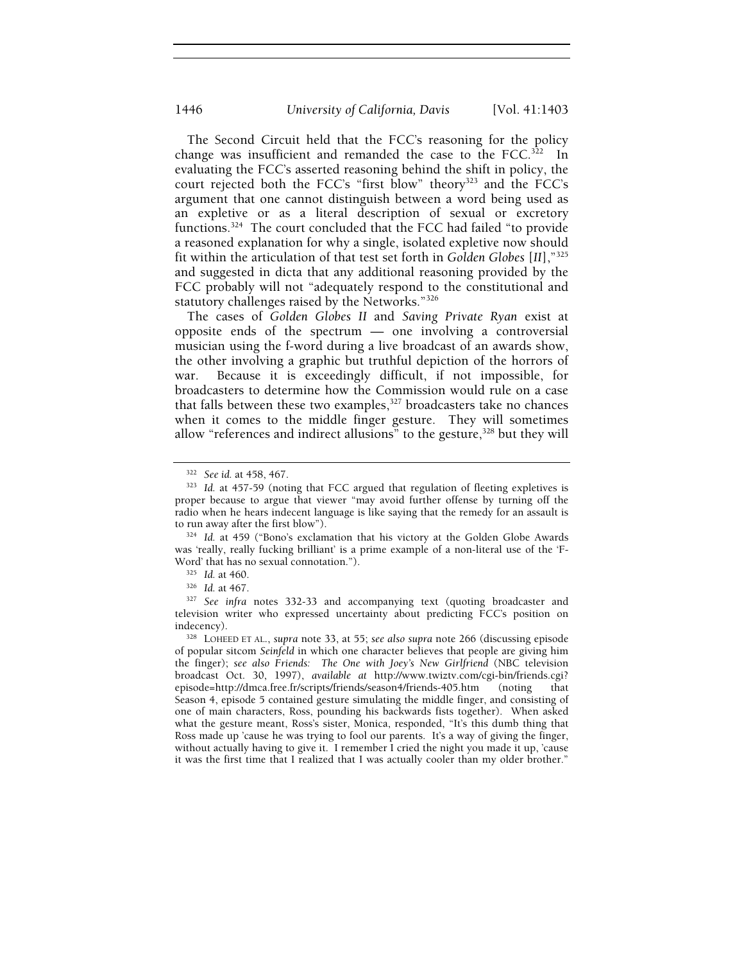The Second Circuit held that the FCC's reasoning for the policy change was insufficient and remanded the case to the  $FCC$ <sup>322</sup> In evaluating the FCC's asserted reasoning behind the shift in policy, the court rejected both the FCC's "first blow" theory<sup>323</sup> and the FCC's argument that one cannot distinguish between a word being used as an expletive or as a literal description of sexual or excretory functions.324 The court concluded that the FCC had failed "to provide a reasoned explanation for why a single, isolated expletive now should fit within the articulation of that test set forth in *Golden Globes* [*II*],"325 and suggested in dicta that any additional reasoning provided by the FCC probably will not "adequately respond to the constitutional and statutory challenges raised by the Networks."326

The cases of *Golden Globes II* and *Saving Private Ryan* exist at opposite ends of the spectrum — one involving a controversial musician using the f-word during a live broadcast of an awards show, the other involving a graphic but truthful depiction of the horrors of war. Because it is exceedingly difficult, if not impossible, for broadcasters to determine how the Commission would rule on a case that falls between these two examples,<sup>327</sup> broadcasters take no chances when it comes to the middle finger gesture. They will sometimes allow "references and indirect allusions" to the gesture,<sup>328</sup> but they will

to run away after the first blow").<br><sup>324</sup> *Id.* at 459 ("Bono's exclamation that his victory at the Golden Globe Awards was 'really, really fucking brilliant' is a prime example of a non-literal use of the 'F-Word' that has no sexual connotation.").<br><sup>325</sup> *Id.* at 460.<br><sup>326</sup> *Id.* at 467.<br><sup>327</sup> See infra notes 332-33 and accompanying text (quoting broadcaster and

television writer who expressed uncertainty about predicting FCC's position on indecency). 328 LOHEED ET AL., *supra* note 33, at 55; *see also supra* note 266 (discussing episode

<sup>&</sup>lt;sup>322</sup> See id. at 458, 467.<br><sup>323</sup> Id. at 457-59 (noting that FCC argued that regulation of fleeting expletives is proper because to argue that viewer "may avoid further offense by turning off the radio when he hears indecent language is like saying that the remedy for an assault is

of popular sitcom *Seinfeld* in which one character believes that people are giving him the finger); *see also Friends: The One with Joey's New Girlfriend* (NBC television broadcast Oct. 30, 1997), *available at* http://www.twiztv.com/cgi-bin/friends.cgi? episode=http://dmca.free.fr/scripts/friends/season4/friends-405.htm (noting that Season 4, episode 5 contained gesture simulating the middle finger, and consisting of one of main characters, Ross, pounding his backwards fists together). When asked what the gesture meant, Ross's sister, Monica, responded, "It's this dumb thing that Ross made up 'cause he was trying to fool our parents. It's a way of giving the finger, without actually having to give it. I remember I cried the night you made it up, 'cause it was the first time that I realized that I was actually cooler than my older brother."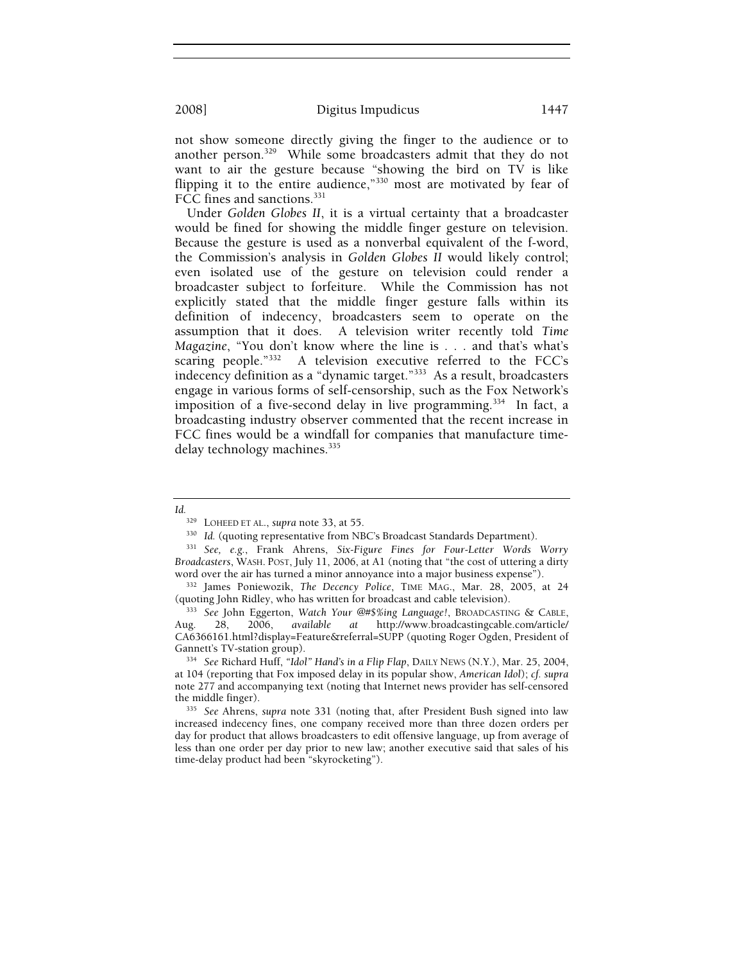not show someone directly giving the finger to the audience or to another person.329 While some broadcasters admit that they do not want to air the gesture because "showing the bird on TV is like flipping it to the entire audience," $330$  most are motivated by fear of FCC fines and sanctions.<sup>331</sup>

Under *Golden Globes II*, it is a virtual certainty that a broadcaster would be fined for showing the middle finger gesture on television. Because the gesture is used as a nonverbal equivalent of the f-word, the Commission's analysis in *Golden Globes II* would likely control; even isolated use of the gesture on television could render a broadcaster subject to forfeiture. While the Commission has not explicitly stated that the middle finger gesture falls within its definition of indecency, broadcasters seem to operate on the assumption that it does. A television writer recently told *Time Magazine*, "You don't know where the line is . . . and that's what's scaring people."332 A television executive referred to the FCC's indecency definition as a "dynamic target."333 As a result, broadcasters engage in various forms of self-censorship, such as the Fox Network's imposition of a five-second delay in live programming.<sup>334</sup> In fact, a broadcasting industry observer commented that the recent increase in FCC fines would be a windfall for companies that manufacture timedelay technology machines.<sup>335</sup>

*Id.* 329 LOHEED ET AL., *supra* note 33, at 55.

<sup>&</sup>lt;sup>330</sup> Id. (quoting representative from NBC's Broadcast Standards Department). <sup>331</sup> See, e.g., Frank Ahrens, *Six-Figure Fines for Four-Letter Words Worry* 

*Broadcasters*, WASH. POST, July 11, 2006, at A1 (noting that "the cost of uttering a dirty

word over the air has turned a minor annoyance into a major business expense").<br><sup>332</sup> James Poniewozik, *The Decency Police*, TIME MAG., Mar. 28, 2005, at 24<br>(quoting John Ridley, who has written for broadcast and cable te

<sup>333</sup> See John Eggerton, Watch Your @#\$%ing Language!, BROADCASTING & CABLE, Aug. 28, 2006, *available at* http://www.broadcastingcable.com/article/ CA6366161.html?display=Feature&referral=SUPP (quoting Roger Ogden, President of

<sup>&</sup>lt;sup>334</sup> See Richard Huff, "Idol" Hand's in a Flip Flap, DAILY NEWS (N.Y.), Mar. 25, 2004, at 104 (reporting that Fox imposed delay in its popular show, *American Idol*); *cf. supra* note 277 and accompanying text (noting that Internet news provider has self-censored

the middle finger). 335 *See* Ahrens, *supra* note 331 (noting that, after President Bush signed into law increased indecency fines, one company received more than three dozen orders per day for product that allows broadcasters to edit offensive language, up from average of less than one order per day prior to new law; another executive said that sales of his time-delay product had been "skyrocketing").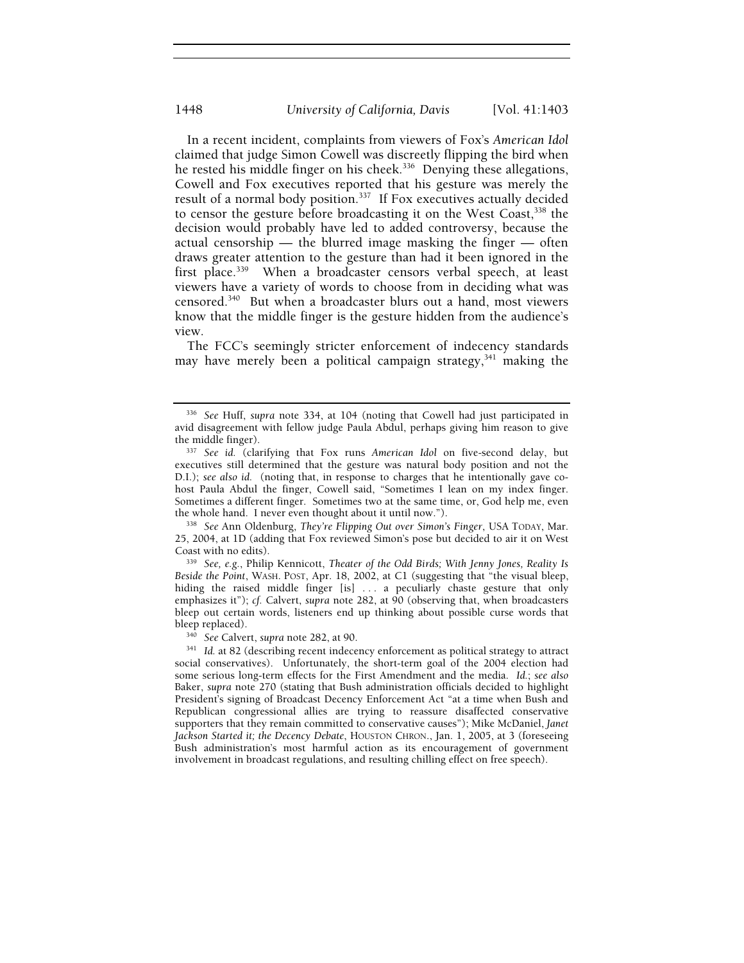In a recent incident, complaints from viewers of Fox's *American Idol* claimed that judge Simon Cowell was discreetly flipping the bird when he rested his middle finger on his cheek.<sup>336</sup> Denying these allegations, Cowell and Fox executives reported that his gesture was merely the result of a normal body position.<sup>337</sup> If Fox executives actually decided to censor the gesture before broadcasting it on the West Coast,<sup>338</sup> the decision would probably have led to added controversy, because the actual censorship — the blurred image masking the finger — often draws greater attention to the gesture than had it been ignored in the first place.<sup>339</sup> When a broadcaster censors verbal speech, at least viewers have a variety of words to choose from in deciding what was censored.340 But when a broadcaster blurs out a hand, most viewers know that the middle finger is the gesture hidden from the audience's view.

The FCC's seemingly stricter enforcement of indecency standards may have merely been a political campaign strategy, $341$  making the

338 See Ann Oldenburg, *They're Flipping Out over Simon's Finger*, USA TODAY, Mar. 25, 2004, at 1D (adding that Fox reviewed Simon's pose but decided to air it on West Coast with no edits). 339 *See, e.g.*, Philip Kennicott, *Theater of the Odd Birds; With Jenny Jones, Reality Is* 

*Beside the Point*, WASH. POST, Apr. 18, 2002, at C1 (suggesting that "the visual bleep, hiding the raised middle finger [is] ... a peculiarly chaste gesture that only emphasizes it"); *cf.* Calvert, *supra* note 282, at 90 (observing that, when broadcasters bleep out certain words, listeners end up thinking about possible curse words that<br>bleep replaced).

<sup>340</sup> See Calvert, *supra* note 282, at 90. 341 341 Id. at 82 (describing recent indecency enforcement as political strategy to attract social conservatives). Unfortunately, the short-term goal of the 2004 election had some serious long-term effects for the First Amendment and the media. *Id.*; *see also*  Baker, *supra* note 270 (stating that Bush administration officials decided to highlight President's signing of Broadcast Decency Enforcement Act "at a time when Bush and Republican congressional allies are trying to reassure disaffected conservative supporters that they remain committed to conservative causes"); Mike McDaniel, *Janet Jackson Started it; the Decency Debate*, HOUSTON CHRON., Jan. 1, 2005, at 3 (foreseeing Bush administration's most harmful action as its encouragement of government involvement in broadcast regulations, and resulting chilling effect on free speech).

<sup>336</sup> *See* Huff, *supra* note 334, at 104 (noting that Cowell had just participated in avid disagreement with fellow judge Paula Abdul, perhaps giving him reason to give the middle finger). 337 *See id.* (clarifying that Fox runs *American Idol* on five-second delay, but

executives still determined that the gesture was natural body position and not the D.I.); *see also id.* (noting that, in response to charges that he intentionally gave cohost Paula Abdul the finger, Cowell said, "Sometimes I lean on my index finger. Sometimes a different finger. Sometimes two at the same time, or, God help me, even the whole hand. I never even thought about it until now.").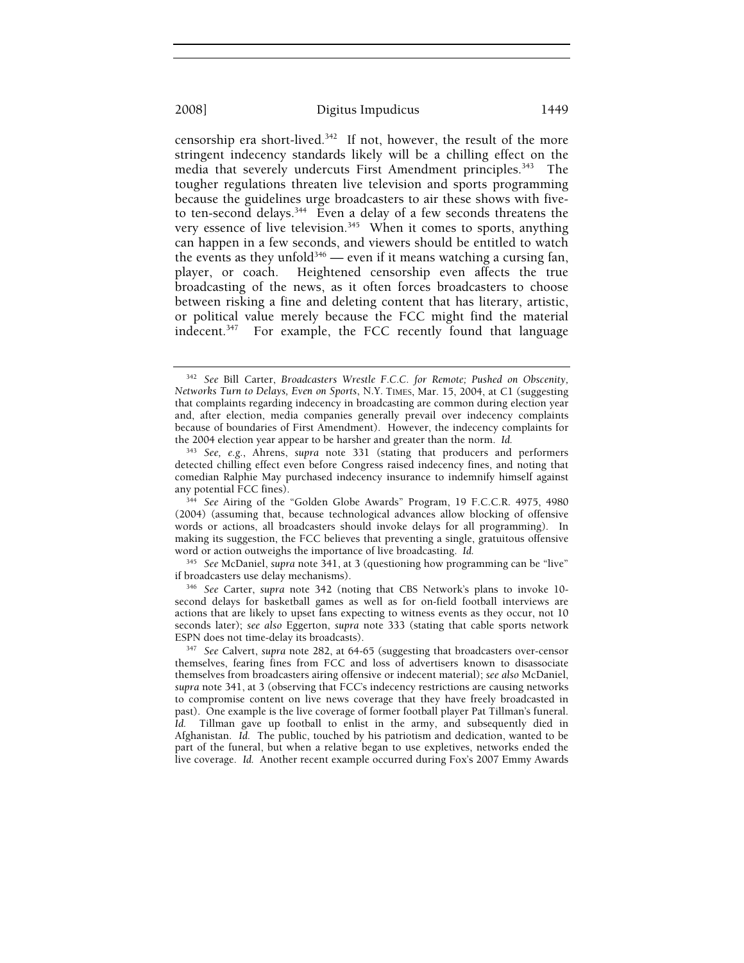censorship era short-lived.342 If not, however, the result of the more stringent indecency standards likely will be a chilling effect on the media that severely undercuts First Amendment principles.<sup>343</sup> The tougher regulations threaten live television and sports programming because the guidelines urge broadcasters to air these shows with fiveto ten-second delays.<sup>344</sup> Even a delay of a few seconds threatens the very essence of live television.<sup>345</sup> When it comes to sports, anything can happen in a few seconds, and viewers should be entitled to watch the events as they unfold<sup>346</sup> — even if it means watching a cursing fan, player, or coach. Heightened censorship even affects the true broadcasting of the news, as it often forces broadcasters to choose between risking a fine and deleting content that has literary, artistic, or political value merely because the FCC might find the material indecent.<sup>347</sup> For example, the FCC recently found that language

<sup>342</sup> *See* Bill Carter, *Broadcasters Wrestle F.C.C. for Remote; Pushed on Obscenity, Networks Turn to Delays, Even on Sports*, N.Y. TIMES, Mar. 15, 2004, at C1 (suggesting that complaints regarding indecency in broadcasting are common during election year and, after election, media companies generally prevail over indecency complaints because of boundaries of First Amendment). However, the indecency complaints for the 2004 election year appear to be harsher and greater than the norm. *Id.* 

<sup>343</sup> *See, e.g.*, Ahrens, *supra* note 331 (stating that producers and performers detected chilling effect even before Congress raised indecency fines, and noting that comedian Ralphie May purchased indecency insurance to indemnify himself against

<sup>&</sup>lt;sup>344</sup> See Airing of the "Golden Globe Awards" Program, 19 F.C.C.R. 4975, 4980 (2004) (assuming that, because technological advances allow blocking of offensive words or actions, all broadcasters should invoke delays for all programming). In making its suggestion, the FCC believes that preventing a single, gratuitous offensive word or action outweighs the importance of live broadcasting. *Id.* 

<sup>&</sup>lt;sup>345</sup> See McDaniel, *supra* note 341, at 3 (questioning how programming can be "live" if broadcasters use delay mechanisms).

<sup>&</sup>lt;sup>346</sup> See Carter, supra note 342 (noting that CBS Network's plans to invoke 10second delays for basketball games as well as for on-field football interviews are actions that are likely to upset fans expecting to witness events as they occur, not 10 seconds later); *see also* Eggerton, *supra* note 333 (stating that cable sports network ESPN does not time-delay its broadcasts). 347 *See* Calvert, *supra* note 282, at 64-65 (suggesting that broadcasters over-censor

themselves, fearing fines from FCC and loss of advertisers known to disassociate themselves from broadcasters airing offensive or indecent material); *see also* McDaniel, *supra* note 341, at 3 (observing that FCC's indecency restrictions are causing networks to compromise content on live news coverage that they have freely broadcasted in past). One example is the live coverage of former football player Pat Tillman's funeral. *Id.* Tillman gave up football to enlist in the army, and subsequently died in Afghanistan. *Id.* The public, touched by his patriotism and dedication, wanted to be part of the funeral, but when a relative began to use expletives, networks ended the live coverage. *Id.* Another recent example occurred during Fox's 2007 Emmy Awards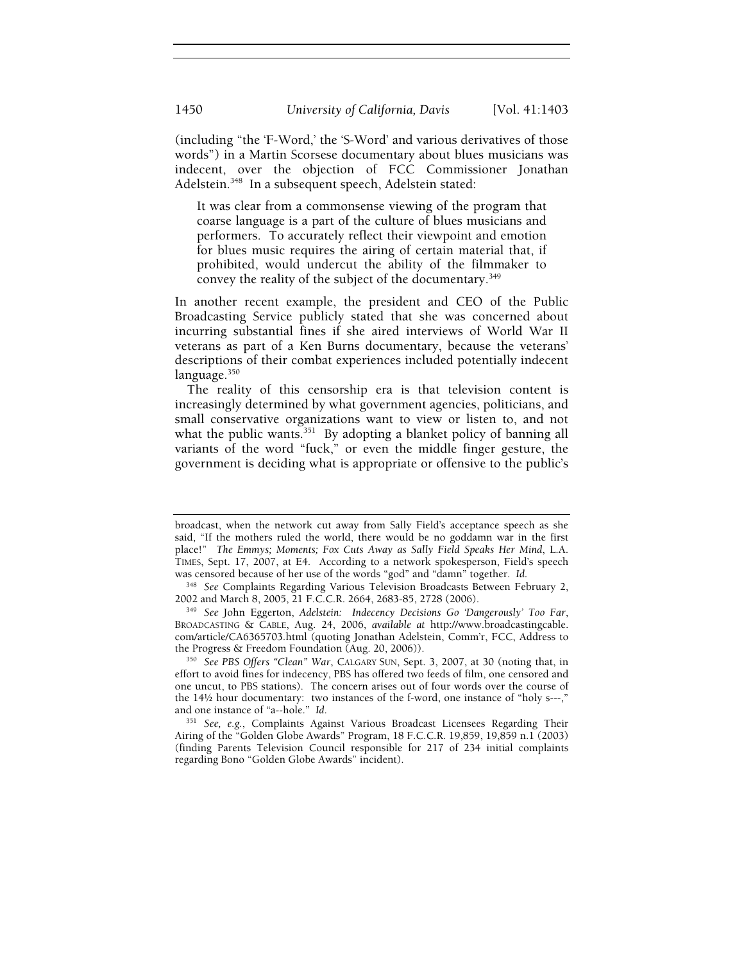(including "the 'F-Word,' the 'S-Word' and various derivatives of those words") in a Martin Scorsese documentary about blues musicians was indecent, over the objection of FCC Commissioner Jonathan Adelstein.<sup>348</sup> In a subsequent speech, Adelstein stated:

It was clear from a commonsense viewing of the program that coarse language is a part of the culture of blues musicians and performers. To accurately reflect their viewpoint and emotion for blues music requires the airing of certain material that, if prohibited, would undercut the ability of the filmmaker to convey the reality of the subject of the documentary.349

In another recent example, the president and CEO of the Public Broadcasting Service publicly stated that she was concerned about incurring substantial fines if she aired interviews of World War II veterans as part of a Ken Burns documentary, because the veterans' descriptions of their combat experiences included potentially indecent language.<sup>350</sup>

The reality of this censorship era is that television content is increasingly determined by what government agencies, politicians, and small conservative organizations want to view or listen to, and not what the public wants. $351$  By adopting a blanket policy of banning all variants of the word "fuck," or even the middle finger gesture, the government is deciding what is appropriate or offensive to the public's

broadcast, when the network cut away from Sally Field's acceptance speech as she said, "If the mothers ruled the world, there would be no goddamn war in the first place!" *The Emmys; Moments; Fox Cuts Away as Sally Field Speaks Her Mind*, L.A. TIMES, Sept. 17, 2007, at E4. According to a network spokesperson, Field's speech was censored because of her use of the words "god" and "damn" together. *Id*. 348 *See* Complaints Regarding Various Television Broadcasts Between February 2,

<sup>2002</sup> and March 8, 2005, 21 F.C.C.R. 2664, 2683-85, 2728 (2006). 349 *See* John Eggerton, *Adelstein: Indecency Decisions Go 'Dangerously' Too Far*, BROADCASTING & CABLE, Aug. 24, 2006, *available at* http://www.broadcastingcable. com/article/CA6365703.html (quoting Jonathan Adelstein, Comm'r, FCC, Address to

<sup>&</sup>lt;sup>350</sup> See PBS Offers "Clean" War, CALGARY SUN, Sept. 3, 2007, at 30 (noting that, in effort to avoid fines for indecency, PBS has offered two feeds of film, one censored and one uncut, to PBS stations). The concern arises out of four words over the course of the 14½ hour documentary: two instances of the f-word, one instance of "holy s---," and one instance of "a--hole." Id.

<sup>&</sup>lt;sup>351</sup> See, e.g., Complaints Against Various Broadcast Licensees Regarding Their Airing of the "Golden Globe Awards" Program, 18 F.C.C.R. 19,859, 19,859 n.1 (2003) (finding Parents Television Council responsible for 217 of 234 initial complaints regarding Bono "Golden Globe Awards" incident).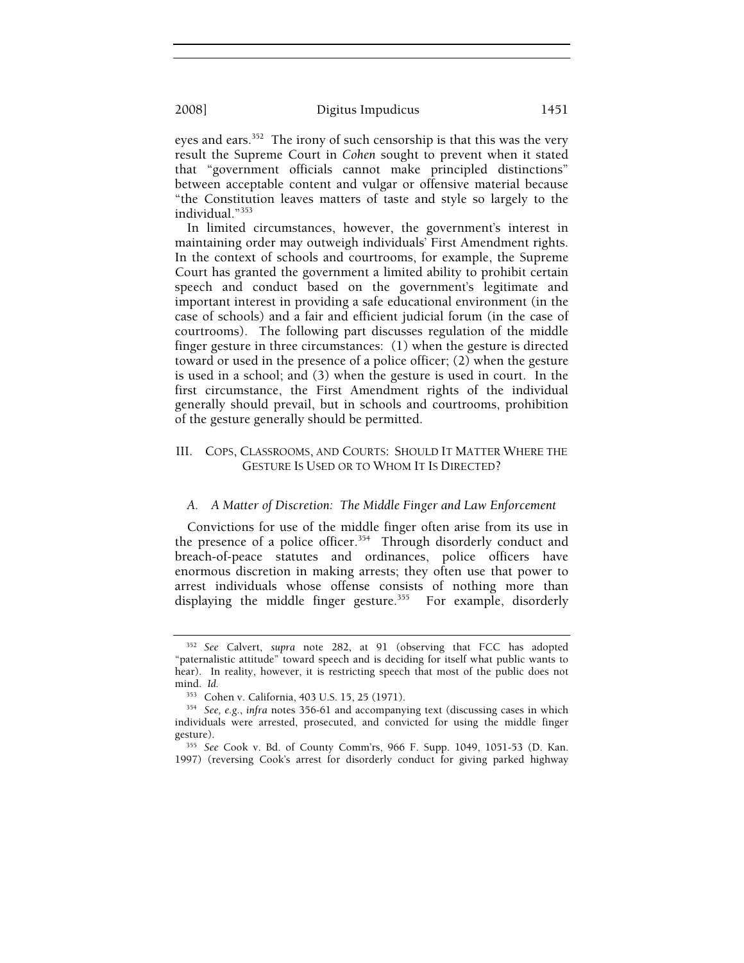eyes and ears.<sup>352</sup> The irony of such censorship is that this was the very result the Supreme Court in *Cohen* sought to prevent when it stated that "government officials cannot make principled distinctions" between acceptable content and vulgar or offensive material because "the Constitution leaves matters of taste and style so largely to the individual."353

In limited circumstances, however, the government's interest in maintaining order may outweigh individuals' First Amendment rights. In the context of schools and courtrooms, for example, the Supreme Court has granted the government a limited ability to prohibit certain speech and conduct based on the government's legitimate and important interest in providing a safe educational environment (in the case of schools) and a fair and efficient judicial forum (in the case of courtrooms). The following part discusses regulation of the middle finger gesture in three circumstances: (1) when the gesture is directed toward or used in the presence of a police officer; (2) when the gesture is used in a school; and (3) when the gesture is used in court. In the first circumstance, the First Amendment rights of the individual generally should prevail, but in schools and courtrooms, prohibition of the gesture generally should be permitted.

## III. COPS, CLASSROOMS, AND COURTS: SHOULD IT MATTER WHERE THE GESTURE IS USED OR TO WHOM IT IS DIRECTED?

#### *A. A Matter of Discretion: The Middle Finger and Law Enforcement*

Convictions for use of the middle finger often arise from its use in the presence of a police officer.<sup>354</sup> Through disorderly conduct and breach-of-peace statutes and ordinances, police officers have enormous discretion in making arrests; they often use that power to arrest individuals whose offense consists of nothing more than displaying the middle finger gesture. $355$  For example, disorderly

<sup>352</sup> *See* Calvert, *supra* note 282, at 91 (observing that FCC has adopted "paternalistic attitude" toward speech and is deciding for itself what public wants to hear). In reality, however, it is restricting speech that most of the public does not mind. *Id.* 

<sup>353</sup> Cohen v. California, 403 U.S. 15, 25 (1971). 354 *See, e.g.*, *infra* notes 356-61 and accompanying text (discussing cases in which individuals were arrested, prosecuted, and convicted for using the middle finger

<sup>355</sup> See Cook v. Bd. of County Comm'rs, 966 F. Supp. 1049, 1051-53 (D. Kan. 1997) (reversing Cook's arrest for disorderly conduct for giving parked highway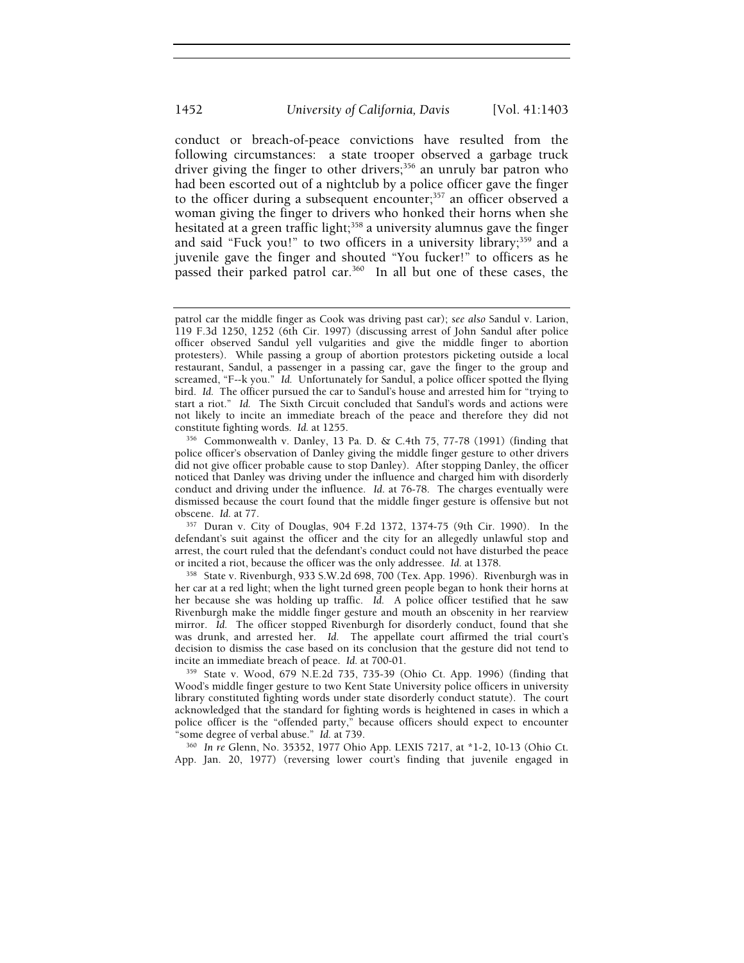conduct or breach-of-peace convictions have resulted from the following circumstances: a state trooper observed a garbage truck driver giving the finger to other drivers;<sup>356</sup> an unruly bar patron who had been escorted out of a nightclub by a police officer gave the finger to the officer during a subsequent encounter;<sup>357</sup> an officer observed a woman giving the finger to drivers who honked their horns when she hesitated at a green traffic light;<sup>358</sup> a university alumnus gave the finger and said "Fuck you!" to two officers in a university library;<sup>359</sup> and a juvenile gave the finger and shouted "You fucker!" to officers as he passed their parked patrol car.<sup>360</sup> In all but one of these cases, the

patrol car the middle finger as Cook was driving past car); *see also* Sandul v. Larion, 119 F.3d 1250, 1252 (6th Cir. 1997) (discussing arrest of John Sandul after police officer observed Sandul yell vulgarities and give the middle finger to abortion protesters). While passing a group of abortion protestors picketing outside a local restaurant, Sandul, a passenger in a passing car, gave the finger to the group and screamed, "F--k you." *Id.* Unfortunately for Sandul, a police officer spotted the flying bird. *Id.* The officer pursued the car to Sandul's house and arrested him for "trying to start a riot." *Id.* The Sixth Circuit concluded that Sandul's words and actions were not likely to incite an immediate breach of the peace and therefore they did not constitute fighting words. *Id.* at 1255.<br><sup>356</sup> Commonwealth v. Danley, 13 Pa. D. & C.4th 75, 77-78 (1991) (finding that

police officer's observation of Danley giving the middle finger gesture to other drivers did not give officer probable cause to stop Danley). After stopping Danley, the officer noticed that Danley was driving under the influence and charged him with disorderly conduct and driving under the influence. *Id*. at 76-78. The charges eventually were dismissed because the court found that the middle finger gesture is offensive but not obscene. *Id.* at 77.

<sup>&</sup>lt;sup>357</sup> Duran v. City of Douglas, 904 F.2d 1372, 1374-75 (9th Cir. 1990). In the defendant's suit against the officer and the city for an allegedly unlawful stop and arrest, the court ruled that the defendant's conduct could not have disturbed the peace or incited a riot, because the officer was the only addressee. *Id.* at 1378.<br><sup>358</sup> State v. Rivenburgh, 933 S.W.2d 698, 700 (Tex. App. 1996). Rivenburgh was in

her car at a red light; when the light turned green people began to honk their horns at her because she was holding up traffic. *Id.* A police officer testified that he saw Rivenburgh make the middle finger gesture and mouth an obscenity in her rearview mirror. *Id.* The officer stopped Rivenburgh for disorderly conduct, found that she was drunk, and arrested her. *Id.* The appellate court affirmed the trial court's decision to dismiss the case based on its conclusion that the gesture did not tend to incite an immediate breach of peace. *Id.* at 700-01.

<sup>&</sup>lt;sup>359</sup> State v. Wood, 679 N.E.2d 735, 735-39 (Ohio Ct. App. 1996) (finding that Wood's middle finger gesture to two Kent State University police officers in university library constituted fighting words under state disorderly conduct statute). The court acknowledged that the standard for fighting words is heightened in cases in which a police officer is the "offended party," because officers should expect to encounter "some degree of verbal abuse." *Id.* at 739. 360 *In re* Glenn, No. 35352, 1977 Ohio App. LEXIS 7217, at \*1-2, 10-13 (Ohio Ct.

App. Jan. 20, 1977) (reversing lower court's finding that juvenile engaged in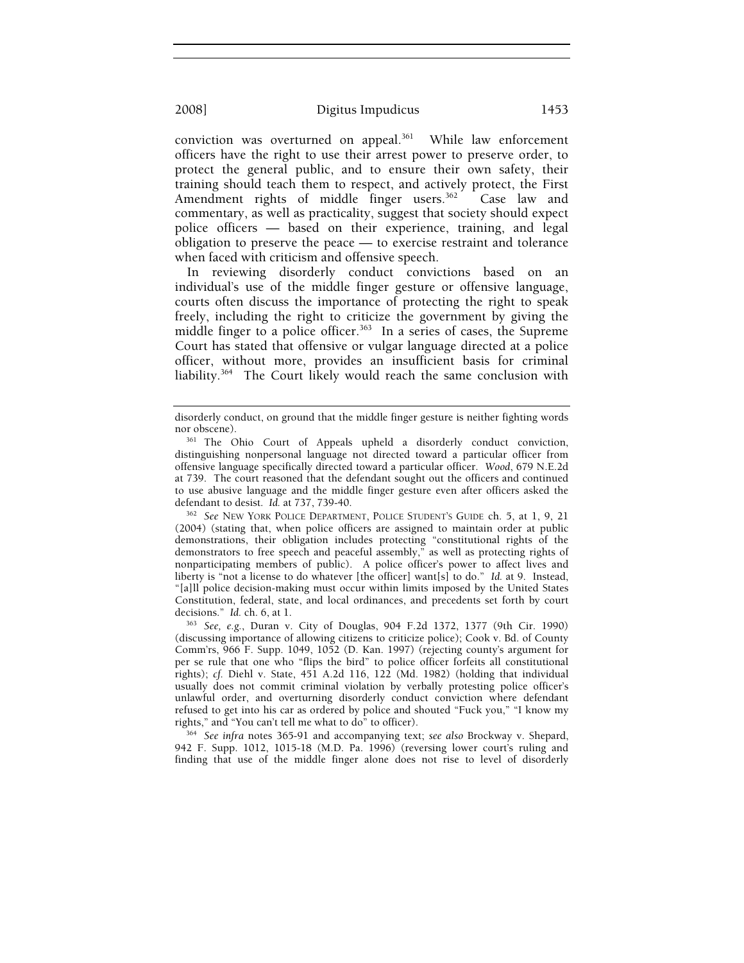conviction was overturned on appeal.<sup>361</sup> While law enforcement officers have the right to use their arrest power to preserve order, to protect the general public, and to ensure their own safety, their training should teach them to respect, and actively protect, the First Amendment rights of middle finger users.<sup>362</sup> Case law and commentary, as well as practicality, suggest that society should expect police officers — based on their experience, training, and legal obligation to preserve the peace — to exercise restraint and tolerance when faced with criticism and offensive speech.

In reviewing disorderly conduct convictions based on an individual's use of the middle finger gesture or offensive language, courts often discuss the importance of protecting the right to speak freely, including the right to criticize the government by giving the middle finger to a police officer.<sup>363</sup> In a series of cases, the Supreme Court has stated that offensive or vulgar language directed at a police officer, without more, provides an insufficient basis for criminal liability.364 The Court likely would reach the same conclusion with

(2004) (stating that, when police officers are assigned to maintain order at public demonstrations, their obligation includes protecting "constitutional rights of the demonstrators to free speech and peaceful assembly," as well as protecting rights of nonparticipating members of public). A police officer's power to affect lives and liberty is "not a license to do whatever [the officer] want[s] to do." *Id.* at 9. Instead, "[a]ll police decision-making must occur within limits imposed by the United States Constitution, federal, state, and local ordinances, and precedents set forth by court decisions." *Id.* ch. 6, at 1. 363 *See, e.g.*, Duran v. City of Douglas, 904 F.2d 1372, 1377 (9th Cir. 1990)

(discussing importance of allowing citizens to criticize police); Cook v. Bd. of County Comm'rs, 966 F. Supp. 1049, 1052 (D. Kan. 1997) (rejecting county's argument for per se rule that one who "flips the bird" to police officer forfeits all constitutional rights); *cf.* Diehl v. State, 451 A.2d 116, 122 (Md. 1982) (holding that individual usually does not commit criminal violation by verbally protesting police officer's unlawful order, and overturning disorderly conduct conviction where defendant refused to get into his car as ordered by police and shouted "Fuck you," "I know my rights," and "You can't tell me what to do" to officer). 364 *See infra* notes 365-91 and accompanying text; *see also* Brockway v. Shepard,

942 F. Supp. 1012, 1015-18 (M.D. Pa. 1996) (reversing lower court's ruling and finding that use of the middle finger alone does not rise to level of disorderly

disorderly conduct, on ground that the middle finger gesture is neither fighting words nor obscene).<br><sup>361</sup> The Ohio Court of Appeals upheld a disorderly conduct conviction,

distinguishing nonpersonal language not directed toward a particular officer from offensive language specifically directed toward a particular officer. *Wood*, 679 N.E.2d at 739. The court reasoned that the defendant sought out the officers and continued to use abusive language and the middle finger gesture even after officers asked the defendant to desist. *Id.* at 737, 739-40.<br><sup>362</sup> See NEW YORK POLICE DEPARTMENT, POLICE STUDENT'S GUIDE ch. 5, at 1, 9, 21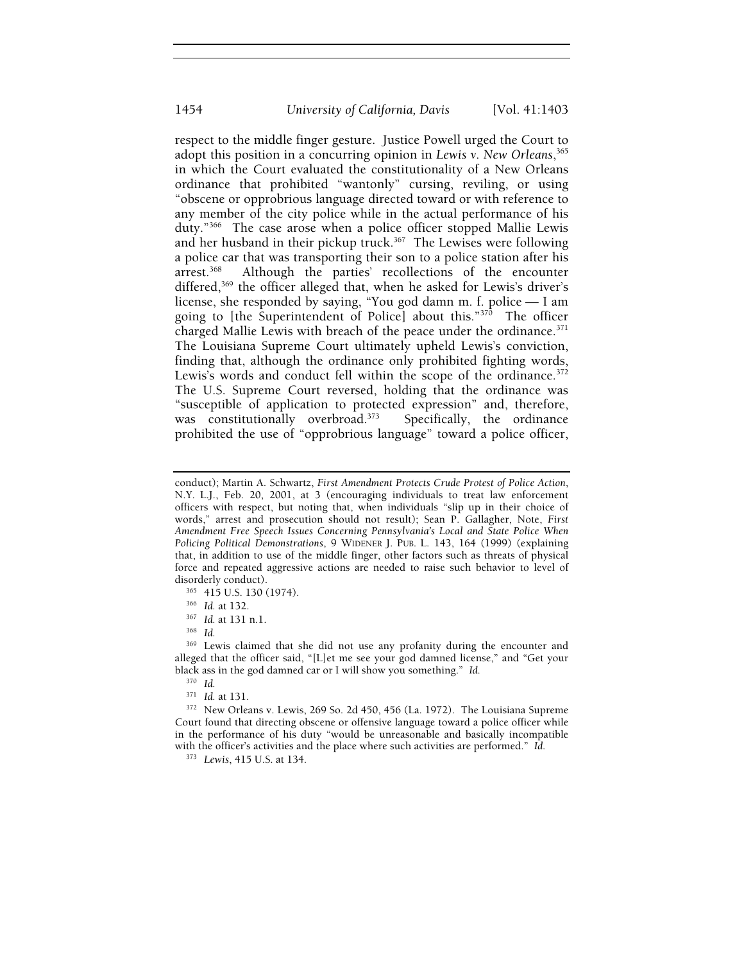respect to the middle finger gesture. Justice Powell urged the Court to adopt this position in a concurring opinion in *Lewis v. New Orleans*, 365 in which the Court evaluated the constitutionality of a New Orleans ordinance that prohibited "wantonly" cursing, reviling, or using "obscene or opprobrious language directed toward or with reference to any member of the city police while in the actual performance of his duty."366 The case arose when a police officer stopped Mallie Lewis and her husband in their pickup truck. $367$  The Lewises were following a police car that was transporting their son to a police station after his arrest.<sup>368</sup> Although the parties' recollections of the encounter differed,<sup>369</sup> the officer alleged that, when he asked for Lewis's driver's license, she responded by saying, "You god damn m. f. police — I am going to [the Superintendent of Police] about this."<sup>370</sup> The officer charged Mallie Lewis with breach of the peace under the ordinance. $371$ The Louisiana Supreme Court ultimately upheld Lewis's conviction, finding that, although the ordinance only prohibited fighting words, Lewis's words and conduct fell within the scope of the ordinance.<sup>372</sup> The U.S. Supreme Court reversed, holding that the ordinance was "susceptible of application to protected expression" and, therefore, was constitutionally overbroad.<sup>373</sup> Specifically, the ordinance prohibited the use of "opprobrious language" toward a police officer,

conduct); Martin A. Schwartz, *First Amendment Protects Crude Protest of Police Action*, N.Y. L.J., Feb. 20, 2001, at 3 (encouraging individuals to treat law enforcement officers with respect, but noting that, when individuals "slip up in their choice of words," arrest and prosecution should not result); Sean P. Gallagher, Note, *First Amendment Free Speech Issues Concerning Pennsylvania's Local and State Police When Policing Political Demonstrations*, 9 WIDENER J. PUB. L. 143, 164 (1999) (explaining that, in addition to use of the middle finger, other factors such as threats of physical force and repeated aggressive actions are needed to raise such behavior to level of

disorderly conduct). 365 415 U.S. 130 (1974). 366 *Id.* at 132. 367 *Id.* at 131 n.1. 368 *Id.*

<sup>&</sup>lt;sup>369</sup> Lewis claimed that she did not use any profanity during the encounter and alleged that the officer said, "[L]et me see your god damned license," and "Get your black ass in the god damned car or I will show you something." *Id.* 

<sup>&</sup>lt;sup>370</sup> *Id.*<br><sup>371</sup> *Id.* at 131.

<sup>&</sup>lt;sup>372</sup> New Orleans v. Lewis, 269 So. 2d 450, 456 (La. 1972). The Louisiana Supreme Court found that directing obscene or offensive language toward a police officer while in the performance of his duty "would be unreasonable and basically incompatible with the officer's activities and the place where such activities are performed." *Id.* 

<sup>373</sup> *Lewis*, 415 U.S. at 134.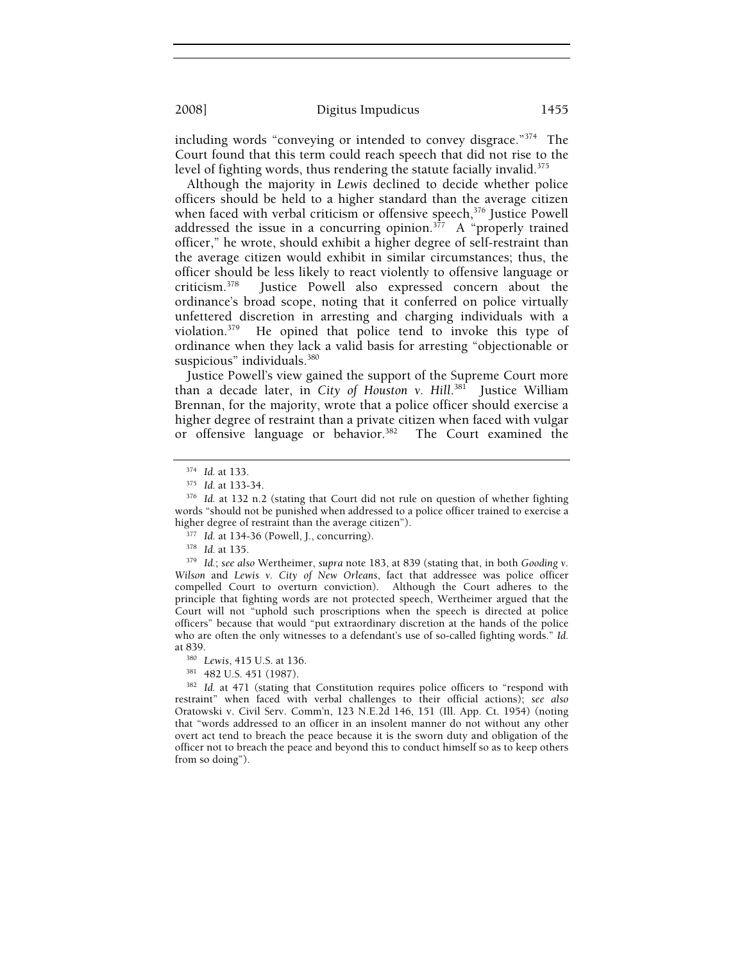including words "conveying or intended to convey disgrace."374 The Court found that this term could reach speech that did not rise to the level of fighting words, thus rendering the statute facially invalid.<sup>375</sup>

Although the majority in *Lewis* declined to decide whether police officers should be held to a higher standard than the average citizen when faced with verbal criticism or offensive speech,<sup>376</sup> Justice Powell addressed the issue in a concurring opinion.<sup>377</sup> A "properly trained officer," he wrote, should exhibit a higher degree of self-restraint than the average citizen would exhibit in similar circumstances; thus, the officer should be less likely to react violently to offensive language or criticism.<sup>378</sup> Iustice Powell also expressed concern about the Justice Powell also expressed concern about the ordinance's broad scope, noting that it conferred on police virtually unfettered discretion in arresting and charging individuals with a violation.379 He opined that police tend to invoke this type of ordinance when they lack a valid basis for arresting "objectionable or suspicious" individuals.<sup>380</sup>

Justice Powell's view gained the support of the Supreme Court more than a decade later, in *City of Houston v. Hill*. 381 Justice William Brennan, for the majority, wrote that a police officer should exercise a higher degree of restraint than a private citizen when faced with vulgar or offensive language or behavior.382 The Court examined the

<sup>377</sup> Id. at 134-36 (Powell, J., concurring).<br><sup>378</sup> Id. at 135.<br><sup>379</sup> Id.; *see also* Wertheimer, *supra* note 183, at 839 (stating that, in both *Gooding v*. *Wilson* and *Lewis v. City of New Orleans*, fact that addressee was police officer compelled Court to overturn conviction). Although the Court adheres to the principle that fighting words are not protected speech, Wertheimer argued that the Court will not "uphold such proscriptions when the speech is directed at police officers" because that would "put extraordinary discretion at the hands of the police who are often the only witnesses to a defendant's use of so-called fighting words." *Id.* 

at 839.<br><sup>380</sup> Lewis, 415 U.S. at 136.<br><sup>381</sup> 482 U.S. 451 (1987).<br><sup>382</sup> *Id.* at 471 (stating that Constitution requires police officers to "respond with restraint" when faced with verbal challenges to their official actions); *see also* Oratowski v. Civil Serv. Comm'n, 123 N.E.2d 146, 151 (Ill. App. Ct. 1954) (noting that "words addressed to an officer in an insolent manner do not without any other overt act tend to breach the peace because it is the sworn duty and obligation of the officer not to breach the peace and beyond this to conduct himself so as to keep others from so doing").

<sup>374</sup> *Id.* at 133. 375 *Id.* at 133-34. 376 *Id.* at 132 n.2 (stating that Court did not rule on question of whether fighting words "should not be punished when addressed to a police officer trained to exercise a higher degree of restraint than the average citizen").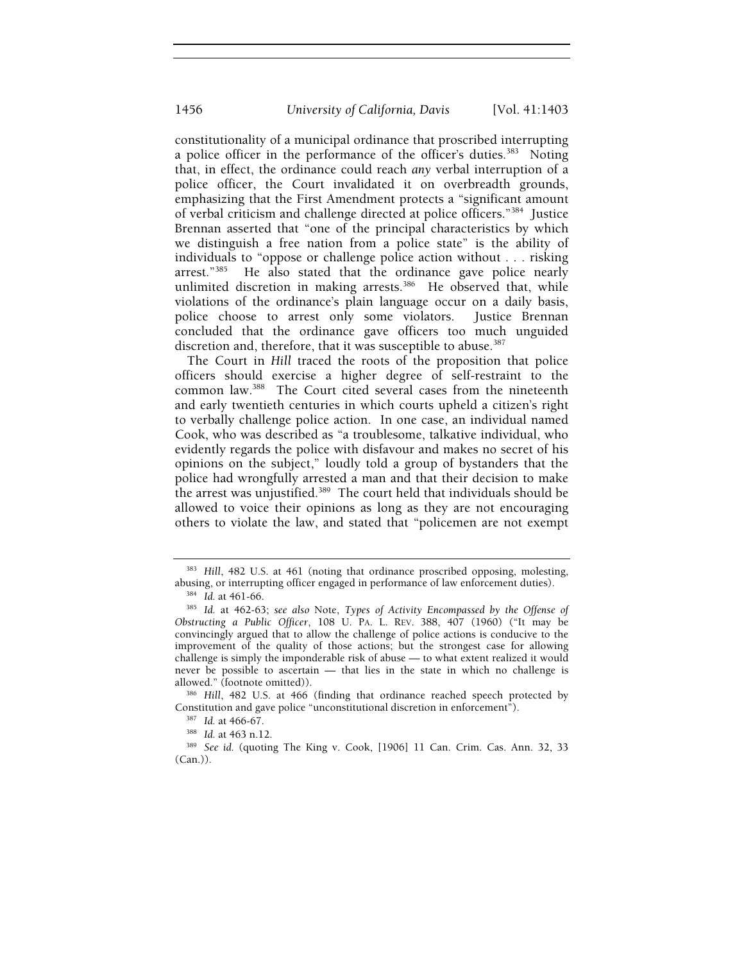constitutionality of a municipal ordinance that proscribed interrupting a police officer in the performance of the officer's duties*.* 383 Noting that, in effect, the ordinance could reach *any* verbal interruption of a police officer, the Court invalidated it on overbreadth grounds, emphasizing that the First Amendment protects a "significant amount of verbal criticism and challenge directed at police officers."384 Justice Brennan asserted that "one of the principal characteristics by which we distinguish a free nation from a police state" is the ability of individuals to "oppose or challenge police action without . . . risking arrest."385 He also stated that the ordinance gave police nearly unlimited discretion in making arrests.<sup>386</sup> He observed that, while violations of the ordinance's plain language occur on a daily basis, police choose to arrest only some violators. Justice Brennan concluded that the ordinance gave officers too much unguided discretion and, therefore, that it was susceptible to abuse.<sup>387</sup>

The Court in *Hill* traced the roots of the proposition that police officers should exercise a higher degree of self-restraint to the common law.388 The Court cited several cases from the nineteenth and early twentieth centuries in which courts upheld a citizen's right to verbally challenge police action. In one case, an individual named Cook, who was described as "a troublesome, talkative individual, who evidently regards the police with disfavour and makes no secret of his opinions on the subject," loudly told a group of bystanders that the police had wrongfully arrested a man and that their decision to make the arrest was unjustified.389 The court held that individuals should be allowed to voice their opinions as long as they are not encouraging others to violate the law, and stated that "policemen are not exempt

<sup>&</sup>lt;sup>383</sup> Hill, 482 U.S. at 461 (noting that ordinance proscribed opposing, molesting, abusing, or interrupting officer engaged in performance of law enforcement duties).

abusing, or interrupting officer engaged in performance of law enforcement duties). 384 *Id.* at 461-66. 385 *Id.* at 462-63; *see also* Note, *Types of Activity Encompassed by the Offense of Obstructing a Public Officer*, 108 U. PA. L. REV. 388, 407 (1960) ("It may be convincingly argued that to allow the challenge of police actions is conducive to the improvement of the quality of those actions; but the strongest case for allowing challenge is simply the imponderable risk of abuse — to what extent realized it would never be possible to ascertain — that lies in the state in which no challenge is allowed." (footnote omitted)). 386 *Hill*, 482 U.S. at 466 (finding that ordinance reached speech protected by

Constitution and gave police "unconstitutional discretion in enforcement").<br><sup>387</sup> *Id.* at 466-67.<br><sup>388</sup> *Id.* at 463 n.12.<br><sup>389</sup> *See id.* (quoting The King v. Cook, [1906] 11 Can. Crim. Cas. Ann. 32, 33

<sup>(</sup>Can.)).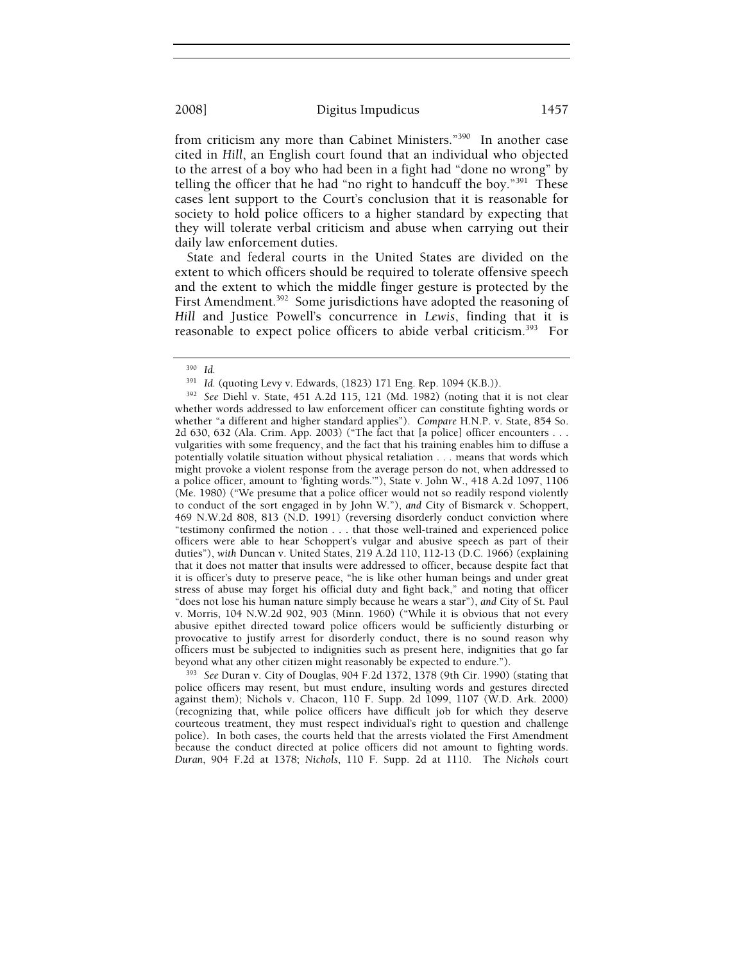from criticism any more than Cabinet Ministers."390 In another case cited in *Hill*, an English court found that an individual who objected to the arrest of a boy who had been in a fight had "done no wrong" by telling the officer that he had "no right to handcuff the boy."391 These cases lent support to the Court's conclusion that it is reasonable for society to hold police officers to a higher standard by expecting that they will tolerate verbal criticism and abuse when carrying out their daily law enforcement duties.

State and federal courts in the United States are divided on the extent to which officers should be required to tolerate offensive speech and the extent to which the middle finger gesture is protected by the First Amendment.<sup>392</sup> Some jurisdictions have adopted the reasoning of *Hill* and Justice Powell's concurrence in *Lewis*, finding that it is reasonable to expect police officers to abide verbal criticism.<sup>393</sup> For

<sup>393</sup> See Duran v. City of Douglas, 904 F.2d 1372, 1378 (9th Cir. 1990) (stating that police officers may resent, but must endure, insulting words and gestures directed against them); Nichols v. Chacon, 110 F. Supp. 2d 1099, 1107 (W.D. Ark. 2000) (recognizing that, while police officers have difficult job for which they deserve courteous treatment, they must respect individual's right to question and challenge police). In both cases, the courts held that the arrests violated the First Amendment because the conduct directed at police officers did not amount to fighting words. *Duran*, 904 F.2d at 1378; *Nichols*, 110 F. Supp. 2d at 1110. The *Nichols* court

<sup>&</sup>lt;sup>390</sup> Id.<br><sup>391</sup> Id. (quoting Levy v. Edwards, (1823) 171 Eng. Rep. 1094 (K.B.)).

<sup>&</sup>lt;sup>392</sup> See Diehl v. State, 451 A.2d 115, 121 (Md. 1982) (noting that it is not clear whether words addressed to law enforcement officer can constitute fighting words or whether "a different and higher standard applies"). *Compare* H.N.P. v. State, 854 So. 2d 630, 632 (Ala. Crim. App. 2003) ("The fact that [a police] officer encounters . . . vulgarities with some frequency, and the fact that his training enables him to diffuse a potentially volatile situation without physical retaliation . . . means that words which might provoke a violent response from the average person do not, when addressed to a police officer, amount to 'fighting words.'"), State v. John W., 418 A.2d 1097, 1106 (Me. 1980) ("We presume that a police officer would not so readily respond violently to conduct of the sort engaged in by John W."), *and* City of Bismarck v. Schoppert, 469 N.W.2d 808, 813 (N.D. 1991) (reversing disorderly conduct conviction where "testimony confirmed the notion . . . that those well-trained and experienced police officers were able to hear Schoppert's vulgar and abusive speech as part of their duties"), *with* Duncan v. United States, 219 A.2d 110, 112-13 (D.C. 1966) (explaining that it does not matter that insults were addressed to officer, because despite fact that it is officer's duty to preserve peace, "he is like other human beings and under great stress of abuse may forget his official duty and fight back," and noting that officer "does not lose his human nature simply because he wears a star"), *and* City of St. Paul v. Morris, 104 N.W.2d 902, 903 (Minn. 1960) ("While it is obvious that not every abusive epithet directed toward police officers would be sufficiently disturbing or provocative to justify arrest for disorderly conduct, there is no sound reason why officers must be subjected to indignities such as present here, indignities that go far beyond what any other citizen might reasonably be expected to endure.").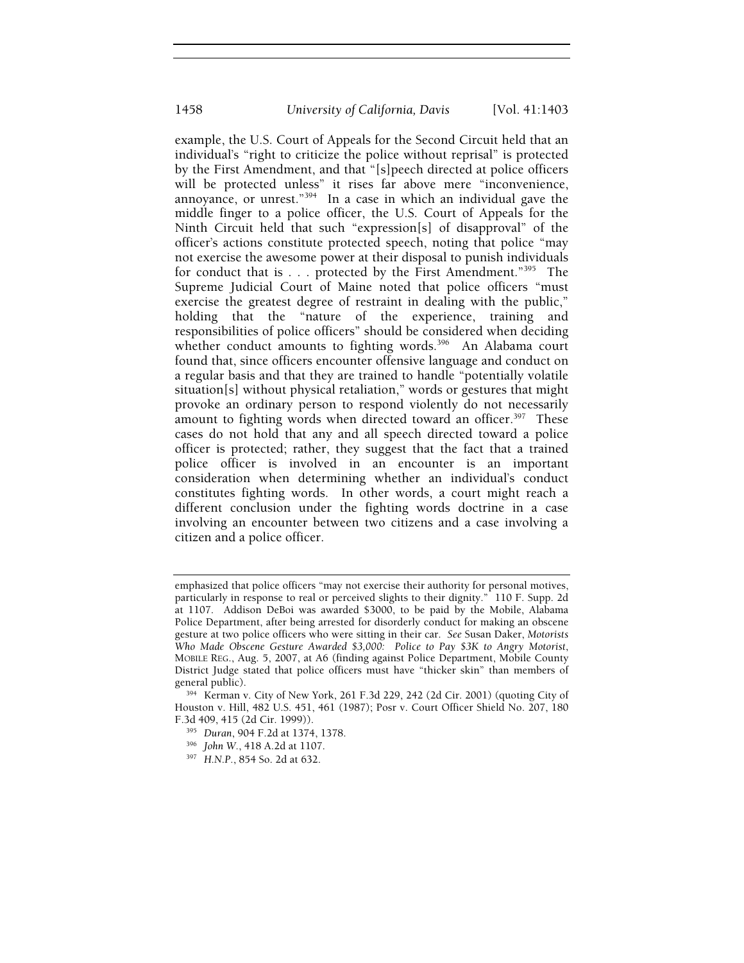example, the U.S. Court of Appeals for the Second Circuit held that an individual's "right to criticize the police without reprisal" is protected by the First Amendment, and that "[s]peech directed at police officers will be protected unless" it rises far above mere "inconvenience, annoyance, or unrest."<sup>394</sup> In a case in which an individual gave the middle finger to a police officer, the U.S. Court of Appeals for the Ninth Circuit held that such "expression[s] of disapproval" of the officer's actions constitute protected speech, noting that police "may not exercise the awesome power at their disposal to punish individuals for conduct that is . . . protected by the First Amendment."<sup>395</sup> The Supreme Judicial Court of Maine noted that police officers "must exercise the greatest degree of restraint in dealing with the public," holding that the "nature of the experience, training and responsibilities of police officers" should be considered when deciding whether conduct amounts to fighting words.<sup>396</sup> An Alabama court found that, since officers encounter offensive language and conduct on a regular basis and that they are trained to handle "potentially volatile situation[s] without physical retaliation," words or gestures that might provoke an ordinary person to respond violently do not necessarily amount to fighting words when directed toward an officer.<sup>397</sup> These cases do not hold that any and all speech directed toward a police officer is protected; rather, they suggest that the fact that a trained police officer is involved in an encounter is an important consideration when determining whether an individual's conduct constitutes fighting words. In other words, a court might reach a different conclusion under the fighting words doctrine in a case involving an encounter between two citizens and a case involving a citizen and a police officer.

- 
- 

emphasized that police officers "may not exercise their authority for personal motives, particularly in response to real or perceived slights to their dignity." 110 F. Supp. 2d at 1107. Addison DeBoi was awarded \$3000, to be paid by the Mobile, Alabama Police Department, after being arrested for disorderly conduct for making an obscene gesture at two police officers who were sitting in their car. *See* Susan Daker, *Motorists Who Made Obscene Gesture Awarded \$3,000: Police to Pay \$3K to Angry Motorist*, MOBILE REG., Aug. 5, 2007, at A6 (finding against Police Department, Mobile County District Judge stated that police officers must have "thicker skin" than members of general public).<br><sup>394</sup> Kerman v. City of New York, 261 F.3d 229, 242 (2d Cir. 2001) (quoting City of

Houston v. Hill, 482 U.S. 451, 461 (1987); Posr v. Court Officer Shield No. 207, 180 F.3d 409, 415 (2d Cir. 1999)). 395 *Duran*, 904 F.2d at 1374, 1378. 396 *John W.*, 418 A.2d at 1107. 397 *H.N.P.*, 854 So. 2d at 632.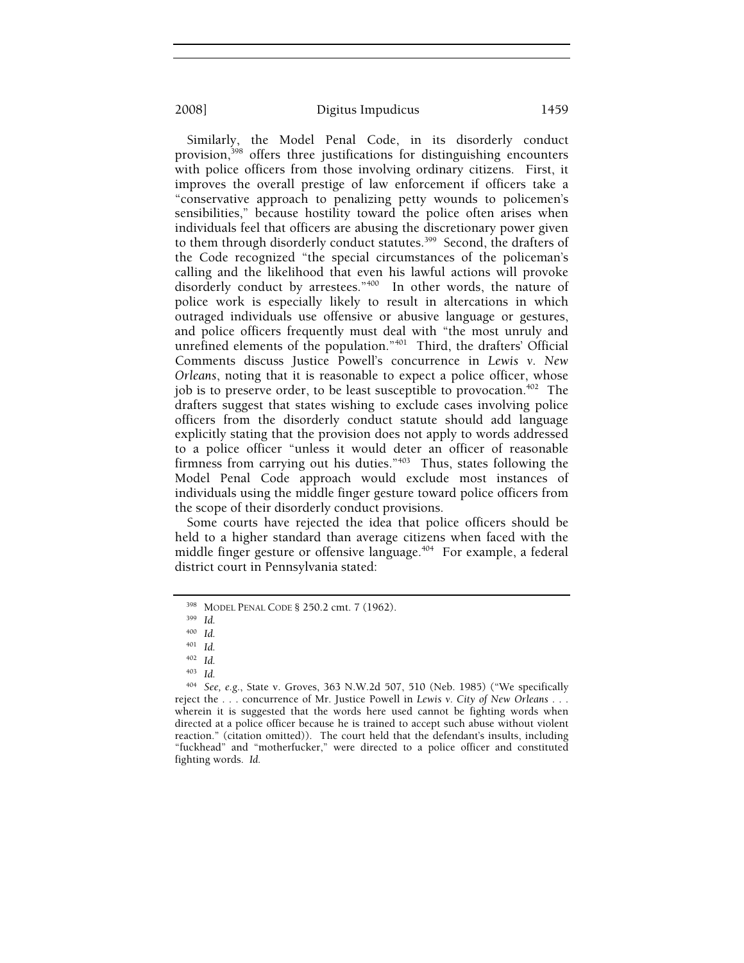Similarly, the Model Penal Code, in its disorderly conduct provision,<sup>398</sup> offers three justifications for distinguishing encounters with police officers from those involving ordinary citizens. First, it improves the overall prestige of law enforcement if officers take a "conservative approach to penalizing petty wounds to policemen's sensibilities," because hostility toward the police often arises when individuals feel that officers are abusing the discretionary power given to them through disorderly conduct statutes.<sup>399</sup> Second, the drafters of the Code recognized "the special circumstances of the policeman's calling and the likelihood that even his lawful actions will provoke disorderly conduct by arrestees."<sup>400</sup> In other words, the nature of police work is especially likely to result in altercations in which outraged individuals use offensive or abusive language or gestures, and police officers frequently must deal with "the most unruly and unrefined elements of the population."401 Third, the drafters' Official Comments discuss Justice Powell's concurrence in *Lewis v. New Orleans*, noting that it is reasonable to expect a police officer, whose job is to preserve order, to be least susceptible to provocation.<sup> $402$ </sup> The drafters suggest that states wishing to exclude cases involving police officers from the disorderly conduct statute should add language explicitly stating that the provision does not apply to words addressed to a police officer "unless it would deter an officer of reasonable firmness from carrying out his duties."403 Thus, states following the Model Penal Code approach would exclude most instances of individuals using the middle finger gesture toward police officers from the scope of their disorderly conduct provisions.

Some courts have rejected the idea that police officers should be held to a higher standard than average citizens when faced with the middle finger gesture or offensive language.<sup>404</sup> For example, a federal district court in Pennsylvania stated:

<sup>398</sup> MODEL PENAL CODE § 250.2 cmt. 7 (1962). 399 *Id.*

<sup>400</sup> *Id.*

<sup>401</sup> *Id.*

<sup>402</sup> *Id.*

<sup>403</sup> *Id.*

<sup>404</sup> *See, e.g.*, State v. Groves, 363 N.W.2d 507, 510 (Neb. 1985) ("We specifically reject the . . . concurrence of Mr. Justice Powell in *Lewis v. City of New Orleans* . . . wherein it is suggested that the words here used cannot be fighting words when directed at a police officer because he is trained to accept such abuse without violent reaction." (citation omitted)). The court held that the defendant's insults, including "fuckhead" and "motherfucker," were directed to a police officer and constituted fighting words. *Id.*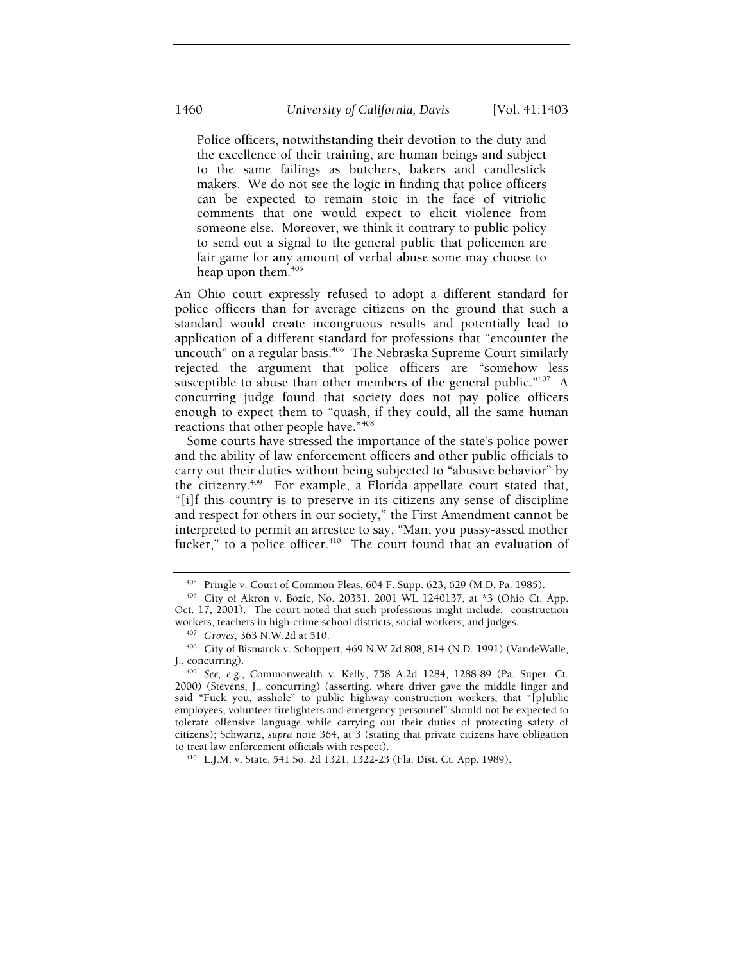Police officers, notwithstanding their devotion to the duty and the excellence of their training, are human beings and subject to the same failings as butchers, bakers and candlestick makers. We do not see the logic in finding that police officers can be expected to remain stoic in the face of vitriolic comments that one would expect to elicit violence from someone else. Moreover, we think it contrary to public policy to send out a signal to the general public that policemen are fair game for any amount of verbal abuse some may choose to heap upon them. $405$ 

An Ohio court expressly refused to adopt a different standard for police officers than for average citizens on the ground that such a standard would create incongruous results and potentially lead to application of a different standard for professions that "encounter the uncouth" on a regular basis.<sup>406</sup> The Nebraska Supreme Court similarly rejected the argument that police officers are "somehow less susceptible to abuse than other members of the general public." $407 \text{ A}$ concurring judge found that society does not pay police officers enough to expect them to "quash, if they could, all the same human reactions that other people have."408

Some courts have stressed the importance of the state's police power and the ability of law enforcement officers and other public officials to carry out their duties without being subjected to "abusive behavior" by the citizenry.409 For example, a Florida appellate court stated that, "[i]f this country is to preserve in its citizens any sense of discipline and respect for others in our society," the First Amendment cannot be interpreted to permit an arrestee to say, "Man, you pussy-assed mother fucker," to a police officer.<sup>410</sup> The court found that an evaluation of

<sup>&</sup>lt;sup>405</sup> Pringle v. Court of Common Pleas,  $604$  F. Supp. 623, 629 (M.D. Pa. 1985).<br><sup>406</sup> City of Akron v. Bozic, No. 20351, 2001 WL 1240137, at \*3 (Ohio Ct. App.

Oct. 17, 2001). The court noted that such professions might include: construction workers, teachers in high-crime school districts, social workers, and judges.

<sup>&</sup>lt;sup>407</sup> Groves, 363 N.W.2d at 510.<br><sup>408</sup> City of Bismarck v. Schoppert, 469 N.W.2d 808, 814 (N.D. 1991) (VandeWalle, J., concurring).

<sup>409</sup> See, e.g., Commonwealth v. Kelly, 758 A.2d 1284, 1288-89 (Pa. Super. Ct. 2000) (Stevens, J., concurring) (asserting, where driver gave the middle finger and said "Fuck you, asshole" to public highway construction workers, that "[p]ublic employees, volunteer firefighters and emergency personnel" should not be expected to tolerate offensive language while carrying out their duties of protecting safety of citizens); Schwartz, *supra* note 364, at 3 (stating that private citizens have obligation to treat law enforcement officials with respect).<br><sup>410</sup> L.J.M. v. State, 541 So. 2d 1321, 1322-23 (Fla. Dist. Ct. App. 1989).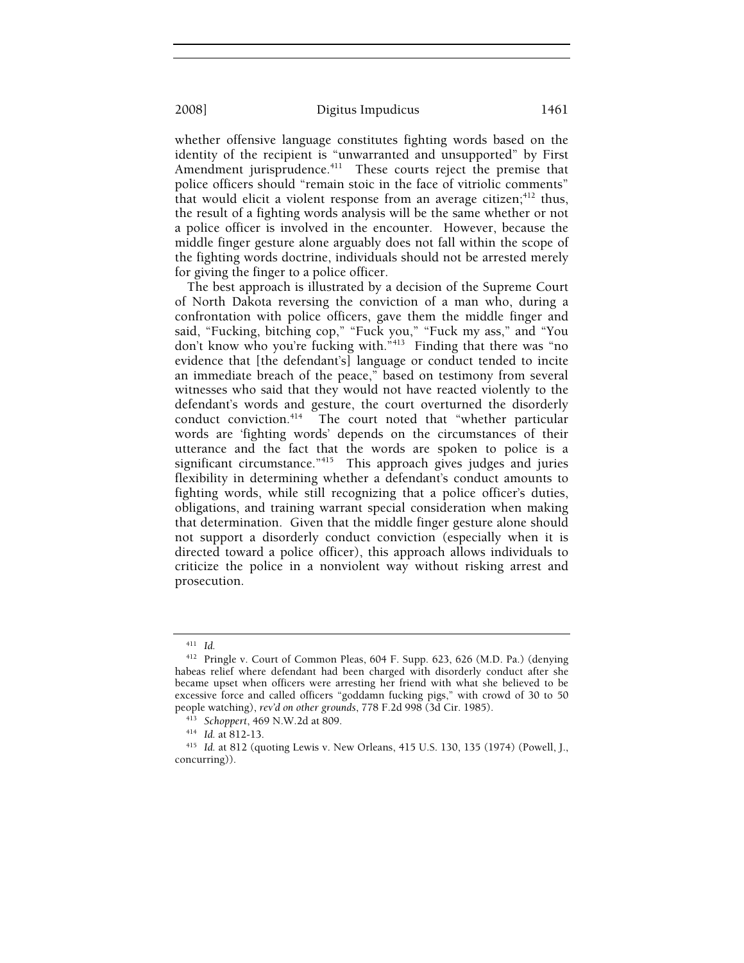whether offensive language constitutes fighting words based on the identity of the recipient is "unwarranted and unsupported" by First Amendment jurisprudence.<sup>411</sup> These courts reject the premise that police officers should "remain stoic in the face of vitriolic comments" that would elicit a violent response from an average citizen; $412$  thus, the result of a fighting words analysis will be the same whether or not a police officer is involved in the encounter. However, because the middle finger gesture alone arguably does not fall within the scope of the fighting words doctrine, individuals should not be arrested merely for giving the finger to a police officer.

The best approach is illustrated by a decision of the Supreme Court of North Dakota reversing the conviction of a man who, during a confrontation with police officers, gave them the middle finger and said, "Fucking, bitching cop," "Fuck you," "Fuck my ass," and "You don't know who you're fucking with."<sup>413</sup> Finding that there was "no evidence that [the defendant's] language or conduct tended to incite an immediate breach of the peace," based on testimony from several witnesses who said that they would not have reacted violently to the defendant's words and gesture, the court overturned the disorderly conduct conviction.<sup>414</sup> The court noted that "whether particular The court noted that "whether particular words are 'fighting words' depends on the circumstances of their utterance and the fact that the words are spoken to police is a significant circumstance."<sup>415</sup> This approach gives judges and juries flexibility in determining whether a defendant's conduct amounts to fighting words, while still recognizing that a police officer's duties, obligations, and training warrant special consideration when making that determination. Given that the middle finger gesture alone should not support a disorderly conduct conviction (especially when it is directed toward a police officer), this approach allows individuals to criticize the police in a nonviolent way without risking arrest and prosecution.

<sup>411</sup> *Id.*

<sup>412</sup> Pringle v. Court of Common Pleas, 604 F. Supp. 623, 626 (M.D. Pa.) (denying habeas relief where defendant had been charged with disorderly conduct after she became upset when officers were arresting her friend with what she believed to be excessive force and called officers "goddamn fucking pigs," with crowd of 30 to 50

people watching), *rev'd on other grounds*, 778 F.2d 998 (3d Cir. 1985).<br><sup>413</sup> Schoppert, 469 N.W.2d at 809.<br><sup>414</sup> Id. at 812-13.<br><sup>415</sup> Id. at 812 (quoting Lewis v. New Orleans, 415 U.S. 130, 135 (1974) (Powell, J., concurring)).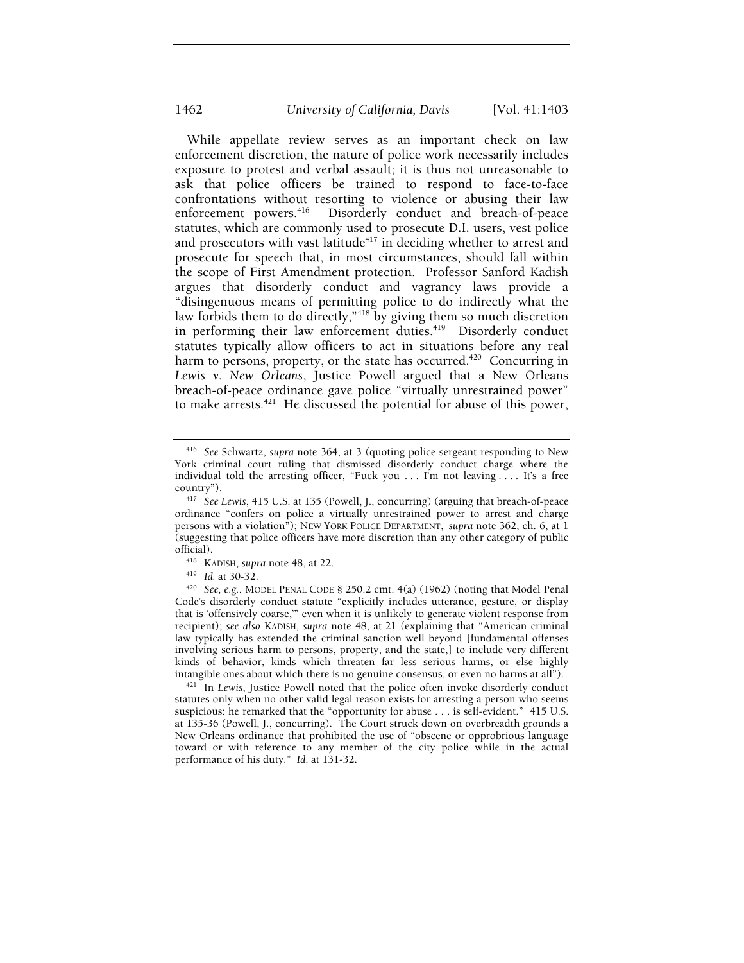While appellate review serves as an important check on law enforcement discretion, the nature of police work necessarily includes exposure to protest and verbal assault; it is thus not unreasonable to ask that police officers be trained to respond to face-to-face confrontations without resorting to violence or abusing their law enforcement powers.<sup>416</sup> Disorderly conduct and breach-of-peace Disorderly conduct and breach-of-peace statutes, which are commonly used to prosecute D.I. users, vest police and prosecutors with vast latitude<sup>417</sup> in deciding whether to arrest and prosecute for speech that, in most circumstances, should fall within the scope of First Amendment protection. Professor Sanford Kadish argues that disorderly conduct and vagrancy laws provide a "disingenuous means of permitting police to do indirectly what the law forbids them to do directly,"<sup>418</sup> by giving them so much discretion in performing their law enforcement duties.<sup>419</sup> Disorderly conduct statutes typically allow officers to act in situations before any real harm to persons, property, or the state has occurred.<sup>420</sup> Concurring in *Lewis v. New Orleans*, Justice Powell argued that a New Orleans breach-of-peace ordinance gave police "virtually unrestrained power" to make arrests.<sup> $421$ </sup> He discussed the potential for abuse of this power,

statutes only when no other valid legal reason exists for arresting a person who seems suspicious; he remarked that the "opportunity for abuse . . . is self-evident." 415 U.S. at 135-36 (Powell, J., concurring). The Court struck down on overbreadth grounds a New Orleans ordinance that prohibited the use of "obscene or opprobrious language toward or with reference to any member of the city police while in the actual performance of his duty." *Id*. at 131-32.

<sup>416</sup> *See* Schwartz, *supra* note 364, at 3 (quoting police sergeant responding to New York criminal court ruling that dismissed disorderly conduct charge where the individual told the arresting officer, "Fuck you . . . I'm not leaving . . . . It's a free

country"). 417 *See Lewis*, 415 U.S. at 135 (Powell, J., concurring) (arguing that breach-of-peace ordinance "confers on police a virtually unrestrained power to arrest and charge persons with a violation"); NEW YORK POLICE DEPARTMENT, *supra* note 362, ch. 6, at 1 (suggesting that police officers have more discretion than any other category of public

official).<br><sup>418</sup> KADISH, *supra* note 48, at 22.<br><sup>419</sup> *Id.* at 30-32.<br><sup>420</sup> *See, e.g.*, MODEL PENAL CODE § 250.2 cmt. 4(a) (1962) (noting that Model Penal Code's disorderly conduct statute "explicitly includes utterance, gesture, or display that is 'offensively coarse,'" even when it is unlikely to generate violent response from recipient); *see also* KADISH, *supra* note 48, at 21 (explaining that "American criminal law typically has extended the criminal sanction well beyond [fundamental offenses involving serious harm to persons, property, and the state,] to include very different kinds of behavior, kinds which threaten far less serious harms, or else highly intangible ones about which there is no genuine consensus, or even no harms at all"). 421 In *Lewis*, Justice Powell noted that the police often invoke disorderly conduct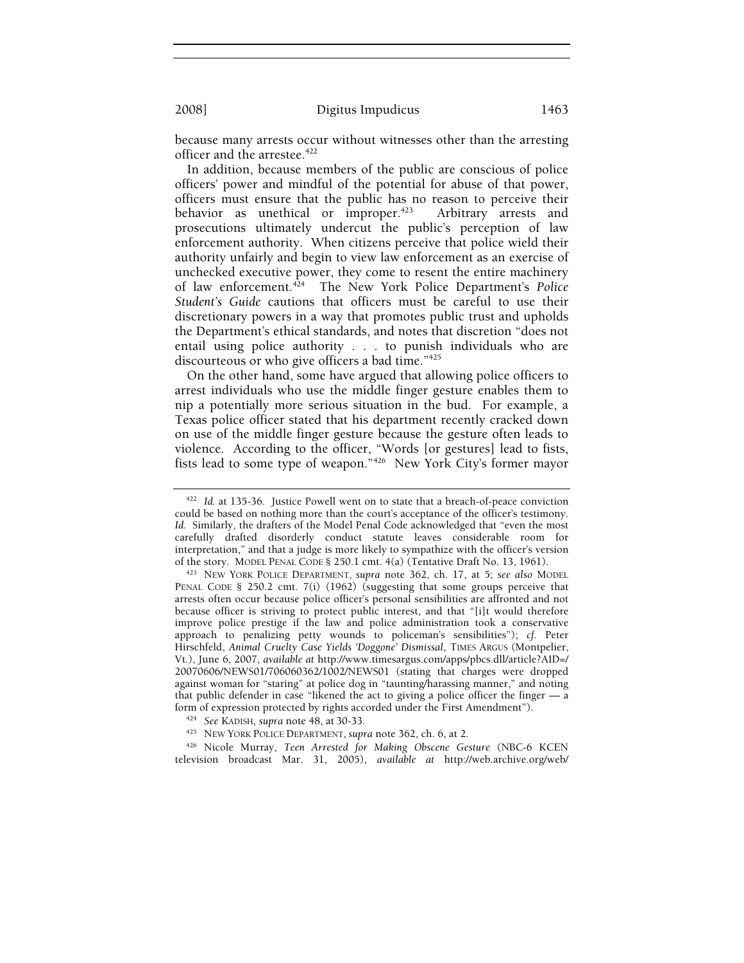because many arrests occur without witnesses other than the arresting officer and the arrestee. $422$ 

In addition, because members of the public are conscious of police officers' power and mindful of the potential for abuse of that power, officers must ensure that the public has no reason to perceive their behavior as unethical or improper.<sup>423</sup> Arbitrary arrests and prosecutions ultimately undercut the public's perception of law enforcement authority. When citizens perceive that police wield their authority unfairly and begin to view law enforcement as an exercise of unchecked executive power, they come to resent the entire machinery of law enforcement.424 The New York Police Department's *Police Student's Guide* cautions that officers must be careful to use their discretionary powers in a way that promotes public trust and upholds the Department's ethical standards, and notes that discretion "does not entail using police authority . . . to punish individuals who are discourteous or who give officers a bad time."425

On the other hand, some have argued that allowing police officers to arrest individuals who use the middle finger gesture enables them to nip a potentially more serious situation in the bud. For example, a Texas police officer stated that his department recently cracked down on use of the middle finger gesture because the gesture often leads to violence. According to the officer, "Words [or gestures] lead to fists, fists lead to some type of weapon."426 New York City's former mayor

<sup>422</sup> *Id.* at 135-36. Justice Powell went on to state that a breach-of-peace conviction could be based on nothing more than the court's acceptance of the officer's testimony. *Id.* Similarly, the drafters of the Model Penal Code acknowledged that "even the most carefully drafted disorderly conduct statute leaves considerable room for interpretation," and that a judge is more likely to sympathize with the officer's version of the story. MODEL PENAL CODE § 250.1 cmt. 4(a) (Tentative Draft No. 13, 1961). 423 NEW YORK POLICE DEPARTMENT, *supra* note 362, ch. 17, at 5; *see also* MODEL

PENAL CODE § 250.2 cmt. 7(i) (1962) (suggesting that some groups perceive that arrests often occur because police officer's personal sensibilities are affronted and not because officer is striving to protect public interest, and that "[i]t would therefore improve police prestige if the law and police administration took a conservative approach to penalizing petty wounds to policeman's sensibilities"); *cf.* Peter Hirschfeld, *Animal Cruelty Case Yields 'Doggone' Dismissal*, TIMES ARGUS (Montpelier, Vt.), June 6, 2007, *available at* http://www.timesargus.com/apps/pbcs.dll/article?AID=/ 20070606/NEWS01/706060362/1002/NEWS01 (stating that charges were dropped against woman for "staring" at police dog in "taunting/harassing manner," and noting that public defender in case "likened the act to giving a police officer the finger — a form of expression protected by rights accorded under the First Amendment").<br><sup>424</sup> See KADISH, *supra* note 48, at 30-33.<br><sup>425</sup> NEW YORK POLICE DEPARTMENT, *supra* note 362, ch. 6, at 2.

<sup>&</sup>lt;sup>426</sup> Nicole Murray, *Teen Arrested for Making Obscene Gesture* (NBC-6 KCEN television broadcast Mar. 31, 2005), *available at* http://web.archive.org/web/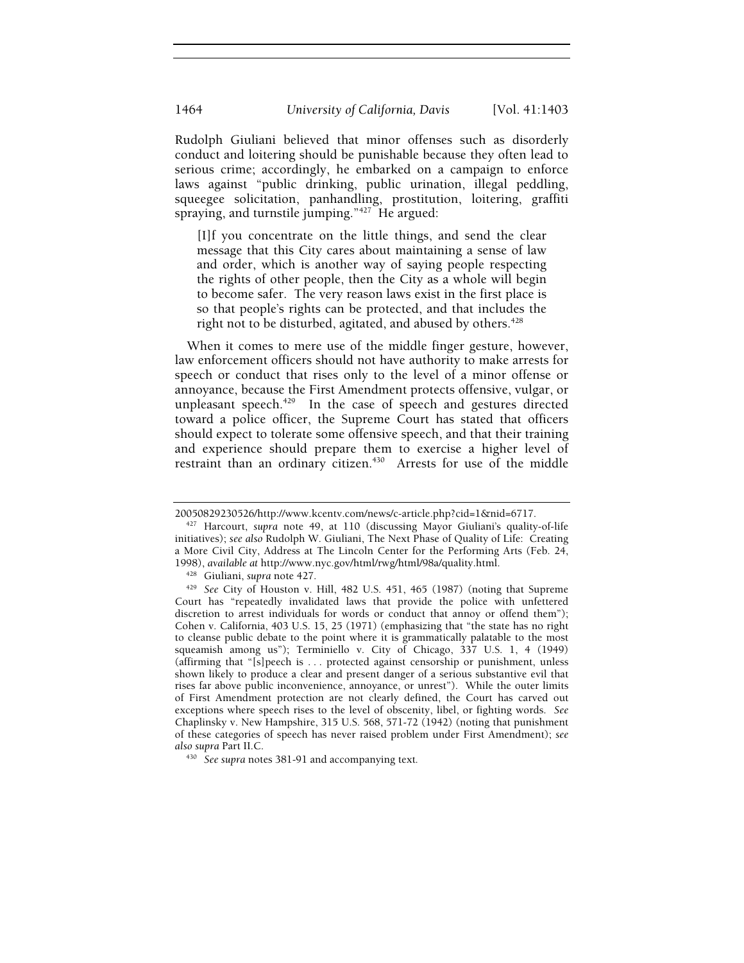Rudolph Giuliani believed that minor offenses such as disorderly conduct and loitering should be punishable because they often lead to serious crime; accordingly, he embarked on a campaign to enforce laws against "public drinking, public urination, illegal peddling, squeegee solicitation, panhandling, prostitution, loitering, graffiti spraying, and turnstile jumping."427 He argued:

[I]f you concentrate on the little things, and send the clear message that this City cares about maintaining a sense of law and order, which is another way of saying people respecting the rights of other people, then the City as a whole will begin to become safer. The very reason laws exist in the first place is so that people's rights can be protected, and that includes the right not to be disturbed, agitated, and abused by others.<sup> $428$ </sup>

When it comes to mere use of the middle finger gesture, however, law enforcement officers should not have authority to make arrests for speech or conduct that rises only to the level of a minor offense or annoyance, because the First Amendment protects offensive, vulgar, or unpleasant speech.<sup>429</sup> In the case of speech and gestures directed toward a police officer, the Supreme Court has stated that officers should expect to tolerate some offensive speech, and that their training and experience should prepare them to exercise a higher level of restraint than an ordinary citizen.<sup>430</sup> Arrests for use of the middle

<sup>20050829230526/</sup>http://www.kcentv.com/news/c-article.php?cid=1&nid=6717. 427 Harcourt, *supra* note 49, at 110 (discussing Mayor Giuliani's quality-of-life initiatives); *see also* Rudolph W. Giuliani, The Next Phase of Quality of Life: Creating a More Civil City, Address at The Lincoln Center for the Performing Arts (Feb. 24, 1998), *available at* http://www.nyc.gov/html/rwg/html/98a/quality.html. 428 Giuliani, *supra* note 427. 429 *See* City of Houston v. Hill, 482 U.S. 451, 465 (1987) (noting that Supreme

Court has "repeatedly invalidated laws that provide the police with unfettered discretion to arrest individuals for words or conduct that annoy or offend them"); Cohen v. California, 403 U.S. 15, 25 (1971) (emphasizing that "the state has no right to cleanse public debate to the point where it is grammatically palatable to the most squeamish among us"); Terminiello v. City of Chicago, 337 U.S. 1, 4 (1949) (affirming that "[s]peech is . . . protected against censorship or punishment, unless shown likely to produce a clear and present danger of a serious substantive evil that rises far above public inconvenience, annoyance, or unrest"). While the outer limits of First Amendment protection are not clearly defined, the Court has carved out exceptions where speech rises to the level of obscenity, libel, or fighting words. *See*  Chaplinsky v. New Hampshire, 315 U.S. 568, 571-72 (1942) (noting that punishment of these categories of speech has never raised problem under First Amendment); *see* 

*also supra* Part II.C. 430 *See supra* notes 381-91 and accompanying text*.*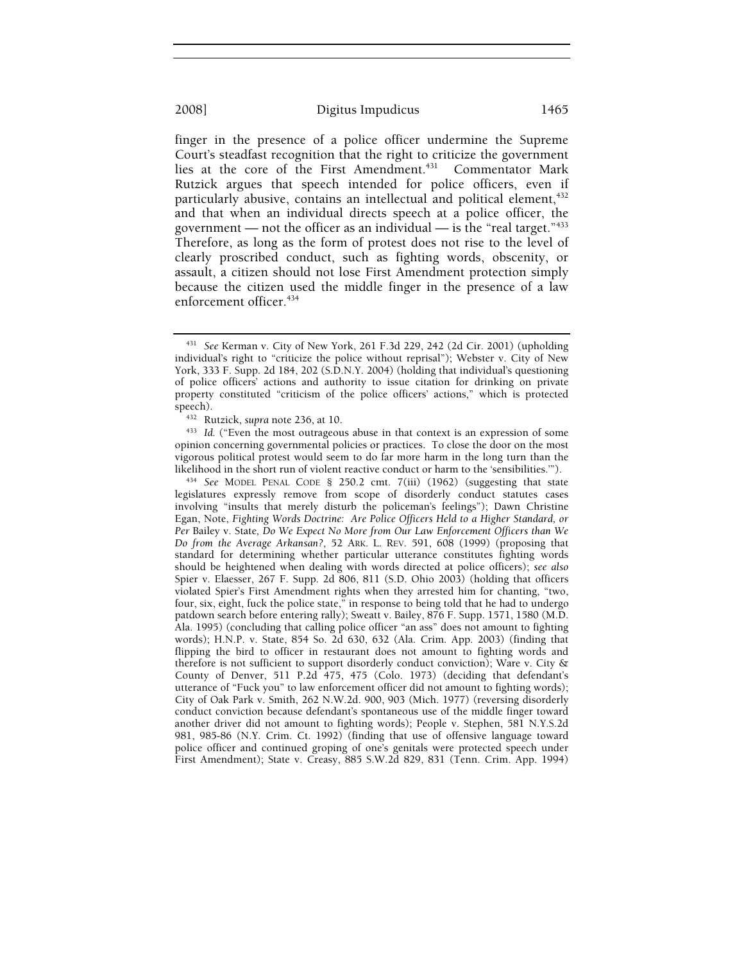finger in the presence of a police officer undermine the Supreme Court's steadfast recognition that the right to criticize the government lies at the core of the First Amendment.<sup>431</sup> Commentator Mark Rutzick argues that speech intended for police officers, even if particularly abusive, contains an intellectual and political element,<sup>432</sup> and that when an individual directs speech at a police officer, the government — not the officer as an individual — is the "real target." $433$ Therefore, as long as the form of protest does not rise to the level of clearly proscribed conduct, such as fighting words, obscenity, or assault, a citizen should not lose First Amendment protection simply because the citizen used the middle finger in the presence of a law enforcement officer.<sup>434</sup>

<sup>434</sup> See MODEL PENAL CODE § 250.2 cmt. 7(iii) (1962) (suggesting that state legislatures expressly remove from scope of disorderly conduct statutes cases involving "insults that merely disturb the policeman's feelings"); Dawn Christine Egan, Note, *Fighting Words Doctrine: Are Police Officers Held to a Higher Standard, or Per* Bailey v. State*, Do We Expect No More from Our Law Enforcement Officers than We Do from the Average Arkansan?*, 52 ARK. L. REV. 591, 608 (1999) (proposing that standard for determining whether particular utterance constitutes fighting words should be heightened when dealing with words directed at police officers); *see also* Spier v. Elaesser, 267 F. Supp. 2d 806, 811 (S.D. Ohio 2003) (holding that officers violated Spier's First Amendment rights when they arrested him for chanting, "two, four, six, eight, fuck the police state," in response to being told that he had to undergo patdown search before entering rally); Sweatt v. Bailey, 876 F. Supp. 1571, 1580 (M.D. Ala. 1995) (concluding that calling police officer "an ass" does not amount to fighting words); H.N.P. v. State, 854 So. 2d 630, 632 (Ala. Crim. App. 2003) (finding that flipping the bird to officer in restaurant does not amount to fighting words and therefore is not sufficient to support disorderly conduct conviction); Ware v. City & County of Denver, 511 P.2d 475, 475 (Colo. 1973) (deciding that defendant's utterance of "Fuck you" to law enforcement officer did not amount to fighting words); City of Oak Park v. Smith, 262 N.W.2d. 900, 903 (Mich. 1977) (reversing disorderly conduct conviction because defendant's spontaneous use of the middle finger toward another driver did not amount to fighting words); People v. Stephen, 581 N.Y.S.2d 981, 985-86 (N.Y. Crim. Ct. 1992) (finding that use of offensive language toward police officer and continued groping of one's genitals were protected speech under First Amendment); State v. Creasy, 885 S.W.2d 829, 831 (Tenn. Crim. App. 1994)

<sup>431</sup> *See* Kerman v. City of New York, 261 F.3d 229, 242 (2d Cir. 2001) (upholding individual's right to "criticize the police without reprisal"); Webster v. City of New York, 333 F. Supp. 2d 184, 202 (S.D.N.Y. 2004) (holding that individual's questioning of police officers' actions and authority to issue citation for drinking on private property constituted "criticism of the police officers' actions," which is protected speech).<br><sup>432</sup> Rutzick, *supra* note 236, at 10.<br><sup>433</sup> *Id.* ("Even the most outrageous abuse in that context is an expression of some

opinion concerning governmental policies or practices. To close the door on the most vigorous political protest would seem to do far more harm in the long turn than the likelihood in the short run of violent reactive conduct or harm to the 'sensibilities.").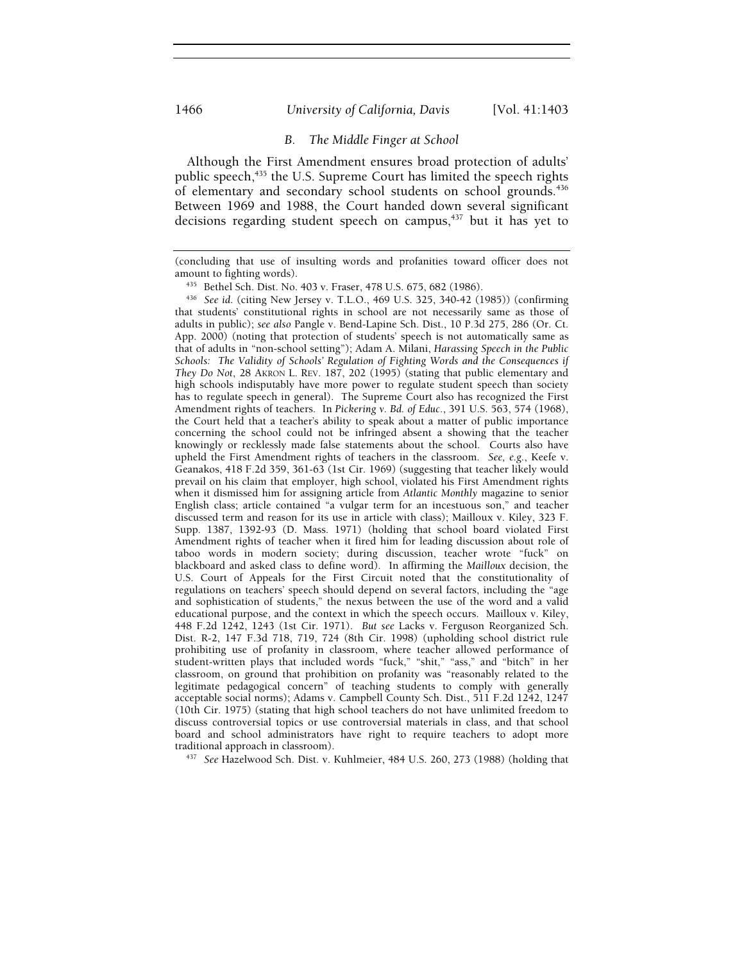#### 1466 *University of California, Davis* [Vol. 41:1403

#### *B. The Middle Finger at School*

Although the First Amendment ensures broad protection of adults' public speech,<sup>435</sup> the U.S. Supreme Court has limited the speech rights of elementary and secondary school students on school grounds.<sup>436</sup> Between 1969 and 1988, the Court handed down several significant decisions regarding student speech on campus,437 but it has yet to

that students' constitutional rights in school are not necessarily same as those of adults in public); *see also* Pangle v. Bend-Lapine Sch. Dist., 10 P.3d 275, 286 (Or. Ct. App. 2000) (noting that protection of students' speech is not automatically same as that of adults in "non-school setting"); Adam A. Milani, *Harassing Speech in the Public Schools: The Validity of Schools' Regulation of Fighting Words and the Consequences if They Do Not*, 28 AKRON L. REV. 187, 202 (1995) (stating that public elementary and high schools indisputably have more power to regulate student speech than society has to regulate speech in general). The Supreme Court also has recognized the First Amendment rights of teachers. In *Pickering v. Bd. of Educ.*, 391 U.S. 563, 574 (1968), the Court held that a teacher's ability to speak about a matter of public importance concerning the school could not be infringed absent a showing that the teacher knowingly or recklessly made false statements about the school. Courts also have upheld the First Amendment rights of teachers in the classroom. *See, e.g.*, Keefe v. Geanakos, 418 F.2d 359, 361-63 (1st Cir. 1969) (suggesting that teacher likely would prevail on his claim that employer, high school, violated his First Amendment rights when it dismissed him for assigning article from *Atlantic Monthly* magazine to senior English class; article contained "a vulgar term for an incestuous son," and teacher discussed term and reason for its use in article with class); Mailloux v. Kiley, 323 F. Supp. 1387, 1392-93 (D. Mass. 1971) (holding that school board violated First Amendment rights of teacher when it fired him for leading discussion about role of taboo words in modern society; during discussion, teacher wrote "fuck" on blackboard and asked class to define word). In affirming the *Mailloux* decision, the U.S. Court of Appeals for the First Circuit noted that the constitutionality of regulations on teachers' speech should depend on several factors, including the "age and sophistication of students," the nexus between the use of the word and a valid educational purpose, and the context in which the speech occurs. Mailloux v. Kiley, 448 F.2d 1242, 1243 (1st Cir. 1971). *But see* Lacks v. Ferguson Reorganized Sch. Dist. R-2, 147 F.3d 718, 719, 724 (8th Cir. 1998) (upholding school district rule prohibiting use of profanity in classroom, where teacher allowed performance of student-written plays that included words "fuck," "shit," "ass," and "bitch" in her classroom, on ground that prohibition on profanity was "reasonably related to the legitimate pedagogical concern" of teaching students to comply with generally acceptable social norms); Adams v. Campbell County Sch. Dist., 511 F.2d 1242, 1247 (10th Cir. 1975) (stating that high school teachers do not have unlimited freedom to discuss controversial topics or use controversial materials in class, and that school board and school administrators have right to require teachers to adopt more

traditional approach in classroom). 437 *See* Hazelwood Sch. Dist. v. Kuhlmeier, 484 U.S. 260, 273 (1988) (holding that

<sup>(</sup>concluding that use of insulting words and profanities toward officer does not amount to fighting words). 435 Bethel Sch. Dist. No. 403 v. Fraser, 478 U.S. 675, 682 (1986). 436 *See id*. (citing New Jersey v. T.L.O., 469 U.S. 325, 340-42 (1985)) (confirming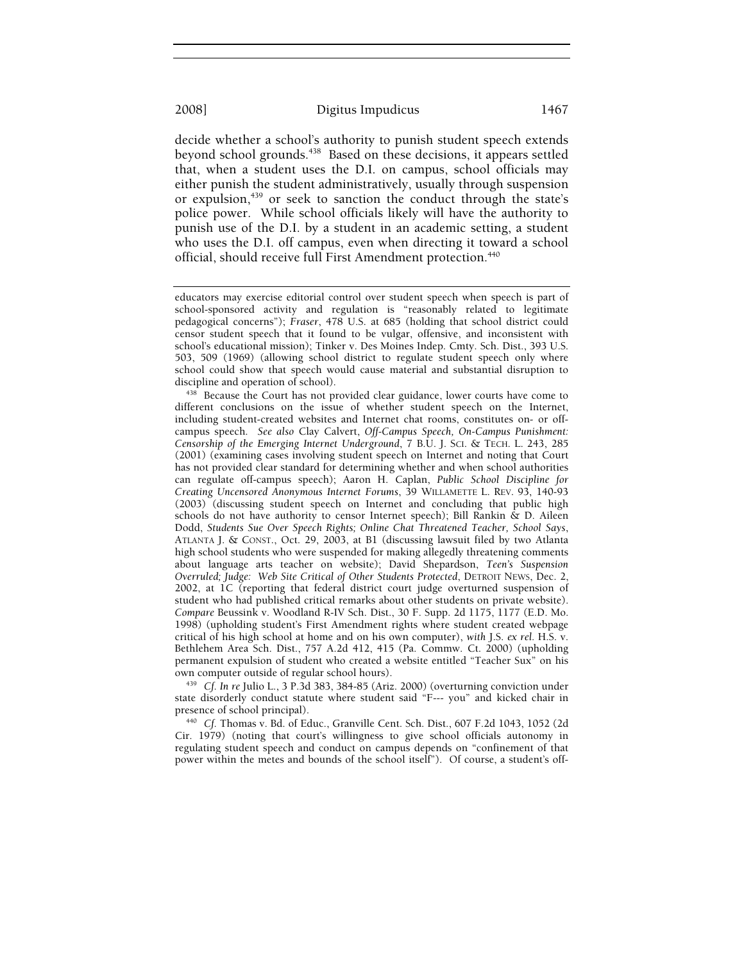decide whether a school's authority to punish student speech extends beyond school grounds.<sup>438</sup> Based on these decisions, it appears settled that, when a student uses the D.I. on campus, school officials may either punish the student administratively, usually through suspension or expulsion,<sup>439</sup> or seek to sanction the conduct through the state's police power.While school officials likely will have the authority to punish use of the D.I. by a student in an academic setting, a student who uses the D.I. off campus, even when directing it toward a school official, should receive full First Amendment protection.<sup>440</sup>

state disorderly conduct statute where student said "F--- you" and kicked chair in presence of school principal). 440 *Cf.* Thomas v. Bd. of Educ., Granville Cent. Sch. Dist., 607 F.2d 1043, 1052 (2d

Cir. 1979) (noting that court's willingness to give school officials autonomy in regulating student speech and conduct on campus depends on "confinement of that power within the metes and bounds of the school itself"). Of course, a student's off-

educators may exercise editorial control over student speech when speech is part of school-sponsored activity and regulation is "reasonably related to legitimate pedagogical concerns"); *Fraser*, 478 U.S. at 685 (holding that school district could censor student speech that it found to be vulgar, offensive, and inconsistent with school's educational mission); Tinker v. Des Moines Indep. Cmty. Sch. Dist., 393 U.S. 503, 509 (1969) (allowing school district to regulate student speech only where school could show that speech would cause material and substantial disruption to

discipline and operation of school).<br><sup>438</sup> Because the Court has not provided clear guidance, lower courts have come to different conclusions on the issue of whether student speech on the Internet, including student-created websites and Internet chat rooms, constitutes on- or offcampus speech. *See also* Clay Calvert, *Off-Campus Speech, On-Campus Punishment: Censorship of the Emerging Internet Underground*, 7 B.U. J. SCI. & TECH. L. 243, 285 (2001) (examining cases involving student speech on Internet and noting that Court has not provided clear standard for determining whether and when school authorities can regulate off-campus speech); Aaron H. Caplan, *Public School Discipline for Creating Uncensored Anonymous Internet Forums*, 39 WILLAMETTE L. REV. 93, 140-93 (2003) (discussing student speech on Internet and concluding that public high schools do not have authority to censor Internet speech); Bill Rankin & D. Aileen Dodd, *Students Sue Over Speech Rights; Online Chat Threatened Teacher, School Says*, ATLANTA J. & CONST., Oct. 29, 2003, at B1 (discussing lawsuit filed by two Atlanta high school students who were suspended for making allegedly threatening comments about language arts teacher on website); David Shepardson, *Teen's Suspension Overruled; Judge: Web Site Critical of Other Students Protected*, DETROIT NEWS, Dec. 2, 2002, at 1C (reporting that federal district court judge overturned suspension of student who had published critical remarks about other students on private website). *Compare* Beussink v. Woodland R-IV Sch. Dist., 30 F. Supp. 2d 1175, 1177 (E.D. Mo. 1998) (upholding student's First Amendment rights where student created webpage critical of his high school at home and on his own computer), *with* J.S. *ex rel.* H.S. v. Bethlehem Area Sch. Dist., 757 A.2d 412, 415 (Pa. Commw. Ct. 2000) (upholding permanent expulsion of student who created a website entitled "Teacher Sux" on his own computer outside of regular school hours). 439 *Cf. In re* Julio L., 3 P.3d 383, 384-85 (Ariz. 2000) (overturning conviction under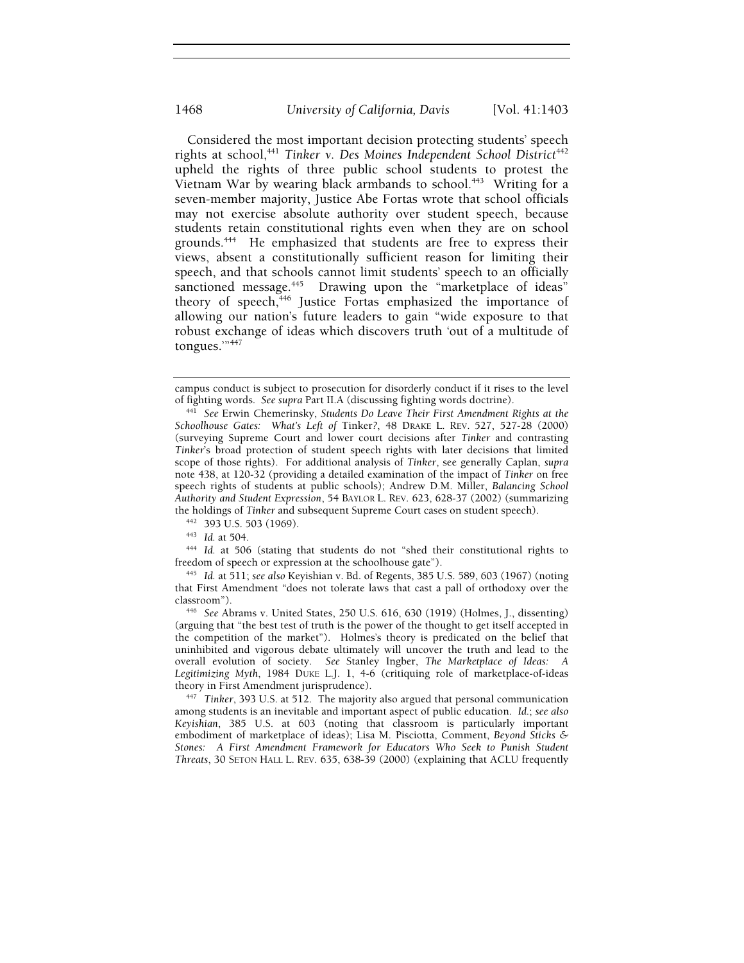Considered the most important decision protecting students' speech rights at school,<sup>441</sup> Tinker v. Des Moines Independent School District<sup>442</sup> upheld the rights of three public school students to protest the Vietnam War by wearing black armbands to school.<sup>443</sup> Writing for a seven-member majority, Justice Abe Fortas wrote that school officials may not exercise absolute authority over student speech, because students retain constitutional rights even when they are on school grounds.444 He emphasized that students are free to express their views, absent a constitutionally sufficient reason for limiting their speech, and that schools cannot limit students' speech to an officially sanctioned message.<sup>445</sup> Drawing upon the "marketplace of ideas" theory of speech,<sup>446</sup> Justice Fortas emphasized the importance of allowing our nation's future leaders to gain "wide exposure to that robust exchange of ideas which discovers truth 'out of a multitude of tongues.'"447

the holdings of *Tinker* and subsequent Supreme Court cases on student speech).<br><sup>442</sup> 393 U.S. 503 (1969).<br><sup>443</sup> *Id.* at 504.<br><sup>444</sup> *Id.* at 506 (stating that students do not "shed their constitutional rights to freedom of speech or expression at the schoolhouse gate"). 445 *Id.* at 511; *see also* Keyishian v. Bd. of Regents, 385 U.S. 589, 603 (1967) (noting

that First Amendment "does not tolerate laws that cast a pall of orthodoxy over the classroom"). 446 *See* Abrams v. United States, 250 U.S. 616, 630 (1919) (Holmes, J., dissenting)

(arguing that "the best test of truth is the power of the thought to get itself accepted in the competition of the market"). Holmes's theory is predicated on the belief that uninhibited and vigorous debate ultimately will uncover the truth and lead to the overall evolution of society. *See* Stanley Ingber, *The Marketplace of Ideas: A Legitimizing Myth*, 1984 DUKE L.J. 1, 4-6 (critiquing role of marketplace-of-ideas

theory in First Amendment jurisprudence). 447 *Tinker*, 393 U.S. at 512. The majority also argued that personal communication among students is an inevitable and important aspect of public education. *Id.*; *see also Keyishian*, 385 U.S. at 603 (noting that classroom is particularly important embodiment of marketplace of ideas); Lisa M. Pisciotta, Comment, *Beyond Sticks & Stones: A First Amendment Framework for Educators Who Seek to Punish Student Threats*, 30 SETON HALL L. REV. 635, 638-39 (2000) (explaining that ACLU frequently

campus conduct is subject to prosecution for disorderly conduct if it rises to the level of fighting words. *See supra* Part II.A (discussing fighting words doctrine). 441 *See* Erwin Chemerinsky, *Students Do Leave Their First Amendment Rights at the* 

*Schoolhouse Gates: What's Left of* Tinker*?*, 48 DRAKE L. REV. 527, 527-28 (2000) (surveying Supreme Court and lower court decisions after *Tinker* and contrasting *Tinker*'s broad protection of student speech rights with later decisions that limited scope of those rights). For additional analysis of *Tinker*, see generally Caplan, *supra*  note 438, at 120-32 (providing a detailed examination of the impact of *Tinker* on free speech rights of students at public schools); Andrew D.M. Miller, *Balancing School Authority and Student Expression*, 54 BAYLOR L. REV. 623, 628-37 (2002) (summarizing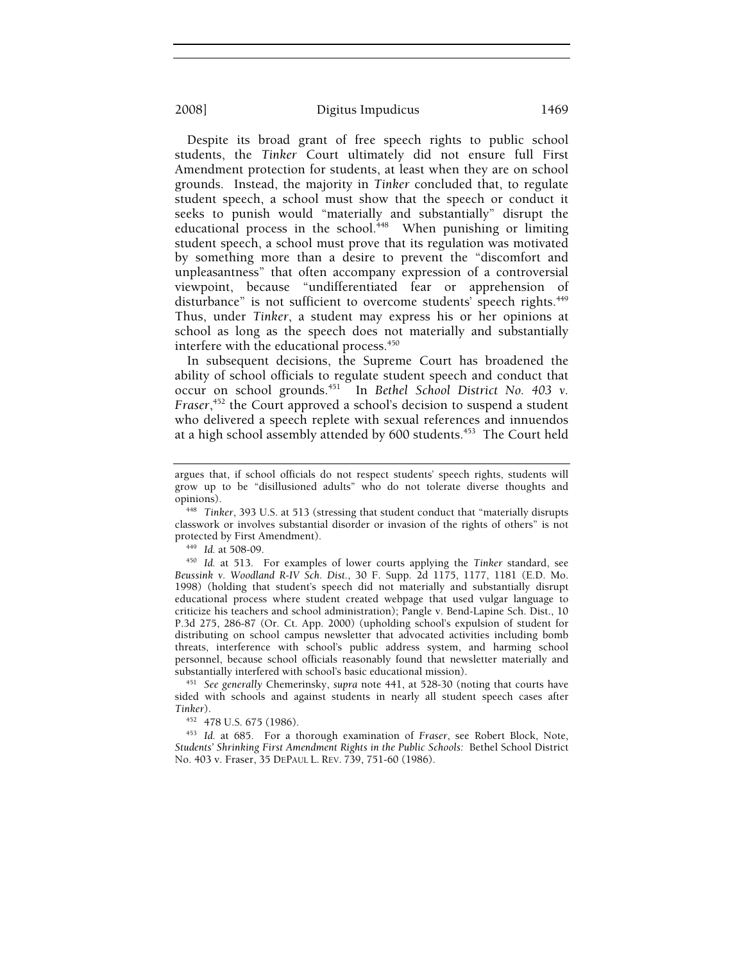Despite its broad grant of free speech rights to public school students, the *Tinker* Court ultimately did not ensure full First Amendment protection for students, at least when they are on school grounds. Instead, the majority in *Tinker* concluded that, to regulate student speech, a school must show that the speech or conduct it seeks to punish would "materially and substantially" disrupt the educational process in the school.<sup>448</sup> When punishing or limiting student speech, a school must prove that its regulation was motivated by something more than a desire to prevent the "discomfort and unpleasantness" that often accompany expression of a controversial viewpoint, because "undifferentiated fear or apprehension of disturbance" is not sufficient to overcome students' speech rights.<sup>449</sup> Thus, under *Tinker*, a student may express his or her opinions at school as long as the speech does not materially and substantially interfere with the educational process.<sup>450</sup>

In subsequent decisions, the Supreme Court has broadened the ability of school officials to regulate student speech and conduct that occur on school grounds.451 In *Bethel School District No. 403 v. Fraser*, 452 the Court approved a school's decision to suspend a student who delivered a speech replete with sexual references and innuendos at a high school assembly attended by 600 students.<sup>453</sup> The Court held

*Beussink v. Woodland R-IV Sch. Dist.*, 30 F. Supp. 2d 1175, 1177, 1181 (E.D. Mo. 1998) (holding that student's speech did not materially and substantially disrupt educational process where student created webpage that used vulgar language to criticize his teachers and school administration); Pangle v. Bend-Lapine Sch. Dist., 10 P.3d 275, 286-87 (Or. Ct. App. 2000) (upholding school's expulsion of student for distributing on school campus newsletter that advocated activities including bomb threats, interference with school's public address system, and harming school personnel, because school officials reasonably found that newsletter materially and

<sup>451</sup> See generally Chemerinsky, supra note 441, at 528-30 (noting that courts have sided with schools and against students in nearly all student speech cases after Tinker).

*Tinker*). 452 478 U.S. 675 (1986). 453 *Id.* at 685. For a thorough examination of *Fraser*, see Robert Block, Note, *Students' Shrinking First Amendment Rights in the Public Schools:* Bethel School District No. 403 v. Fraser, 35 DEPAUL L. REV. 739, 751-60 (1986).

argues that, if school officials do not respect students' speech rights, students will grow up to be "disillusioned adults" who do not tolerate diverse thoughts and

opinions). 448 *Tinker*, 393 U.S. at 513 (stressing that student conduct that "materially disrupts classwork or involves substantial disorder or invasion of the rights of others" is not protected by First Amendment).<br><sup>449</sup> *Id.* at 508-09.<br><sup>450</sup> *Id.* at 513. For examples of lower courts applying the *Tinker* standard, see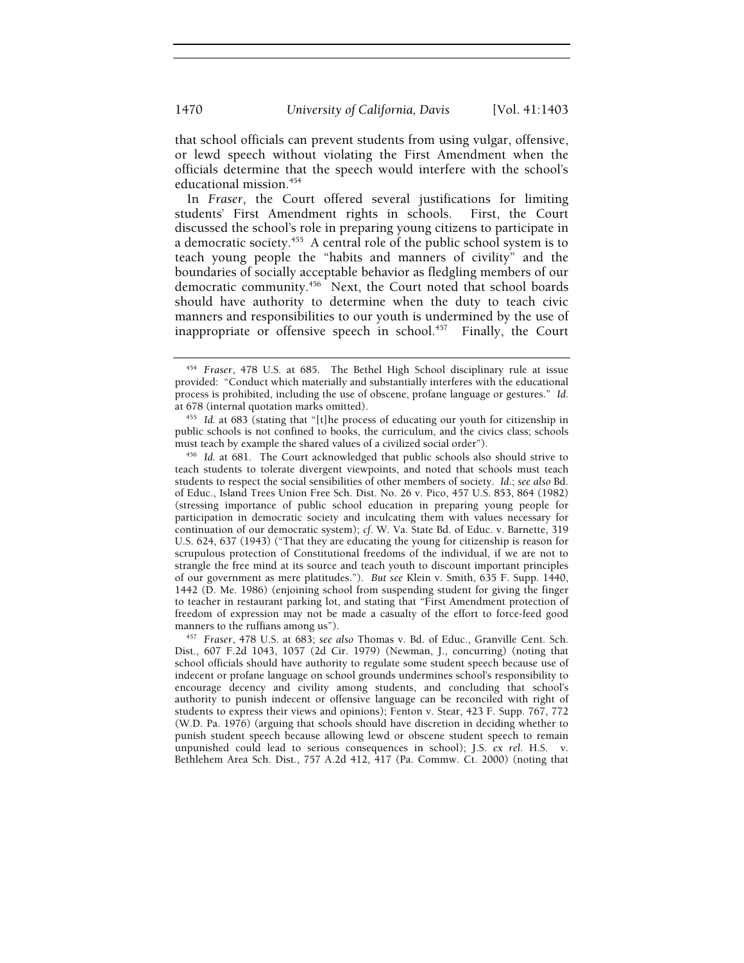that school officials can prevent students from using vulgar, offensive, or lewd speech without violating the First Amendment when the officials determine that the speech would interfere with the school's educational mission.<sup>454</sup>

In *Fraser*, the Court offered several justifications for limiting students' First Amendment rights in schools. First, the Court discussed the school's role in preparing young citizens to participate in a democratic society.<sup>455</sup> A central role of the public school system is to teach young people the "habits and manners of civility" and the boundaries of socially acceptable behavior as fledgling members of our democratic community.<sup>456</sup> Next, the Court noted that school boards should have authority to determine when the duty to teach civic manners and responsibilities to our youth is undermined by the use of inappropriate or offensive speech in school. $457$  Finally, the Court

<sup>454</sup> *Fraser*, 478 U.S. at 685. The Bethel High School disciplinary rule at issue provided: "Conduct which materially and substantially interferes with the educational process is prohibited, including the use of obscene, profane language or gestures." *Id*.

<sup>&</sup>lt;sup>455</sup> Id. at 683 (stating that "[t]he process of educating our youth for citizenship in public schools is not confined to books, the curriculum, and the civics class; schools must teach by example the shared values of a civilized social order").

<sup>&</sup>lt;sup>456</sup> Id. at 681. The Court acknowledged that public schools also should strive to teach students to tolerate divergent viewpoints, and noted that schools must teach students to respect the social sensibilities of other members of society. *Id*.; *see also* Bd. of Educ., Island Trees Union Free Sch. Dist. No. 26 v. Pico, 457 U.S. 853, 864 (1982) (stressing importance of public school education in preparing young people for participation in democratic society and inculcating them with values necessary for continuation of our democratic system); *cf.* W. Va. State Bd. of Educ. v. Barnette, 319 U.S. 624, 637 (1943) ("That they are educating the young for citizenship is reason for scrupulous protection of Constitutional freedoms of the individual, if we are not to strangle the free mind at its source and teach youth to discount important principles of our government as mere platitudes."). *But see* Klein v. Smith, 635 F. Supp. 1440, 1442 (D. Me. 1986) (enjoining school from suspending student for giving the finger to teacher in restaurant parking lot, and stating that "First Amendment protection of freedom of expression may not be made a casualty of the effort to force-feed good

<sup>&</sup>lt;sup>457</sup> Fraser, 478 U.S. at 683; see also Thomas v. Bd. of Educ., Granville Cent. Sch. Dist., 607 F.2d 1043, 1057 (2d Cir. 1979) (Newman, J., concurring) (noting that school officials should have authority to regulate some student speech because use of indecent or profane language on school grounds undermines school's responsibility to encourage decency and civility among students, and concluding that school's authority to punish indecent or offensive language can be reconciled with right of students to express their views and opinions); Fenton v. Stear, 423 F. Supp. 767, 772 (W.D. Pa. 1976) (arguing that schools should have discretion in deciding whether to punish student speech because allowing lewd or obscene student speech to remain unpunished could lead to serious consequences in school); J.S. *ex rel.* H.S. v. Bethlehem Area Sch. Dist., 757 A.2d 412, 417 (Pa. Commw. Ct. 2000) (noting that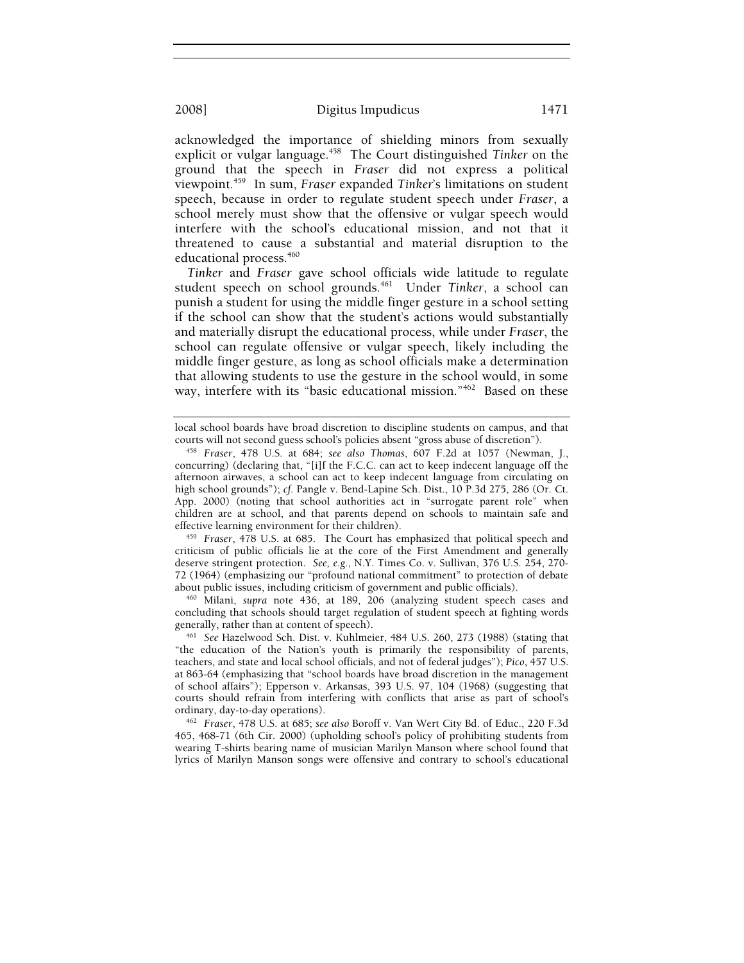acknowledged the importance of shielding minors from sexually explicit or vulgar language.458 The Court distinguished *Tinker* on the ground that the speech in *Fraser* did not express a political viewpoint.459 In sum, *Fraser* expanded *Tinker*'s limitations on student speech, because in order to regulate student speech under *Fraser*, a school merely must show that the offensive or vulgar speech would interfere with the school's educational mission, and not that it threatened to cause a substantial and material disruption to the educational process.<sup>460</sup>

*Tinker* and *Fraser* gave school officials wide latitude to regulate student speech on school grounds.<sup>461</sup> Under Tinker, a school can punish a student for using the middle finger gesture in a school setting if the school can show that the student's actions would substantially and materially disrupt the educational process, while under *Fraser*, the school can regulate offensive or vulgar speech, likely including the middle finger gesture, as long as school officials make a determination that allowing students to use the gesture in the school would, in some way, interfere with its "basic educational mission."<sup>462</sup> Based on these

<sup>459</sup> Fraser, 478 U.S. at 685. The Court has emphasized that political speech and criticism of public officials lie at the core of the First Amendment and generally deserve stringent protection. *See, e.g.*, N.Y. Times Co. v. Sullivan, 376 U.S. 254, 270- 72 (1964) (emphasizing our "profound national commitment" to protection of debate

<sup>460</sup> Milani, *supra* note 436, at 189, 206 (analyzing student speech cases and concluding that schools should target regulation of student speech at fighting words generally, rather than at content of speech). 461 *See* Hazelwood Sch. Dist. v. Kuhlmeier, 484 U.S. 260, 273 (1988) (stating that

"the education of the Nation's youth is primarily the responsibility of parents, teachers, and state and local school officials, and not of federal judges"); *Pico*, 457 U.S. at 863-64 (emphasizing that "school boards have broad discretion in the management of school affairs"); Epperson v. Arkansas, 393 U.S. 97, 104 (1968) (suggesting that courts should refrain from interfering with conflicts that arise as part of school's

ordinary, day-to-day operations). 462 *Fraser*, 478 U.S. at 685; *see also* Boroff v. Van Wert City Bd. of Educ., 220 F.3d 465, 468-71 (6th Cir. 2000) (upholding school's policy of prohibiting students from wearing T-shirts bearing name of musician Marilyn Manson where school found that lyrics of Marilyn Manson songs were offensive and contrary to school's educational

local school boards have broad discretion to discipline students on campus, and that courts will not second guess school's policies absent "gross abuse of discretion").

<sup>&</sup>lt;sup>458</sup> Fraser, 478 U.S. at 684; see also Thomas, 607 F.2d at 1057 (Newman, J., concurring) (declaring that, "[i]f the F.C.C. can act to keep indecent language off the afternoon airwaves, a school can act to keep indecent language from circulating on high school grounds"); *cf.* Pangle v. Bend-Lapine Sch. Dist., 10 P.3d 275, 286 (Or. Ct. App. 2000) (noting that school authorities act in "surrogate parent role" when children are at school, and that parents depend on schools to maintain safe and effective learning environment for their children).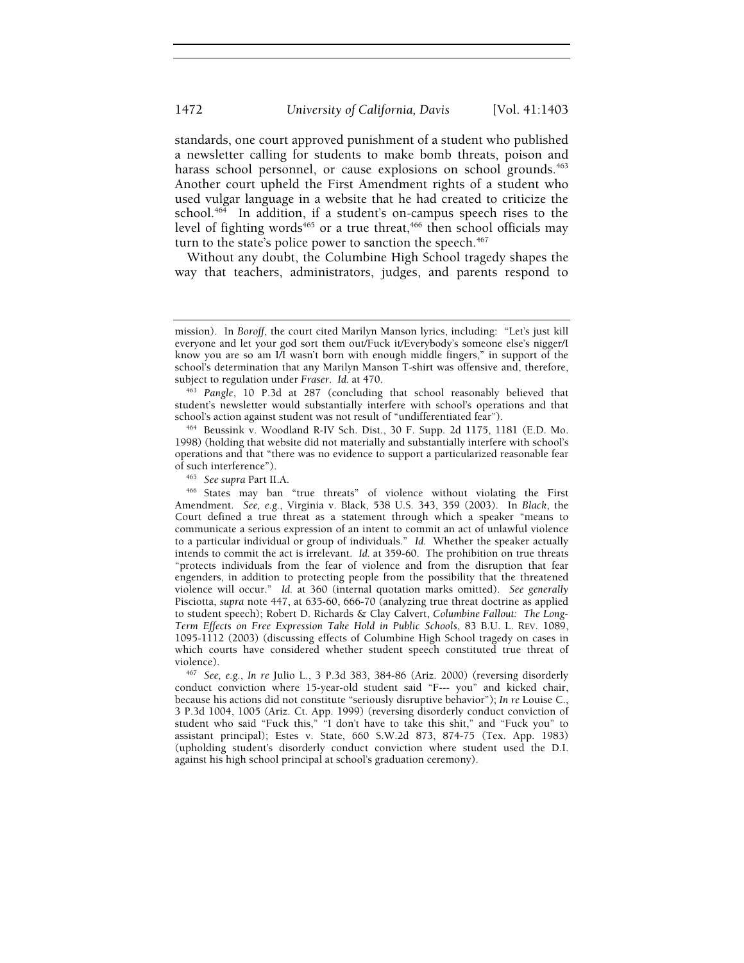standards, one court approved punishment of a student who published a newsletter calling for students to make bomb threats, poison and harass school personnel, or cause explosions on school grounds.<sup>463</sup> Another court upheld the First Amendment rights of a student who used vulgar language in a website that he had created to criticize the school.<sup>464</sup> In addition, if a student's on-campus speech rises to the level of fighting words<sup>465</sup> or a true threat,<sup>466</sup> then school officials may turn to the state's police power to sanction the speech.<sup>467</sup>

Without any doubt, the Columbine High School tragedy shapes the way that teachers, administrators, judges, and parents respond to

1998) (holding that website did not materially and substantially interfere with school's operations and that "there was no evidence to support a particularized reasonable fear

466 States may ban "true threats" of violence without violating the First Amendment. *See, e.g.*, Virginia v. Black, 538 U.S. 343, 359 (2003). In *Black*, the Court defined a true threat as a statement through which a speaker "means to communicate a serious expression of an intent to commit an act of unlawful violence to a particular individual or group of individuals." *Id.* Whether the speaker actually intends to commit the act is irrelevant. *Id.* at 359-60. The prohibition on true threats "protects individuals from the fear of violence and from the disruption that fear engenders, in addition to protecting people from the possibility that the threatened violence will occur." *Id.* at 360 (internal quotation marks omitted). *See generally* Pisciotta, *supra* note 447, at 635-60, 666-70 (analyzing true threat doctrine as applied to student speech); Robert D. Richards & Clay Calvert, *Columbine Fallout: The Long-Term Effects on Free Expression Take Hold in Public Schools*, 83 B.U. L. REV. 1089, 1095-1112 (2003) (discussing effects of Columbine High School tragedy on cases in which courts have considered whether student speech constituted true threat of violence). 467 *See, e.g.*, *In re* Julio L., 3 P.3d 383, 384-86 (Ariz. 2000) (reversing disorderly

conduct conviction where 15-year-old student said "F--- you" and kicked chair, because his actions did not constitute "seriously disruptive behavior"); *In re* Louise C., 3 P.3d 1004, 1005 (Ariz. Ct. App. 1999) (reversing disorderly conduct conviction of student who said "Fuck this," "I don't have to take this shit," and "Fuck you" to assistant principal); Estes v. State, 660 S.W.2d 873, 874-75 (Tex. App. 1983) (upholding student's disorderly conduct conviction where student used the D.I. against his high school principal at school's graduation ceremony).

mission). In *Boroff*, the court cited Marilyn Manson lyrics, including: "Let's just kill everyone and let your god sort them out/Fuck it/Everybody's someone else's nigger/I know you are so am I/I wasn't born with enough middle fingers," in support of the school's determination that any Marilyn Manson T-shirt was offensive and, therefore, subject to regulation under Fraser. Id. at 470.

<sup>&</sup>lt;sup>463</sup> Pangle, 10 P.3d at 287 (concluding that school reasonably believed that student's newsletter would substantially interfere with school's operations and that school's action against student was not result of "undifferentiated fear"). 464 Beussink v. Woodland R-IV Sch. Dist., 30 F. Supp. 2d 1175, 1181 (E.D. Mo.

<sup>&</sup>lt;sup>465</sup> See supra Part II.A.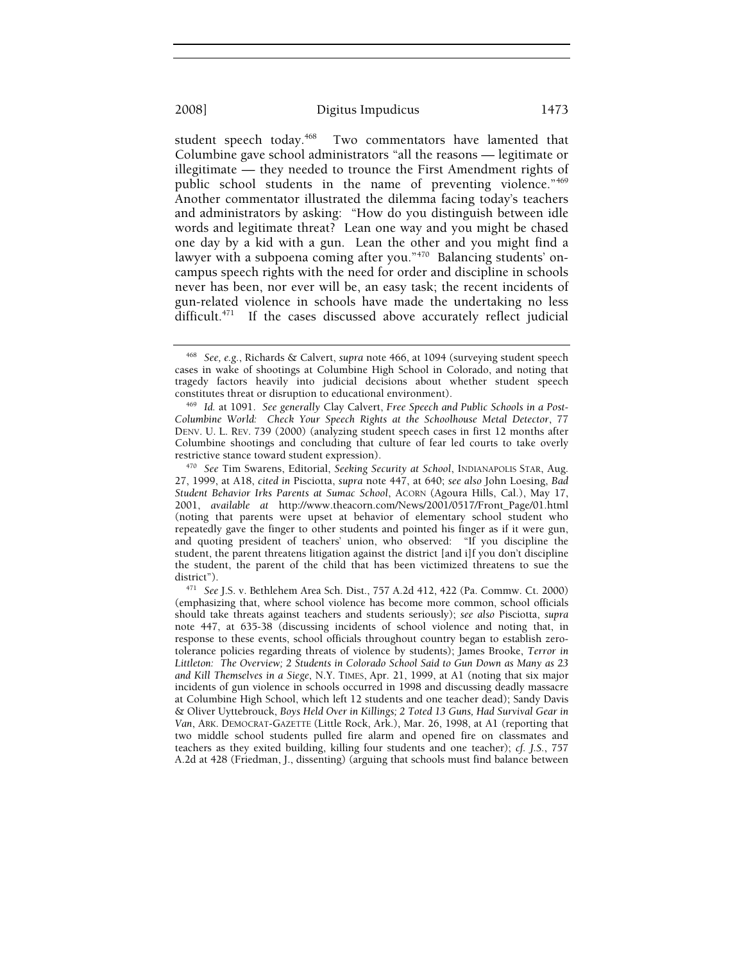student speech today.<sup>468</sup> Two commentators have lamented that Columbine gave school administrators "all the reasons — legitimate or illegitimate — they needed to trounce the First Amendment rights of public school students in the name of preventing violence."<sup>469</sup> Another commentator illustrated the dilemma facing today's teachers and administrators by asking: "How do you distinguish between idle words and legitimate threat? Lean one way and you might be chased one day by a kid with a gun. Lean the other and you might find a lawyer with a subpoena coming after you."<sup>470</sup> Balancing students' oncampus speech rights with the need for order and discipline in schools never has been, nor ever will be, an easy task; the recent incidents of gun-related violence in schools have made the undertaking no less difficult.<sup>471</sup> If the cases discussed above accurately reflect judicial

<sup>468</sup> *See, e.g.*, Richards & Calvert, *supra* note 466, at 1094 (surveying student speech cases in wake of shootings at Columbine High School in Colorado, and noting that tragedy factors heavily into judicial decisions about whether student speech constitutes threat or disruption to educational environment). 469 *Id.* at 1091. *See generally* Clay Calvert, *Free Speech and Public Schools in a Post-*

*Columbine World: Check Your Speech Rights at the Schoolhouse Metal Detector*, 77 DENV. U. L. REV. 739 (2000) (analyzing student speech cases in first 12 months after Columbine shootings and concluding that culture of fear led courts to take overly restrictive stance toward student expression). 470 *See* Tim Swarens, Editorial, *Seeking Security at School*, INDIANAPOLIS STAR, Aug.

<sup>27, 1999,</sup> at A18, *cited in* Pisciotta, *supra* note 447, at 640; *see also* John Loesing, *Bad Student Behavior Irks Parents at Sumac School*, ACORN (Agoura Hills, Cal.), May 17, 2001, *available at* http://www.theacorn.com/News/2001/0517/Front\_Page/01.html (noting that parents were upset at behavior of elementary school student who repeatedly gave the finger to other students and pointed his finger as if it were gun, and quoting president of teachers' union, who observed: "If you discipline the student, the parent threatens litigation against the district [and i]f you don't discipline the student, the parent of the child that has been victimized threatens to sue the

<sup>&</sup>lt;sup>471</sup> See J.S. v. Bethlehem Area Sch. Dist., 757 A.2d 412, 422 (Pa. Commw. Ct. 2000) (emphasizing that, where school violence has become more common, school officials should take threats against teachers and students seriously); *see also* Pisciotta, *supra*  note 447, at 635-38 (discussing incidents of school violence and noting that, in response to these events, school officials throughout country began to establish zerotolerance policies regarding threats of violence by students); James Brooke, *Terror in Littleton: The Overview; 2 Students in Colorado School Said to Gun Down as Many as 23 and Kill Themselves in a Siege*, N.Y. TIMES, Apr. 21, 1999, at A1 (noting that six major incidents of gun violence in schools occurred in 1998 and discussing deadly massacre at Columbine High School, which left 12 students and one teacher dead); Sandy Davis & Oliver Uyttebrouck, *Boys Held Over in Killings; 2 Toted 13 Guns, Had Survival Gear in Van*, ARK. DEMOCRAT-GAZETTE (Little Rock, Ark.), Mar. 26, 1998, at A1 (reporting that two middle school students pulled fire alarm and opened fire on classmates and teachers as they exited building, killing four students and one teacher); *cf. J.S.*, 757 A.2d at 428 (Friedman, J., dissenting) (arguing that schools must find balance between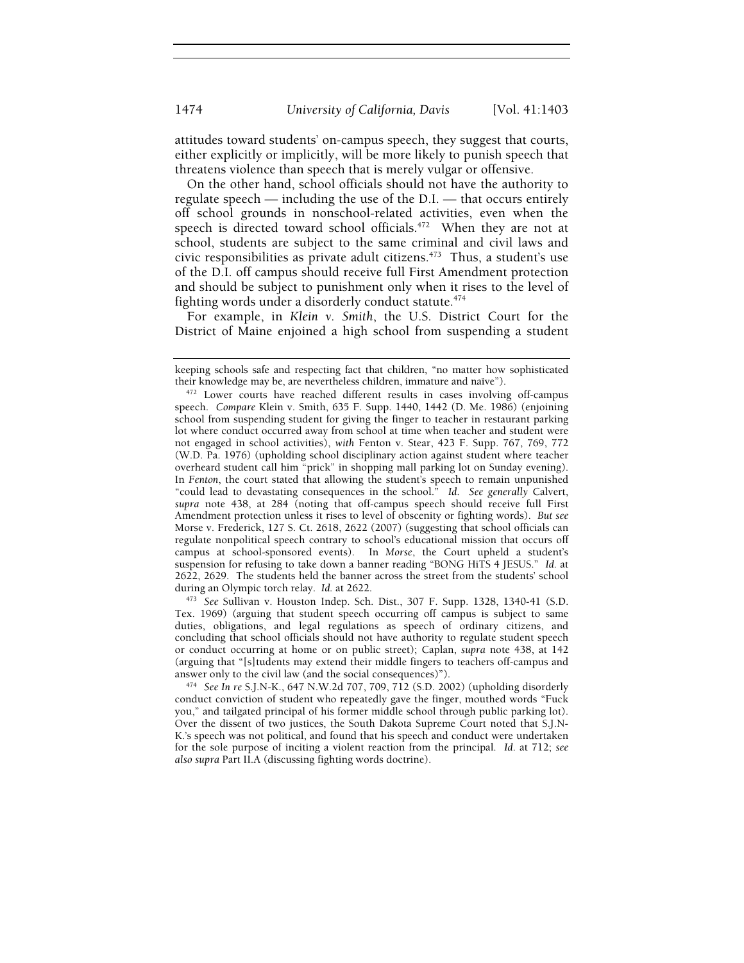attitudes toward students' on-campus speech, they suggest that courts, either explicitly or implicitly, will be more likely to punish speech that threatens violence than speech that is merely vulgar or offensive.

On the other hand, school officials should not have the authority to regulate speech — including the use of the D.I. — that occurs entirely off school grounds in nonschool-related activities, even when the speech is directed toward school officials.<sup>472</sup> When they are not at school, students are subject to the same criminal and civil laws and civic responsibilities as private adult citizens. $473$  Thus, a student's use of the D.I. off campus should receive full First Amendment protection and should be subject to punishment only when it rises to the level of fighting words under a disorderly conduct statute.<sup>474</sup>

For example, in *Klein v. Smith*, the U.S. District Court for the District of Maine enjoined a high school from suspending a student

Tex. 1969) (arguing that student speech occurring off campus is subject to same duties, obligations, and legal regulations as speech of ordinary citizens, and concluding that school officials should not have authority to regulate student speech or conduct occurring at home or on public street); Caplan, *supra* note 438, at 142 (arguing that "[s]tudents may extend their middle fingers to teachers off-campus and

answer only to the civil law (and the social consequences)"). 474 *See In re* S.J.N-K., 647 N.W.2d 707, 709, 712 (S.D. 2002) (upholding disorderly conduct conviction of student who repeatedly gave the finger, mouthed words "Fuck you," and tailgated principal of his former middle school through public parking lot). Over the dissent of two justices, the South Dakota Supreme Court noted that S.J.N-K.'s speech was not political, and found that his speech and conduct were undertaken for the sole purpose of inciting a violent reaction from the principal. *Id*. at 712; *see also supra* Part II.A (discussing fighting words doctrine).

keeping schools safe and respecting fact that children, "no matter how sophisticated their knowledge may be, are nevertheless children, immature and naı̈ve").

 $t<sup>472</sup>$  Lower courts have reached different results in cases involving off-campus speech. *Compare* Klein v. Smith, 635 F. Supp. 1440, 1442 (D. Me. 1986) (enjoining school from suspending student for giving the finger to teacher in restaurant parking lot where conduct occurred away from school at time when teacher and student were not engaged in school activities), *with* Fenton v. Stear, 423 F. Supp. 767, 769, 772 (W.D. Pa. 1976) (upholding school disciplinary action against student where teacher overheard student call him "prick" in shopping mall parking lot on Sunday evening). In *Fenton*, the court stated that allowing the student's speech to remain unpunished "could lead to devastating consequences in the school." *Id*. *See generally* Calvert, *supra* note 438, at 284 (noting that off-campus speech should receive full First Amendment protection unless it rises to level of obscenity or fighting words). *But see*  Morse v. Frederick, 127 S. Ct. 2618, 2622 (2007) (suggesting that school officials can regulate nonpolitical speech contrary to school's educational mission that occurs off campus at school-sponsored events). In *Morse*, the Court upheld a student's suspension for refusing to take down a banner reading "BONG HiTS 4 JESUS." *Id.* at 2622, 2629. The students held the banner across the street from the students' school during an Olympic torch relay. *Id.* at 2622.<br><sup>473</sup> See Sullivan v. Houston Indep. Sch. Dist., 307 F. Supp. 1328, 1340-41 (S.D.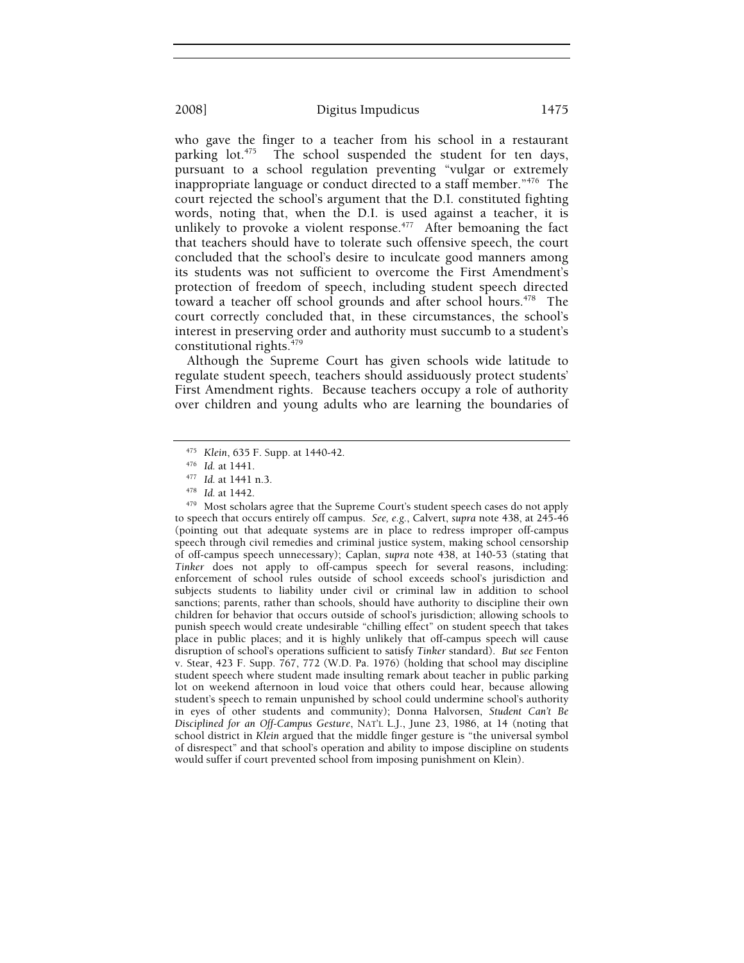who gave the finger to a teacher from his school in a restaurant parking  $\text{lot.}^{475}$  The school suspended the student for ten days, pursuant to a school regulation preventing "vulgar or extremely inappropriate language or conduct directed to a staff member."476 The court rejected the school's argument that the D.I. constituted fighting words, noting that, when the D.I. is used against a teacher, it is unlikely to provoke a violent response. $477$  After bemoaning the fact that teachers should have to tolerate such offensive speech, the court concluded that the school's desire to inculcate good manners among its students was not sufficient to overcome the First Amendment's protection of freedom of speech, including student speech directed toward a teacher off school grounds and after school hours.<sup>478</sup> The court correctly concluded that, in these circumstances, the school's interest in preserving order and authority must succumb to a student's constitutional rights.<sup>479</sup>

Although the Supreme Court has given schools wide latitude to regulate student speech, teachers should assiduously protect students' First Amendment rights. Because teachers occupy a role of authority over children and young adults who are learning the boundaries of

475 Klein, 635 F. Supp. at 1440-42.<br><sup>476</sup> *Id.* at 1441.<br><sup>477</sup> *Id.* at 1441 n.3.<br><sup>478</sup> *Id.* at 1442.<br><sup>479</sup> Most scholars agree that the Supreme Court's student speech cases do not apply to speech that occurs entirely off campus. *See, e.g.*, Calvert, *supra* note 438, at 245-46 (pointing out that adequate systems are in place to redress improper off-campus speech through civil remedies and criminal justice system, making school censorship of off-campus speech unnecessary); Caplan, *supra* note 438, at 140-53 (stating that *Tinker* does not apply to off-campus speech for several reasons, including: enforcement of school rules outside of school exceeds school's jurisdiction and subjects students to liability under civil or criminal law in addition to school sanctions; parents, rather than schools, should have authority to discipline their own children for behavior that occurs outside of school's jurisdiction; allowing schools to punish speech would create undesirable "chilling effect" on student speech that takes place in public places; and it is highly unlikely that off-campus speech will cause disruption of school's operations sufficient to satisfy *Tinker* standard). *But see* Fenton v. Stear, 423 F. Supp. 767, 772 (W.D. Pa. 1976) (holding that school may discipline student speech where student made insulting remark about teacher in public parking lot on weekend afternoon in loud voice that others could hear, because allowing student's speech to remain unpunished by school could undermine school's authority in eyes of other students and community); Donna Halvorsen, *Student Can't Be Disciplined for an Off-Campus Gesture*, NAT'L L.J., June 23, 1986, at 14 (noting that school district in *Klein* argued that the middle finger gesture is "the universal symbol of disrespect" and that school's operation and ability to impose discipline on students would suffer if court prevented school from imposing punishment on Klein).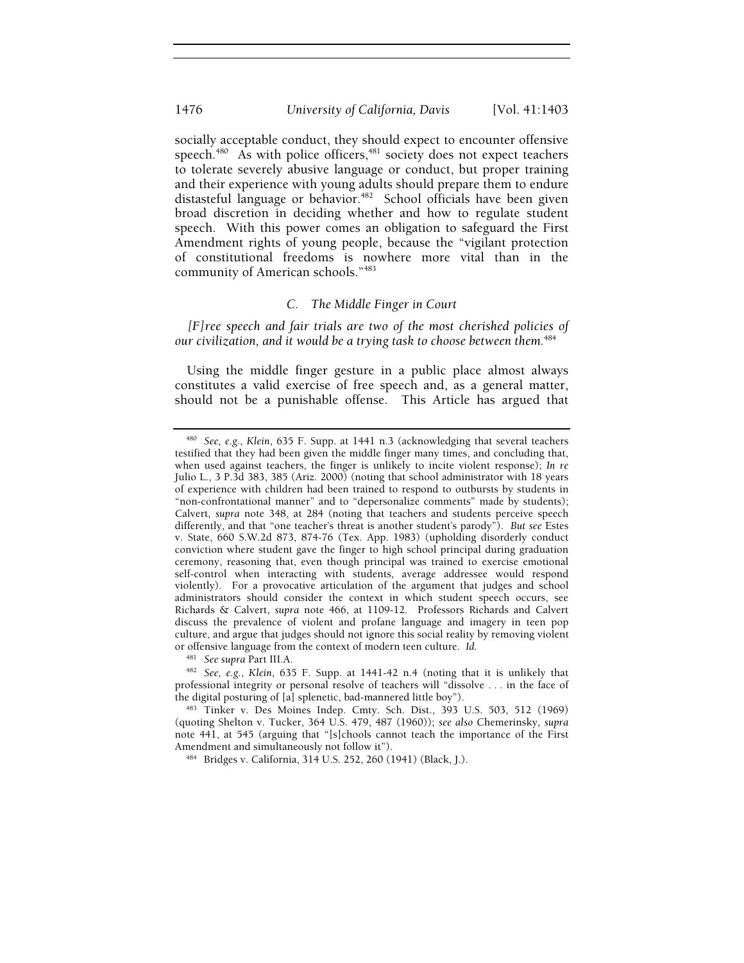socially acceptable conduct, they should expect to encounter offensive speech. $480$  As with police officers, $481$  society does not expect teachers to tolerate severely abusive language or conduct, but proper training and their experience with young adults should prepare them to endure distasteful language or behavior.<sup>482</sup> School officials have been given broad discretion in deciding whether and how to regulate student speech. With this power comes an obligation to safeguard the First Amendment rights of young people, because the "vigilant protection of constitutional freedoms is nowhere more vital than in the community of American schools."483

## *C. The Middle Finger in Court*

*[F]ree speech and fair trials are two of the most cherished policies of our civilization, and it would be a trying task to choose between them.*<sup>484</sup>

Using the middle finger gesture in a public place almost always constitutes a valid exercise of free speech and, as a general matter, should not be a punishable offense. This Article has argued that

<sup>480</sup> *See, e.g.*, *Klein*, 635 F. Supp. at 1441 n.3 (acknowledging that several teachers testified that they had been given the middle finger many times, and concluding that, when used against teachers, the finger is unlikely to incite violent response); *In re*  Julio L., 3 P.3d 383, 385 (Ariz. 2000) (noting that school administrator with 18 years of experience with children had been trained to respond to outbursts by students in "non-confrontational manner" and to "depersonalize comments" made by students); Calvert, *supra* note 348, at 284 (noting that teachers and students perceive speech differently, and that "one teacher's threat is another student's parody"). *But see* Estes v. State, 660 S.W.2d 873, 874-76 (Tex. App. 1983) (upholding disorderly conduct conviction where student gave the finger to high school principal during graduation ceremony, reasoning that, even though principal was trained to exercise emotional self-control when interacting with students, average addressee would respond violently). For a provocative articulation of the argument that judges and school administrators should consider the context in which student speech occurs, see Richards & Calvert, *supra* note 466, at 1109-12. Professors Richards and Calvert discuss the prevalence of violent and profane language and imagery in teen pop culture, and argue that judges should not ignore this social reality by removing violent or offensive language from the context of modern teen culture. *Id.* 

<sup>&</sup>lt;sup>481</sup> See supra Part III.A.<br><sup>482</sup> See, e.g., Klein, 635 F. Supp. at 1441-42 n.4 (noting that it is unlikely that professional integrity or personal resolve of teachers will "dissolve . . . in the face of the digital posturing of [a] splenetic, bad-mannered little boy").

<sup>&</sup>lt;sup>483</sup> Tinker v. Des Moines Indep. Cmty. Sch. Dist., 393 U.S. 503, 512 (1969) (quoting Shelton v. Tucker, 364 U.S. 479, 487 (1960)); *see also* Chemerinsky, *supra* note 441, at 545 (arguing that "[s]chools cannot teach the importance of the First Amendment and simultaneously not follow it").<br><sup>484</sup> Bridges v. California, 314 U.S. 252, 260 (1941) (Black, J.).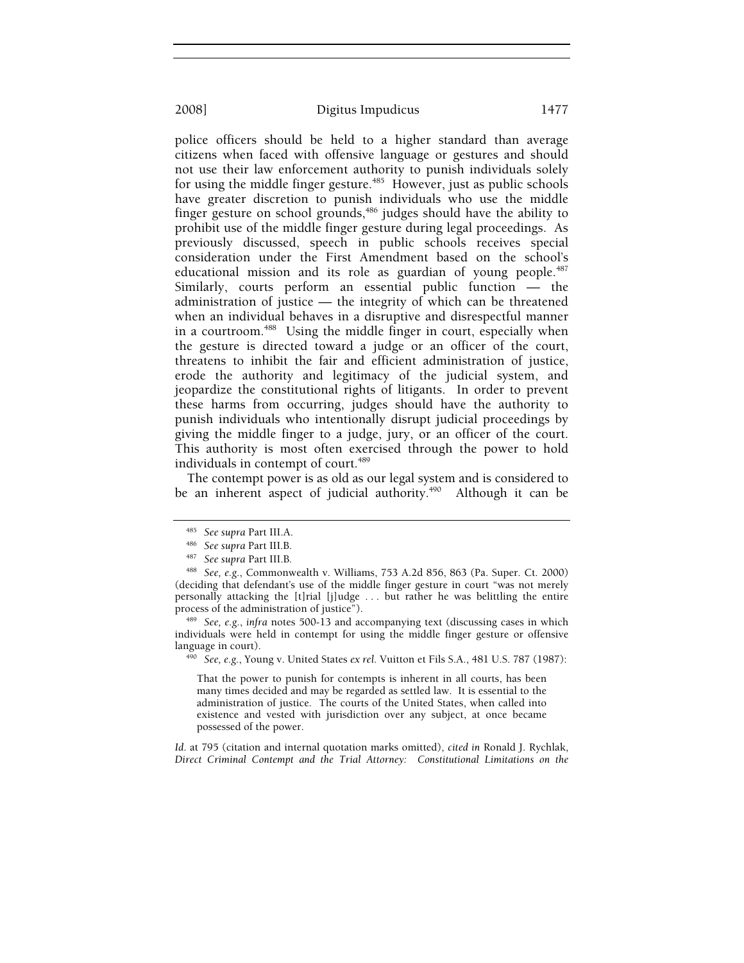police officers should be held to a higher standard than average citizens when faced with offensive language or gestures and should not use their law enforcement authority to punish individuals solely for using the middle finger gesture.<sup> $485$ </sup> However, just as public schools have greater discretion to punish individuals who use the middle finger gesture on school grounds,<sup>486</sup> judges should have the ability to prohibit use of the middle finger gesture during legal proceedings. As previously discussed, speech in public schools receives special consideration under the First Amendment based on the school's educational mission and its role as guardian of young people.<sup>487</sup> Similarly, courts perform an essential public function — the administration of justice — the integrity of which can be threatened when an individual behaves in a disruptive and disrespectful manner in a courtroom.<sup>488</sup> Using the middle finger in court, especially when the gesture is directed toward a judge or an officer of the court, threatens to inhibit the fair and efficient administration of justice, erode the authority and legitimacy of the judicial system, and jeopardize the constitutional rights of litigants. In order to prevent these harms from occurring, judges should have the authority to punish individuals who intentionally disrupt judicial proceedings by giving the middle finger to a judge, jury, or an officer of the court. This authority is most often exercised through the power to hold individuals in contempt of court.<sup>489</sup>

The contempt power is as old as our legal system and is considered to be an inherent aspect of judicial authority.<sup>490</sup> Although it can be

<sup>488</sup> *See, e.g.*, Commonwealth v. Williams, 753 A.2d 856, 863 (Pa. Super. Ct. 2000) (deciding that defendant's use of the middle finger gesture in court "was not merely personally attacking the [t]rial [j]udge . . . but rather he was belittling the entire

process of the administration of justice").<br><sup>489</sup> See, e.g., *infra* notes 500-13 and accompanying text (discussing cases in which individuals were held in contempt for using the middle finger gesture or offensive language in court). 490 *See, e.g.*, Young v. United States *ex rel.* Vuitton et Fils S.A., 481 U.S. 787 (1987):

That the power to punish for contempts is inherent in all courts, has been many times decided and may be regarded as settled law. It is essential to the administration of justice. The courts of the United States, when called into existence and vested with jurisdiction over any subject, at once became possessed of the power.

*Id*. at 795 (citation and internal quotation marks omitted), *cited in* Ronald J. Rychlak, *Direct Criminal Contempt and the Trial Attorney: Constitutional Limitations on the* 

<sup>485</sup> *See supra* Part III.A. 486 *See supra* Part III.B. 487 *See supra* Part III.B*.*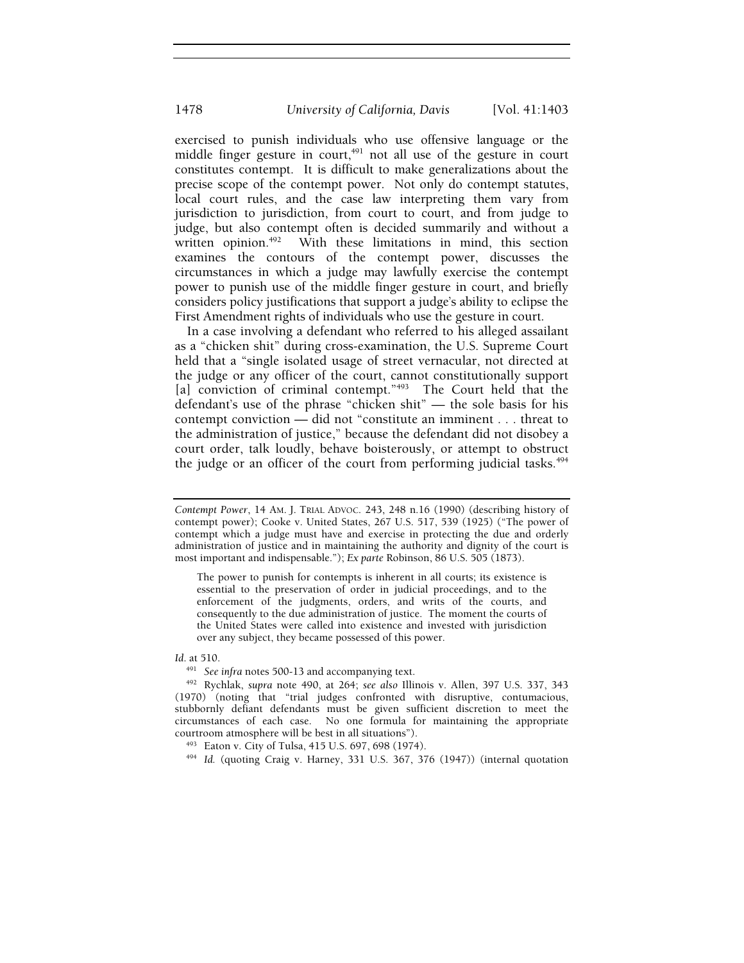exercised to punish individuals who use offensive language or the middle finger gesture in court, $491$  not all use of the gesture in court constitutes contempt. It is difficult to make generalizations about the precise scope of the contempt power. Not only do contempt statutes, local court rules, and the case law interpreting them vary from jurisdiction to jurisdiction, from court to court, and from judge to judge, but also contempt often is decided summarily and without a written opinion.<sup>492</sup> With these limitations in mind, this section examines the contours of the contempt power, discusses the circumstances in which a judge may lawfully exercise the contempt power to punish use of the middle finger gesture in court, and briefly considers policy justifications that support a judge's ability to eclipse the First Amendment rights of individuals who use the gesture in court.

In a case involving a defendant who referred to his alleged assailant as a "chicken shit" during cross-examination, the U.S. Supreme Court held that a "single isolated usage of street vernacular, not directed at the judge or any officer of the court, cannot constitutionally support [a] conviction of criminal contempt."<sup>493</sup> The Court held that the defendant's use of the phrase "chicken shit" — the sole basis for his contempt conviction — did not "constitute an imminent . . . threat to the administration of justice," because the defendant did not disobey a court order, talk loudly, behave boisterously, or attempt to obstruct the judge or an officer of the court from performing judicial tasks.<sup> $494$ </sup>

The power to punish for contempts is inherent in all courts; its existence is essential to the preservation of order in judicial proceedings, and to the enforcement of the judgments, orders, and writs of the courts, and consequently to the due administration of justice. The moment the courts of the United States were called into existence and invested with jurisdiction over any subject, they became possessed of this power.

*Id*. at 510.

*Contempt Power*, 14 AM. J. TRIAL ADVOC. 243, 248 n.16 (1990) (describing history of contempt power); Cooke v. United States, 267 U.S. 517, 539 (1925) ("The power of contempt which a judge must have and exercise in protecting the due and orderly administration of justice and in maintaining the authority and dignity of the court is most important and indispensable."); *Ex parte* Robinson, 86 U.S. 505 (1873).

<sup>491</sup> *See infra* notes 500-13 and accompanying text. 492 Rychlak, *supra* note 490, at 264; *see also* Illinois v. Allen, 397 U.S. 337, 343 (1970) (noting that "trial judges confronted with disruptive, contumacious, stubbornly defiant defendants must be given sufficient discretion to meet the circumstances of each case. No one formula for maintaining the appropriate courtroom atmosphere will be best in all situations").<br><sup>493</sup> Eaton v. City of Tulsa, 415 U.S. 697, 698 (1974).<br><sup>494</sup> *Id.* (quoting Craig v. Harney, 331 U.S. 367, 376 (1947)) (internal quotation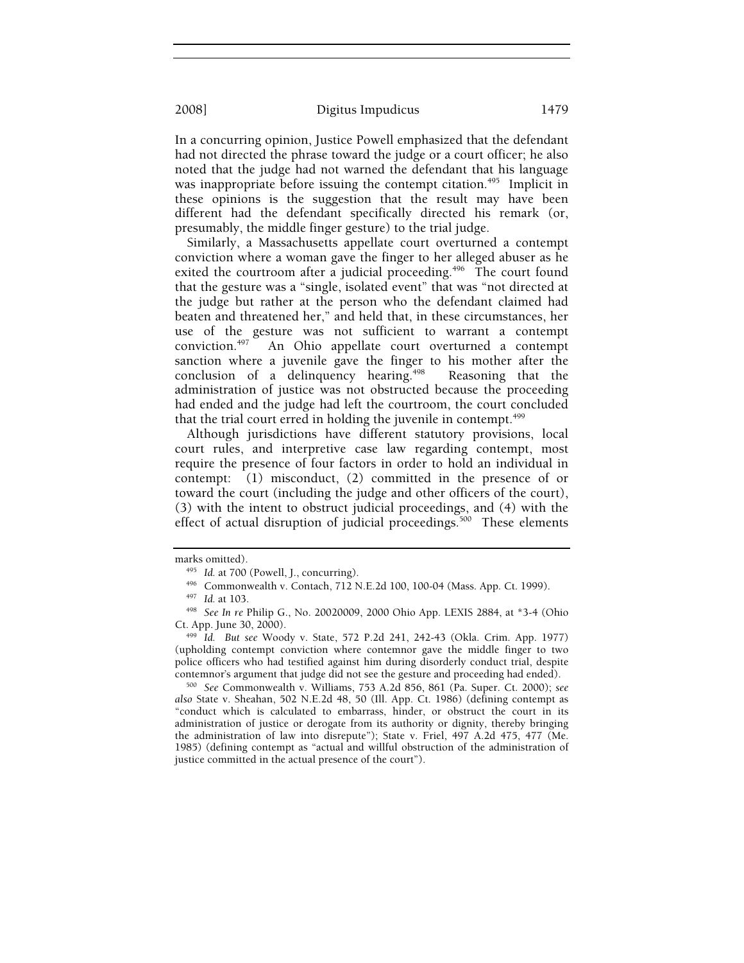In a concurring opinion, Justice Powell emphasized that the defendant had not directed the phrase toward the judge or a court officer; he also noted that the judge had not warned the defendant that his language was inappropriate before issuing the contempt citation.<sup>495</sup> Implicit in these opinions is the suggestion that the result may have been different had the defendant specifically directed his remark (or, presumably, the middle finger gesture) to the trial judge.

Similarly, a Massachusetts appellate court overturned a contempt conviction where a woman gave the finger to her alleged abuser as he exited the courtroom after a judicial proceeding.<sup>496</sup> The court found that the gesture was a "single, isolated event" that was "not directed at the judge but rather at the person who the defendant claimed had beaten and threatened her," and held that, in these circumstances, her use of the gesture was not sufficient to warrant a contempt conviction.<sup>497</sup> An Ohio appellate court overturned a contempt An Ohio appellate court overturned a contempt sanction where a juvenile gave the finger to his mother after the conclusion of a delinquency hearing.<sup>498</sup> Reasoning that the administration of justice was not obstructed because the proceeding had ended and the judge had left the courtroom, the court concluded that the trial court erred in holding the juvenile in contempt.<sup>499</sup>

Although jurisdictions have different statutory provisions, local court rules, and interpretive case law regarding contempt, most require the presence of four factors in order to hold an individual in contempt: (1) misconduct, (2) committed in the presence of or toward the court (including the judge and other officers of the court), (3) with the intent to obstruct judicial proceedings, and (4) with the effect of actual disruption of judicial proceedings.<sup>500</sup> These elements

marks omitted).<br><sup>495</sup> Id. at 700 (Powell, J., concurring).<br><sup>496</sup> Commonwealth v. Contach, 712 N.E.2d 100, 100-04 (Mass. App. Ct. 1999).<br><sup>497</sup> Id. at 103.<br><sup>498</sup> See In re Philip G., No. 20020009, 2000 Ohio App. LEXIS 2884,

Ct. App. June 30, 2000). 499 *Id. But see* Woody v. State, 572 P.2d 241, 242-43 (Okla. Crim. App. 1977) (upholding contempt conviction where contemnor gave the middle finger to two police officers who had testified against him during disorderly conduct trial, despite contemnor's argument that judge did not see the gesture and proceeding had ended). 500 *See* Commonwealth v. Williams, 753 A.2d 856, 861 (Pa. Super. Ct. 2000); *see* 

*also* State v. Sheahan, 502 N.E.2d 48, 50 (Ill. App. Ct. 1986) (defining contempt as "conduct which is calculated to embarrass, hinder, or obstruct the court in its administration of justice or derogate from its authority or dignity, thereby bringing the administration of law into disrepute"); State v. Friel, 497 A.2d 475, 477 (Me. 1985) (defining contempt as "actual and willful obstruction of the administration of justice committed in the actual presence of the court").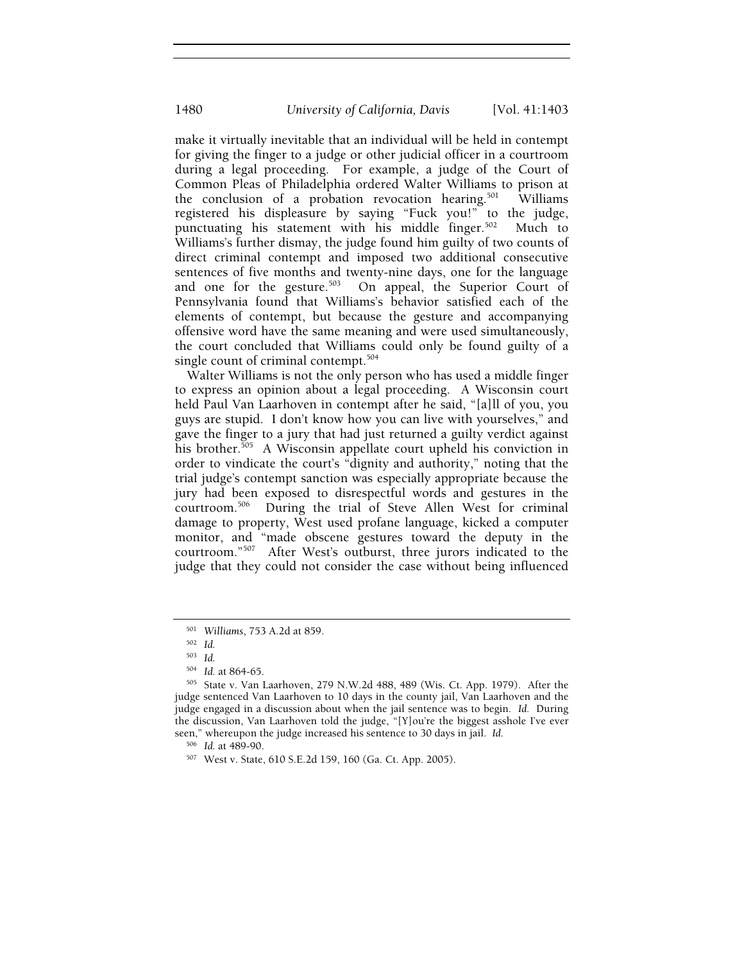make it virtually inevitable that an individual will be held in contempt for giving the finger to a judge or other judicial officer in a courtroom during a legal proceeding. For example, a judge of the Court of Common Pleas of Philadelphia ordered Walter Williams to prison at the conclusion of a probation revocation hearing.<sup>501</sup> Williams registered his displeasure by saying "Fuck you!" to the judge, punctuating his statement with his middle finger.<sup>502</sup> Much to Williams's further dismay, the judge found him guilty of two counts of direct criminal contempt and imposed two additional consecutive sentences of five months and twenty-nine days, one for the language and one for the gesture.<sup>503</sup> On appeal, the Superior Court of Pennsylvania found that Williams's behavior satisfied each of the elements of contempt, but because the gesture and accompanying offensive word have the same meaning and were used simultaneously, the court concluded that Williams could only be found guilty of a single count of criminal contempt.<sup>504</sup>

Walter Williams is not the only person who has used a middle finger to express an opinion about a legal proceeding. A Wisconsin court held Paul Van Laarhoven in contempt after he said, "[a]ll of you, you guys are stupid. I don't know how you can live with yourselves," and gave the finger to a jury that had just returned a guilty verdict against his brother.<sup>505</sup> A Wisconsin appellate court upheld his conviction in order to vindicate the court's "dignity and authority," noting that the trial judge's contempt sanction was especially appropriate because the jury had been exposed to disrespectful words and gestures in the courtroom.506 During the trial of Steve Allen West for criminal damage to property, West used profane language, kicked a computer monitor, and "made obscene gestures toward the deputy in the courtroom."<sup>507</sup> After West's outburst, three jurors indicated to the judge that they could not consider the case without being influenced

<sup>501</sup> *Williams*, 753 A.2d at 859. 502 *Id.*

<sup>503</sup> *Id.*

<sup>&</sup>lt;sup>504</sup> Id. at 864-65.<br><sup>505</sup> State v. Van Laarhoven, 279 N.W.2d 488, 489 (Wis. Ct. App. 1979). After the judge sentenced Van Laarhoven to 10 days in the county jail, Van Laarhoven and the judge engaged in a discussion about when the jail sentence was to begin. *Id.* During the discussion, Van Laarhoven told the judge, "[Y]ou're the biggest asshole I've ever seen," whereupon the judge increased his sentence to 30 days in jail. *Id.* 

<sup>506</sup> *Id.* at 489-90. 507 West v. State, 610 S.E.2d 159, 160 (Ga. Ct. App. 2005).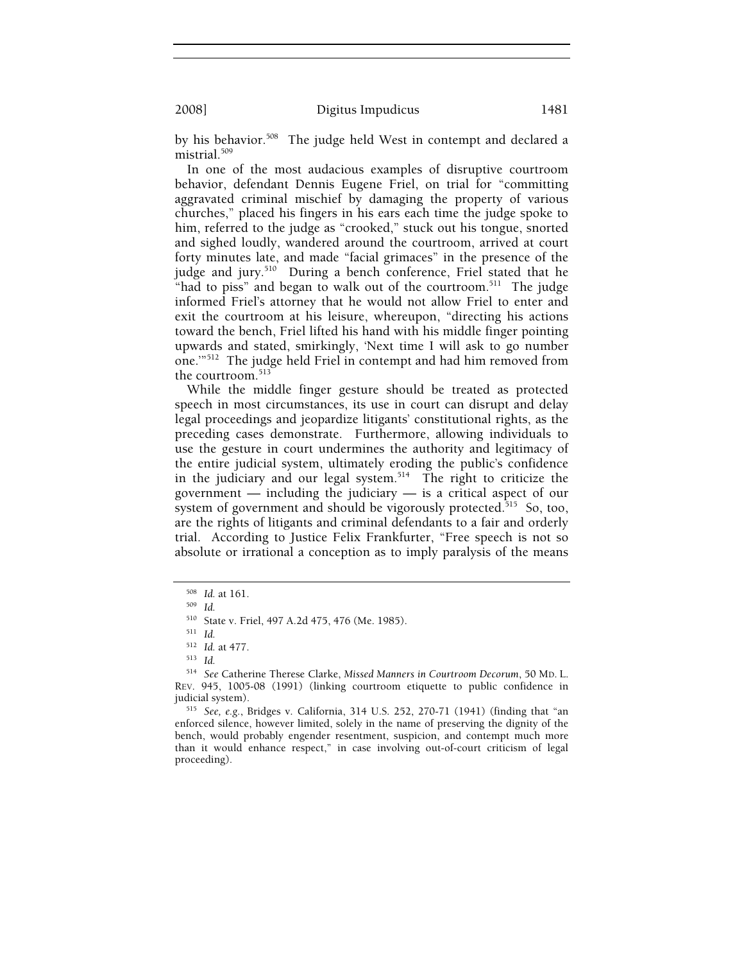by his behavior.<sup>508</sup> The judge held West in contempt and declared a mistrial.509

In one of the most audacious examples of disruptive courtroom behavior, defendant Dennis Eugene Friel, on trial for "committing aggravated criminal mischief by damaging the property of various churches," placed his fingers in his ears each time the judge spoke to him, referred to the judge as "crooked," stuck out his tongue, snorted and sighed loudly, wandered around the courtroom, arrived at court forty minutes late, and made "facial grimaces" in the presence of the judge and jury.<sup>510</sup> During a bench conference, Friel stated that he "had to piss" and began to walk out of the courtroom. $511$  The judge informed Friel's attorney that he would not allow Friel to enter and exit the courtroom at his leisure, whereupon, "directing his actions toward the bench, Friel lifted his hand with his middle finger pointing upwards and stated, smirkingly, 'Next time I will ask to go number one.'"512 The judge held Friel in contempt and had him removed from the courtroom.<sup>513</sup>

While the middle finger gesture should be treated as protected speech in most circumstances, its use in court can disrupt and delay legal proceedings and jeopardize litigants' constitutional rights, as the preceding cases demonstrate. Furthermore, allowing individuals to use the gesture in court undermines the authority and legitimacy of the entire judicial system, ultimately eroding the public's confidence in the judiciary and our legal system.<sup>514</sup> The right to criticize the government  $-$  including the judiciary  $-$  is a critical aspect of our system of government and should be vigorously protected.<sup>515</sup> So, too, are the rights of litigants and criminal defendants to a fair and orderly trial. According to Justice Felix Frankfurter, "Free speech is not so absolute or irrational a conception as to imply paralysis of the means

<sup>515</sup> See, e.g., Bridges v. California, 314 U.S. 252, 270-71 (1941) (finding that "an enforced silence, however limited, solely in the name of preserving the dignity of the bench, would probably engender resentment, suspicion, and contempt much more than it would enhance respect," in case involving out-of-court criticism of legal proceeding).

<sup>508</sup> *Id.* at 161. 509 *Id.*

<sup>510</sup> State v. Friel, 497 A.2d 475, 476 (Me. 1985). 511 *Id.*

<sup>512</sup> *Id.* at 477. 513 *Id.*

<sup>514</sup> *See* Catherine Therese Clarke, *Missed Manners in Courtroom Decorum*, 50 MD. L. REV. 945, 1005-08 (1991) (linking courtroom etiquette to public confidence in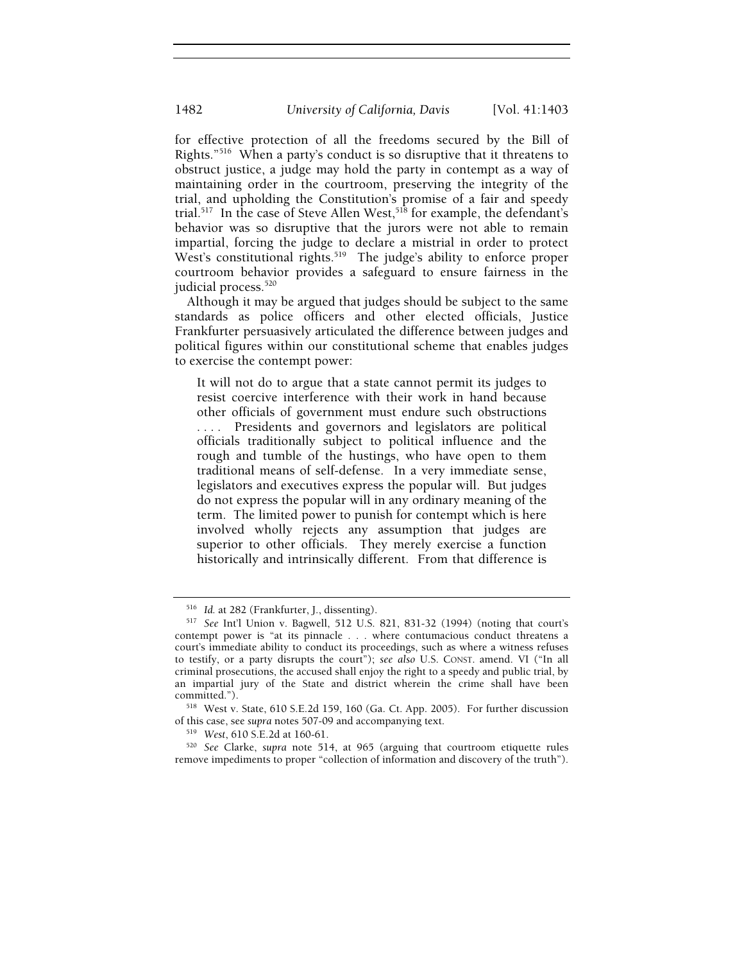for effective protection of all the freedoms secured by the Bill of Rights."516 When a party's conduct is so disruptive that it threatens to obstruct justice, a judge may hold the party in contempt as a way of maintaining order in the courtroom, preserving the integrity of the trial, and upholding the Constitution's promise of a fair and speedy trial.<sup>517</sup> In the case of Steve Allen West,<sup>518</sup> for example, the defendant's behavior was so disruptive that the jurors were not able to remain impartial, forcing the judge to declare a mistrial in order to protect West's constitutional rights.<sup>519</sup> The judge's ability to enforce proper courtroom behavior provides a safeguard to ensure fairness in the judicial process.<sup>520</sup>

Although it may be argued that judges should be subject to the same standards as police officers and other elected officials, Justice Frankfurter persuasively articulated the difference between judges and political figures within our constitutional scheme that enables judges to exercise the contempt power:

It will not do to argue that a state cannot permit its judges to resist coercive interference with their work in hand because other officials of government must endure such obstructions . . . . Presidents and governors and legislators are political officials traditionally subject to political influence and the rough and tumble of the hustings, who have open to them traditional means of self-defense. In a very immediate sense, legislators and executives express the popular will. But judges do not express the popular will in any ordinary meaning of the term. The limited power to punish for contempt which is here involved wholly rejects any assumption that judges are superior to other officials. They merely exercise a function historically and intrinsically different. From that difference is

<sup>516</sup> *Id.* at 282 (Frankfurter, J., dissenting). 517 *See* Int'l Union v. Bagwell, 512 U.S. 821, 831-32 (1994) (noting that court's contempt power is "at its pinnacle . . . where contumacious conduct threatens a court's immediate ability to conduct its proceedings, such as where a witness refuses to testify, or a party disrupts the court"); *see also* U.S. CONST. amend. VI ("In all criminal prosecutions, the accused shall enjoy the right to a speedy and public trial, by an impartial jury of the State and district wherein the crime shall have been

committed.").<br><sup>518</sup> West v. State, 610 S.E.2d 159, 160 (Ga. Ct. App. 2005). For further discussion<br>of this case, see *supra* notes 507-09 and accompanying text.

<sup>&</sup>lt;sup>519</sup> West, 610 S.E.2d at 160-61.<br><sup>520</sup> *See* Clarke, *supra* note 514, at 965 (arguing that courtroom etiquette rules remove impediments to proper "collection of information and discovery of the truth").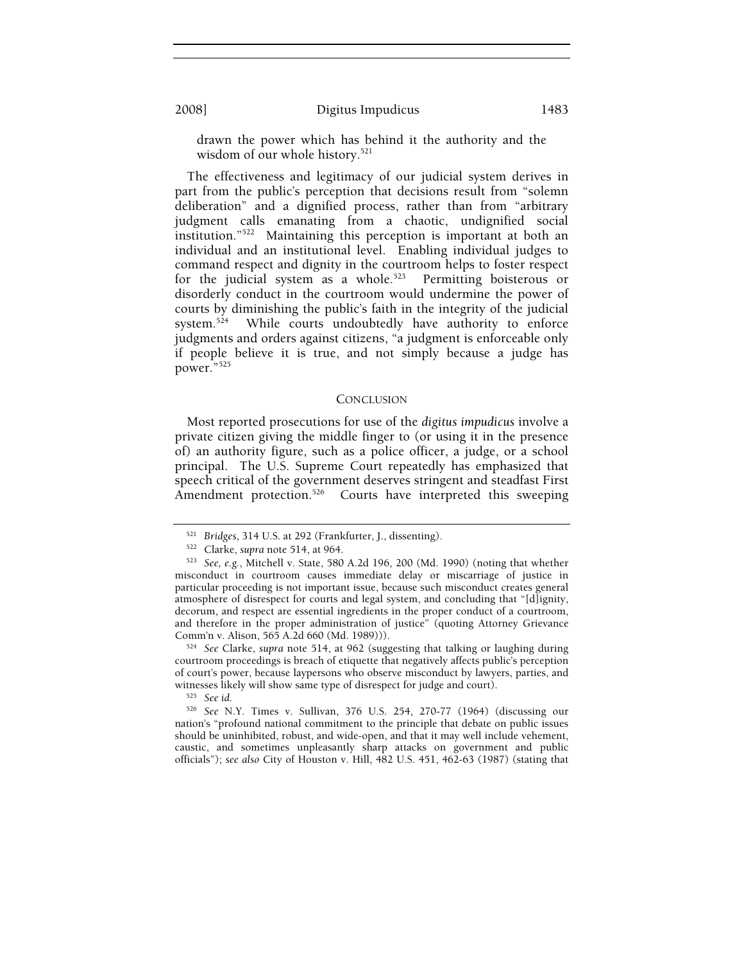drawn the power which has behind it the authority and the wisdom of our whole history.<sup>521</sup>

The effectiveness and legitimacy of our judicial system derives in part from the public's perception that decisions result from "solemn deliberation" and a dignified process, rather than from "arbitrary judgment calls emanating from a chaotic, undignified social institution."522 Maintaining this perception is important at both an individual and an institutional level. Enabling individual judges to command respect and dignity in the courtroom helps to foster respect for the judicial system as a whole.<sup>523</sup> Permitting boisterous or disorderly conduct in the courtroom would undermine the power of courts by diminishing the public's faith in the integrity of the judicial system.<sup>524</sup> While courts undoubtedly have authority to enforce judgments and orders against citizens, "a judgment is enforceable only if people believe it is true, and not simply because a judge has power."525

## **CONCLUSION**

Most reported prosecutions for use of the *digitus impudicus* involve a private citizen giving the middle finger to (or using it in the presence of) an authority figure, such as a police officer, a judge, or a school principal. The U.S. Supreme Court repeatedly has emphasized that speech critical of the government deserves stringent and steadfast First Amendment protection.<sup>526</sup> Courts have interpreted this sweeping

<sup>521</sup> *Bridges*, 314 U.S. at 292 (Frankfurter, J., dissenting). 522 Clarke, *supra* note 514, at 964. 523 *See, e.g.*, Mitchell v. State, 580 A.2d 196, 200 (Md. 1990) (noting that whether misconduct in courtroom causes immediate delay or miscarriage of justice in particular proceeding is not important issue, because such misconduct creates general atmosphere of disrespect for courts and legal system, and concluding that "[d]ignity, decorum, and respect are essential ingredients in the proper conduct of a courtroom, and therefore in the proper administration of justice" (quoting Attorney Grievance Comm'n v. Alison, 565 A.2d 660 (Md. 1989))).

<sup>&</sup>lt;sup>524</sup> See Clarke, *supra* note 514, at 962 (suggesting that talking or laughing during courtroom proceedings is breach of etiquette that negatively affects public's perception of court's power, because laypersons who observe misconduct by lawyers, parties, and witnesses likely will show same type of disrespect for judge and court).<br><sup>525</sup> *See id.* 526 *See* N.Y. Times v. Sullivan, 376 U.S. 254, 270-77 (1964) (discussing our

nation's "profound national commitment to the principle that debate on public issues should be uninhibited, robust, and wide-open, and that it may well include vehement, caustic, and sometimes unpleasantly sharp attacks on government and public officials"); *see also* City of Houston v. Hill, 482 U.S. 451, 462-63 (1987) (stating that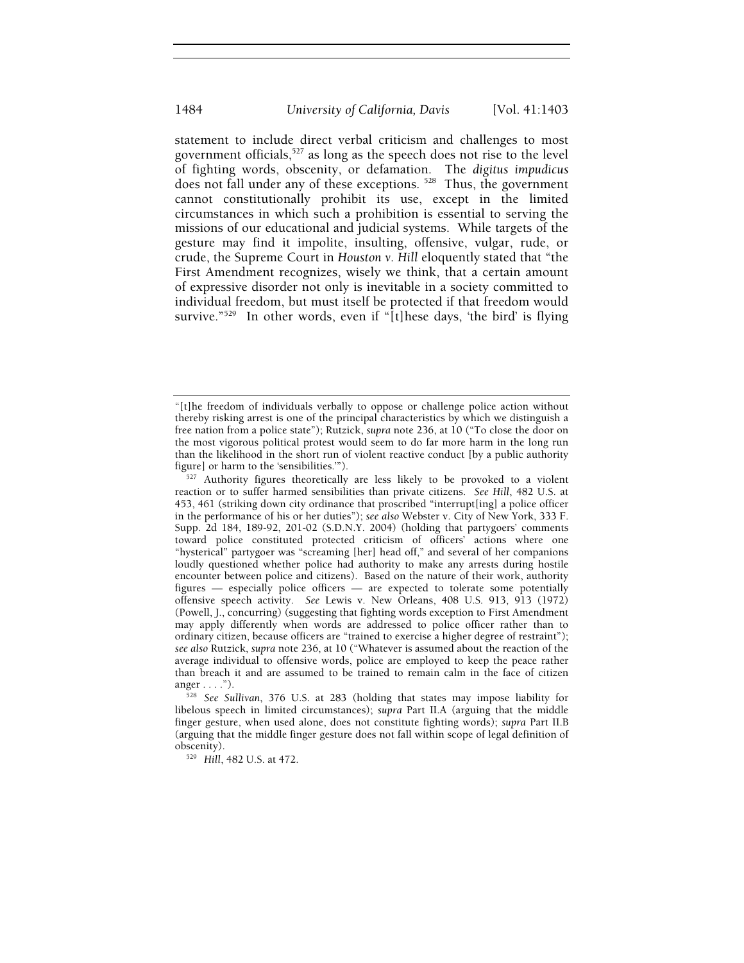statement to include direct verbal criticism and challenges to most government officials,<sup>527</sup> as long as the speech does not rise to the level of fighting words, obscenity, or defamation. The *digitus impudicus* does not fall under any of these exceptions.<sup>528</sup> Thus, the government cannot constitutionally prohibit its use, except in the limited circumstances in which such a prohibition is essential to serving the missions of our educational and judicial systems. While targets of the gesture may find it impolite, insulting, offensive, vulgar, rude, or crude, the Supreme Court in *Houston v. Hill* eloquently stated that "the First Amendment recognizes, wisely we think, that a certain amount of expressive disorder not only is inevitable in a society committed to individual freedom, but must itself be protected if that freedom would survive."<sup>529</sup> In other words, even if "[t]hese days, 'the bird' is flying

<sup>529</sup> Hill, 482 U.S. at 472.

<sup>&</sup>quot;[t]he freedom of individuals verbally to oppose or challenge police action without thereby risking arrest is one of the principal characteristics by which we distinguish a free nation from a police state"); Rutzick, *supra* note 236, at 10 ("To close the door on the most vigorous political protest would seem to do far more harm in the long run than the likelihood in the short run of violent reactive conduct [by a public authority figure] or harm to the 'sensibilities.'").

<sup>527</sup> Authority figures theoretically are less likely to be provoked to a violent reaction or to suffer harmed sensibilities than private citizens. *See Hill*, 482 U.S. at 453, 461 (striking down city ordinance that proscribed "interrupt[ing] a police officer in the performance of his or her duties"); *see also* Webster v. City of New York, 333 F. Supp. 2d 184, 189-92, 201-02 (S.D.N.Y. 2004) (holding that partygoers' comments toward police constituted protected criticism of officers' actions where one "hysterical" partygoer was "screaming [her] head off," and several of her companions loudly questioned whether police had authority to make any arrests during hostile encounter between police and citizens). Based on the nature of their work, authority figures — especially police officers — are expected to tolerate some potentially offensive speech activity. *See* Lewis v. New Orleans, 408 U.S. 913, 913 (1972) (Powell, J., concurring) (suggesting that fighting words exception to First Amendment may apply differently when words are addressed to police officer rather than to ordinary citizen, because officers are "trained to exercise a higher degree of restraint"); *see also* Rutzick, *supra* note 236, at 10 ("Whatever is assumed about the reaction of the average individual to offensive words, police are employed to keep the peace rather than breach it and are assumed to be trained to remain calm in the face of citizen anger . . . ."). 528 *See Sullivan*, 376 U.S. at 283 (holding that states may impose liability for

libelous speech in limited circumstances); *supra* Part II.A (arguing that the middle finger gesture, when used alone, does not constitute fighting words); *supra* Part II.B (arguing that the middle finger gesture does not fall within scope of legal definition of